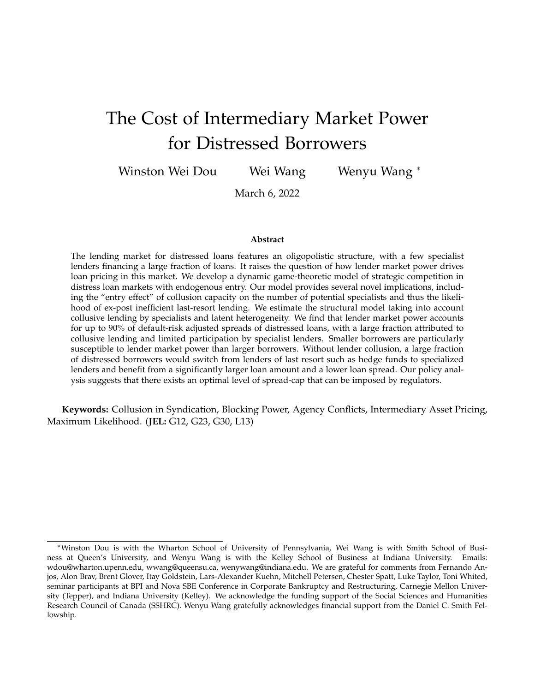# The Cost of Intermediary Market Power for Distressed Borrowers

Winston Wei Dou Wei Wang Wenyu Wang <sup>∗</sup>

March 6, 2022

#### **Abstract**

The lending market for distressed loans features an oligopolistic structure, with a few specialist lenders financing a large fraction of loans. It raises the question of how lender market power drives loan pricing in this market. We develop a dynamic game-theoretic model of strategic competition in distress loan markets with endogenous entry. Our model provides several novel implications, including the "entry effect" of collusion capacity on the number of potential specialists and thus the likelihood of ex-post inefficient last-resort lending. We estimate the structural model taking into account collusive lending by specialists and latent heterogeneity. We find that lender market power accounts for up to 90% of default-risk adjusted spreads of distressed loans, with a large fraction attributed to collusive lending and limited participation by specialist lenders. Smaller borrowers are particularly susceptible to lender market power than larger borrowers. Without lender collusion, a large fraction of distressed borrowers would switch from lenders of last resort such as hedge funds to specialized lenders and benefit from a significantly larger loan amount and a lower loan spread. Our policy analysis suggests that there exists an optimal level of spread-cap that can be imposed by regulators.

**Keywords:** Collusion in Syndication, Blocking Power, Agency Conflicts, Intermediary Asset Pricing, Maximum Likelihood. (**JEL:** G12, G23, G30, L13)

<sup>∗</sup>Winston Dou is with the Wharton School of University of Pennsylvania, Wei Wang is with Smith School of Business at Queen's University, and Wenyu Wang is with the Kelley School of Business at Indiana University. Emails: wdou@wharton.upenn.edu, wwang@queensu.ca, wenywang@indiana.edu. We are grateful for comments from Fernando Anjos, Alon Brav, Brent Glover, Itay Goldstein, Lars-Alexander Kuehn, Mitchell Petersen, Chester Spatt, Luke Taylor, Toni Whited, seminar participants at BPI and Nova SBE Conference in Corporate Bankruptcy and Restructuring, Carnegie Mellon University (Tepper), and Indiana University (Kelley). We acknowledge the funding support of the Social Sciences and Humanities Research Council of Canada (SSHRC). Wenyu Wang gratefully acknowledges financial support from the Daniel C. Smith Fellowship.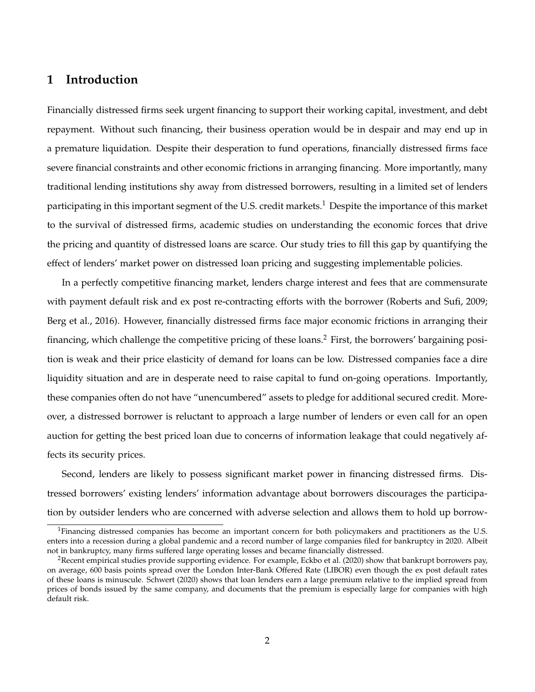# **1 Introduction**

Financially distressed firms seek urgent financing to support their working capital, investment, and debt repayment. Without such financing, their business operation would be in despair and may end up in a premature liquidation. Despite their desperation to fund operations, financially distressed firms face severe financial constraints and other economic frictions in arranging financing. More importantly, many traditional lending institutions shy away from distressed borrowers, resulting in a limited set of lenders participating in this important segment of the U.S. credit markets.<sup>1</sup> Despite the importance of this market to the survival of distressed firms, academic studies on understanding the economic forces that drive the pricing and quantity of distressed loans are scarce. Our study tries to fill this gap by quantifying the effect of lenders' market power on distressed loan pricing and suggesting implementable policies.

In a perfectly competitive financing market, lenders charge interest and fees that are commensurate with payment default risk and ex post re-contracting efforts with the borrower (Roberts and Sufi, 2009; Berg et al., 2016). However, financially distressed firms face major economic frictions in arranging their financing, which challenge the competitive pricing of these loans.<sup>2</sup> First, the borrowers' bargaining position is weak and their price elasticity of demand for loans can be low. Distressed companies face a dire liquidity situation and are in desperate need to raise capital to fund on-going operations. Importantly, these companies often do not have "unencumbered" assets to pledge for additional secured credit. Moreover, a distressed borrower is reluctant to approach a large number of lenders or even call for an open auction for getting the best priced loan due to concerns of information leakage that could negatively affects its security prices.

Second, lenders are likely to possess significant market power in financing distressed firms. Distressed borrowers' existing lenders' information advantage about borrowers discourages the participation by outsider lenders who are concerned with adverse selection and allows them to hold up borrow-

<sup>&</sup>lt;sup>1</sup>Financing distressed companies has become an important concern for both policymakers and practitioners as the U.S. enters into a recession during a global pandemic and a record number of large companies filed for bankruptcy in 2020. Albeit not in bankruptcy, many firms suffered large operating losses and became financially distressed.

<sup>&</sup>lt;sup>2</sup>Recent empirical studies provide supporting evidence. For example, Eckbo et al. (2020) show that bankrupt borrowers pay, on average, 600 basis points spread over the London Inter-Bank Offered Rate (LIBOR) even though the ex post default rates of these loans is minuscule. Schwert (2020) shows that loan lenders earn a large premium relative to the implied spread from prices of bonds issued by the same company, and documents that the premium is especially large for companies with high default risk.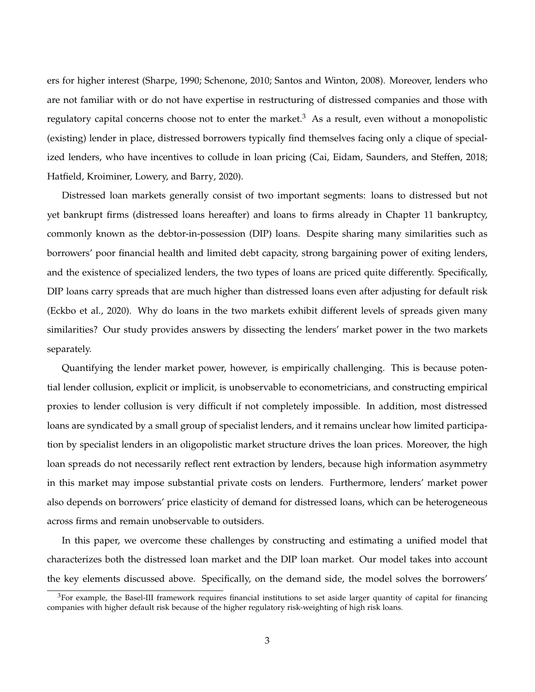ers for higher interest (Sharpe, 1990; Schenone, 2010; Santos and Winton, 2008). Moreover, lenders who are not familiar with or do not have expertise in restructuring of distressed companies and those with regulatory capital concerns choose not to enter the market.<sup>3</sup> As a result, even without a monopolistic (existing) lender in place, distressed borrowers typically find themselves facing only a clique of specialized lenders, who have incentives to collude in loan pricing (Cai, Eidam, Saunders, and Steffen, 2018; Hatfield, Kroiminer, Lowery, and Barry, 2020).

Distressed loan markets generally consist of two important segments: loans to distressed but not yet bankrupt firms (distressed loans hereafter) and loans to firms already in Chapter 11 bankruptcy, commonly known as the debtor-in-possession (DIP) loans. Despite sharing many similarities such as borrowers' poor financial health and limited debt capacity, strong bargaining power of exiting lenders, and the existence of specialized lenders, the two types of loans are priced quite differently. Specifically, DIP loans carry spreads that are much higher than distressed loans even after adjusting for default risk (Eckbo et al., 2020). Why do loans in the two markets exhibit different levels of spreads given many similarities? Our study provides answers by dissecting the lenders' market power in the two markets separately.

Quantifying the lender market power, however, is empirically challenging. This is because potential lender collusion, explicit or implicit, is unobservable to econometricians, and constructing empirical proxies to lender collusion is very difficult if not completely impossible. In addition, most distressed loans are syndicated by a small group of specialist lenders, and it remains unclear how limited participation by specialist lenders in an oligopolistic market structure drives the loan prices. Moreover, the high loan spreads do not necessarily reflect rent extraction by lenders, because high information asymmetry in this market may impose substantial private costs on lenders. Furthermore, lenders' market power also depends on borrowers' price elasticity of demand for distressed loans, which can be heterogeneous across firms and remain unobservable to outsiders.

In this paper, we overcome these challenges by constructing and estimating a unified model that characterizes both the distressed loan market and the DIP loan market. Our model takes into account the key elements discussed above. Specifically, on the demand side, the model solves the borrowers'

 ${}^{3}$ For example, the Basel-III framework requires financial institutions to set aside larger quantity of capital for financing companies with higher default risk because of the higher regulatory risk-weighting of high risk loans.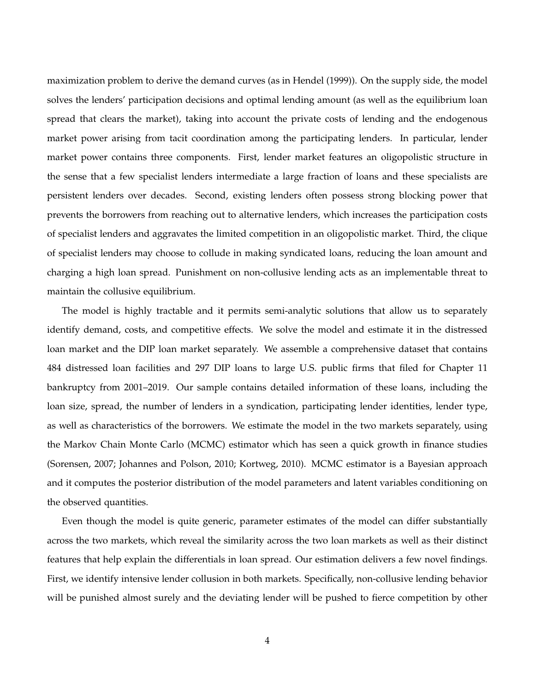maximization problem to derive the demand curves (as in Hendel (1999)). On the supply side, the model solves the lenders' participation decisions and optimal lending amount (as well as the equilibrium loan spread that clears the market), taking into account the private costs of lending and the endogenous market power arising from tacit coordination among the participating lenders. In particular, lender market power contains three components. First, lender market features an oligopolistic structure in the sense that a few specialist lenders intermediate a large fraction of loans and these specialists are persistent lenders over decades. Second, existing lenders often possess strong blocking power that prevents the borrowers from reaching out to alternative lenders, which increases the participation costs of specialist lenders and aggravates the limited competition in an oligopolistic market. Third, the clique of specialist lenders may choose to collude in making syndicated loans, reducing the loan amount and charging a high loan spread. Punishment on non-collusive lending acts as an implementable threat to maintain the collusive equilibrium.

The model is highly tractable and it permits semi-analytic solutions that allow us to separately identify demand, costs, and competitive effects. We solve the model and estimate it in the distressed loan market and the DIP loan market separately. We assemble a comprehensive dataset that contains 484 distressed loan facilities and 297 DIP loans to large U.S. public firms that filed for Chapter 11 bankruptcy from 2001–2019. Our sample contains detailed information of these loans, including the loan size, spread, the number of lenders in a syndication, participating lender identities, lender type, as well as characteristics of the borrowers. We estimate the model in the two markets separately, using the Markov Chain Monte Carlo (MCMC) estimator which has seen a quick growth in finance studies (Sorensen, 2007; Johannes and Polson, 2010; Kortweg, 2010). MCMC estimator is a Bayesian approach and it computes the posterior distribution of the model parameters and latent variables conditioning on the observed quantities.

Even though the model is quite generic, parameter estimates of the model can differ substantially across the two markets, which reveal the similarity across the two loan markets as well as their distinct features that help explain the differentials in loan spread. Our estimation delivers a few novel findings. First, we identify intensive lender collusion in both markets. Specifically, non-collusive lending behavior will be punished almost surely and the deviating lender will be pushed to fierce competition by other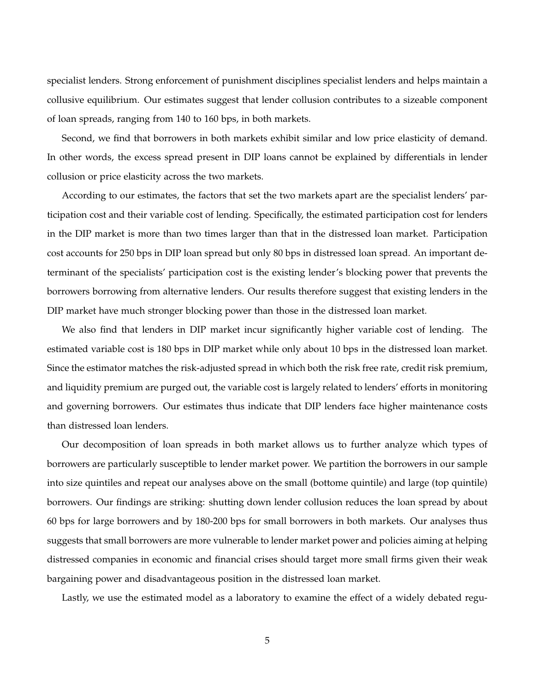specialist lenders. Strong enforcement of punishment disciplines specialist lenders and helps maintain a collusive equilibrium. Our estimates suggest that lender collusion contributes to a sizeable component of loan spreads, ranging from 140 to 160 bps, in both markets.

Second, we find that borrowers in both markets exhibit similar and low price elasticity of demand. In other words, the excess spread present in DIP loans cannot be explained by differentials in lender collusion or price elasticity across the two markets.

According to our estimates, the factors that set the two markets apart are the specialist lenders' participation cost and their variable cost of lending. Specifically, the estimated participation cost for lenders in the DIP market is more than two times larger than that in the distressed loan market. Participation cost accounts for 250 bps in DIP loan spread but only 80 bps in distressed loan spread. An important determinant of the specialists' participation cost is the existing lender's blocking power that prevents the borrowers borrowing from alternative lenders. Our results therefore suggest that existing lenders in the DIP market have much stronger blocking power than those in the distressed loan market.

We also find that lenders in DIP market incur significantly higher variable cost of lending. The estimated variable cost is 180 bps in DIP market while only about 10 bps in the distressed loan market. Since the estimator matches the risk-adjusted spread in which both the risk free rate, credit risk premium, and liquidity premium are purged out, the variable cost is largely related to lenders' efforts in monitoring and governing borrowers. Our estimates thus indicate that DIP lenders face higher maintenance costs than distressed loan lenders.

Our decomposition of loan spreads in both market allows us to further analyze which types of borrowers are particularly susceptible to lender market power. We partition the borrowers in our sample into size quintiles and repeat our analyses above on the small (bottome quintile) and large (top quintile) borrowers. Our findings are striking: shutting down lender collusion reduces the loan spread by about 60 bps for large borrowers and by 180-200 bps for small borrowers in both markets. Our analyses thus suggests that small borrowers are more vulnerable to lender market power and policies aiming at helping distressed companies in economic and financial crises should target more small firms given their weak bargaining power and disadvantageous position in the distressed loan market.

Lastly, we use the estimated model as a laboratory to examine the effect of a widely debated regu-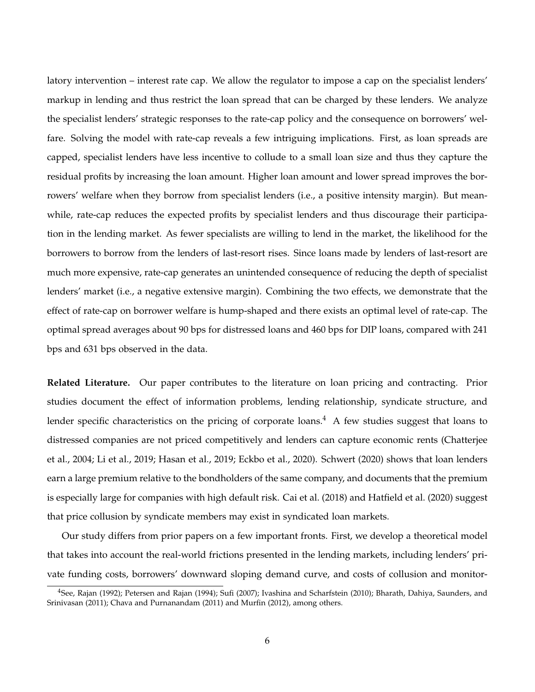latory intervention – interest rate cap. We allow the regulator to impose a cap on the specialist lenders' markup in lending and thus restrict the loan spread that can be charged by these lenders. We analyze the specialist lenders' strategic responses to the rate-cap policy and the consequence on borrowers' welfare. Solving the model with rate-cap reveals a few intriguing implications. First, as loan spreads are capped, specialist lenders have less incentive to collude to a small loan size and thus they capture the residual profits by increasing the loan amount. Higher loan amount and lower spread improves the borrowers' welfare when they borrow from specialist lenders (i.e., a positive intensity margin). But meanwhile, rate-cap reduces the expected profits by specialist lenders and thus discourage their participation in the lending market. As fewer specialists are willing to lend in the market, the likelihood for the borrowers to borrow from the lenders of last-resort rises. Since loans made by lenders of last-resort are much more expensive, rate-cap generates an unintended consequence of reducing the depth of specialist lenders' market (i.e., a negative extensive margin). Combining the two effects, we demonstrate that the effect of rate-cap on borrower welfare is hump-shaped and there exists an optimal level of rate-cap. The optimal spread averages about 90 bps for distressed loans and 460 bps for DIP loans, compared with 241 bps and 631 bps observed in the data.

**Related Literature.** Our paper contributes to the literature on loan pricing and contracting. Prior studies document the effect of information problems, lending relationship, syndicate structure, and lender specific characteristics on the pricing of corporate loans.<sup>4</sup> A few studies suggest that loans to distressed companies are not priced competitively and lenders can capture economic rents (Chatterjee et al., 2004; Li et al., 2019; Hasan et al., 2019; Eckbo et al., 2020). Schwert (2020) shows that loan lenders earn a large premium relative to the bondholders of the same company, and documents that the premium is especially large for companies with high default risk. Cai et al. (2018) and Hatfield et al. (2020) suggest that price collusion by syndicate members may exist in syndicated loan markets.

Our study differs from prior papers on a few important fronts. First, we develop a theoretical model that takes into account the real-world frictions presented in the lending markets, including lenders' private funding costs, borrowers' downward sloping demand curve, and costs of collusion and monitor-

<sup>4</sup>See, Rajan (1992); Petersen and Rajan (1994); Sufi (2007); Ivashina and Scharfstein (2010); Bharath, Dahiya, Saunders, and Srinivasan (2011); Chava and Purnanandam (2011) and Murfin (2012), among others.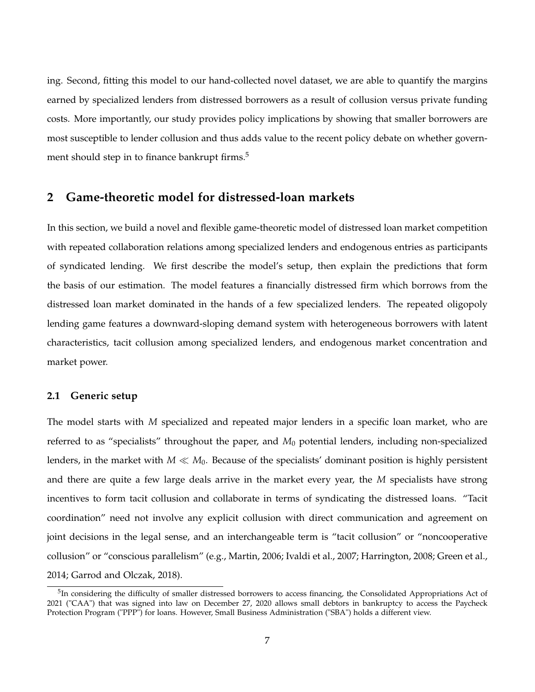ing. Second, fitting this model to our hand-collected novel dataset, we are able to quantify the margins earned by specialized lenders from distressed borrowers as a result of collusion versus private funding costs. More importantly, our study provides policy implications by showing that smaller borrowers are most susceptible to lender collusion and thus adds value to the recent policy debate on whether government should step in to finance bankrupt firms.<sup>5</sup>

## **2 Game-theoretic model for distressed-loan markets**

In this section, we build a novel and flexible game-theoretic model of distressed loan market competition with repeated collaboration relations among specialized lenders and endogenous entries as participants of syndicated lending. We first describe the model's setup, then explain the predictions that form the basis of our estimation. The model features a financially distressed firm which borrows from the distressed loan market dominated in the hands of a few specialized lenders. The repeated oligopoly lending game features a downward-sloping demand system with heterogeneous borrowers with latent characteristics, tacit collusion among specialized lenders, and endogenous market concentration and market power.

#### **2.1 Generic setup**

The model starts with *M* specialized and repeated major lenders in a specific loan market, who are referred to as "specialists" throughout the paper, and *M*<sup>0</sup> potential lenders, including non-specialized lenders, in the market with  $M \ll M_0$ . Because of the specialists' dominant position is highly persistent and there are quite a few large deals arrive in the market every year, the *M* specialists have strong incentives to form tacit collusion and collaborate in terms of syndicating the distressed loans. "Tacit coordination" need not involve any explicit collusion with direct communication and agreement on joint decisions in the legal sense, and an interchangeable term is "tacit collusion" or "noncooperative collusion" or "conscious parallelism" (e.g., Martin, 2006; Ivaldi et al., 2007; Harrington, 2008; Green et al., 2014; Garrod and Olczak, 2018).

<sup>&</sup>lt;sup>5</sup>In considering the difficulty of smaller distressed borrowers to access financing, the Consolidated Appropriations Act of 2021 ("CAA") that was signed into law on December 27, 2020 allows small debtors in bankruptcy to access the Paycheck Protection Program ("PPP") for loans. However, Small Business Administration ("SBA") holds a different view.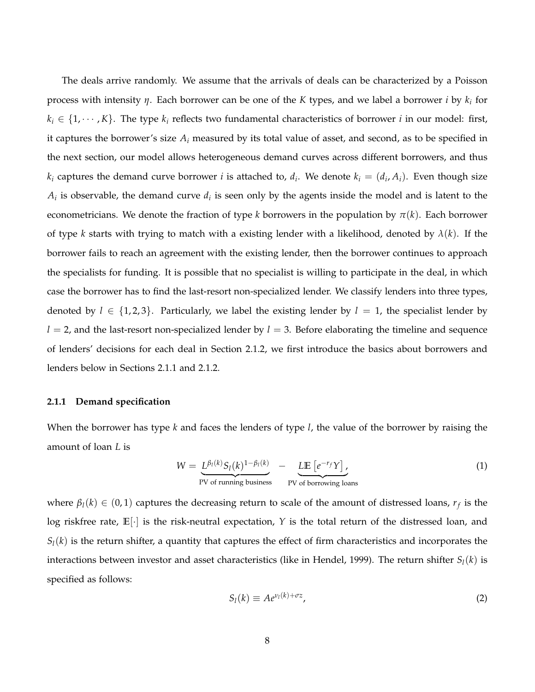The deals arrive randomly. We assume that the arrivals of deals can be characterized by a Poisson process with intensity *η*. Each borrower can be one of the *K* types, and we label a borrower *i* by *k<sup>i</sup>* for  $k_i \in \{1, \dots, K\}$ . The type  $k_i$  reflects two fundamental characteristics of borrower *i* in our model: first, it captures the borrower's size *A<sup>i</sup>* measured by its total value of asset, and second, as to be specified in the next section, our model allows heterogeneous demand curves across different borrowers, and thus  $k_i$  captures the demand curve borrower *i* is attached to,  $d_i$ . We denote  $k_i = (d_i, A_i)$ . Even though size  $A_i$  is observable, the demand curve  $d_i$  is seen only by the agents inside the model and is latent to the econometricians. We denote the fraction of type *k* borrowers in the population by  $\pi(k)$ . Each borrower of type *k* starts with trying to match with a existing lender with a likelihood, denoted by  $\lambda(k)$ . If the borrower fails to reach an agreement with the existing lender, then the borrower continues to approach the specialists for funding. It is possible that no specialist is willing to participate in the deal, in which case the borrower has to find the last-resort non-specialized lender. We classify lenders into three types, denoted by  $l \in \{1,2,3\}$ . Particularly, we label the existing lender by  $l = 1$ , the specialist lender by  $l = 2$ , and the last-resort non-specialized lender by  $l = 3$ . Before elaborating the timeline and sequence of lenders' decisions for each deal in Section 2.1.2, we first introduce the basics about borrowers and lenders below in Sections 2.1.1 and 2.1.2.

#### **2.1.1 Demand specification**

When the borrower has type *k* and faces the lenders of type *l*, the value of the borrower by raising the amount of loan *L* is

$$
W = \underbrace{L^{\beta_I(k)} S_I(k)^{1-\beta_I(k)}}_{\text{PV of running business}} - \underbrace{L \mathbb{E}\left[e^{-r_f} Y\right]}_{\text{PV of borrowing loans}} \tag{1}
$$

where  $\beta_l(k) \in (0,1)$  captures the decreasing return to scale of the amount of distressed loans,  $r_f$  is the log riskfree rate, **E**[·] is the risk-neutral expectation, *Y* is the total return of the distressed loan, and  $S_l(k)$  is the return shifter, a quantity that captures the effect of firm characteristics and incorporates the interactions between investor and asset characteristics (like in Hendel, 1999). The return shifter  $S_l(k)$  is specified as follows:

$$
S_l(k) \equiv A e^{\nu_l(k) + \sigma z},\tag{2}
$$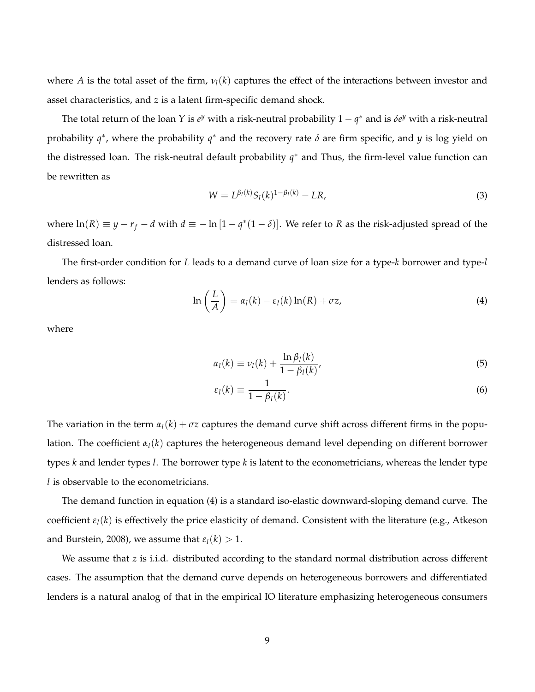where *A* is the total asset of the firm,  $v_l(k)$  captures the effect of the interactions between investor and asset characteristics, and *z* is a latent firm-specific demand shock.

The total return of the loan *Y* is  $e^y$  with a risk-neutral probability  $1 - q^*$  and is  $\delta e^y$  with a risk-neutral probability *q* ∗ , where the probability *q* <sup>∗</sup> and the recovery rate *δ* are firm specific, and *y* is log yield on the distressed loan. The risk-neutral default probability *q* <sup>∗</sup> and Thus, the firm-level value function can be rewritten as

$$
W = L^{\beta_l(k)} S_l(k)^{1 - \beta_l(k)} - LR,\tag{3}
$$

where  $ln(R) \equiv y - r_f - d$  with  $d \equiv -ln(1 - q^*(1 - \delta))$ . We refer to *R* as the risk-adjusted spread of the distressed loan.

The first-order condition for *L* leads to a demand curve of loan size for a type-*k* borrower and type-*l* lenders as follows:

$$
\ln\left(\frac{L}{A}\right) = \alpha_l(k) - \varepsilon_l(k)\ln(R) + \sigma z,\tag{4}
$$

where

$$
\alpha_l(k) \equiv \nu_l(k) + \frac{\ln \beta_l(k)}{1 - \beta_l(k)},\tag{5}
$$

$$
\varepsilon_l(k) \equiv \frac{1}{1 - \beta_l(k)}.\tag{6}
$$

The variation in the term  $\alpha_l(k) + \sigma z$  captures the demand curve shift across different firms in the population. The coefficient  $\alpha_l(k)$  captures the heterogeneous demand level depending on different borrower types *k* and lender types *l*. The borrower type *k* is latent to the econometricians, whereas the lender type *l* is observable to the econometricians.

The demand function in equation (4) is a standard iso-elastic downward-sloping demand curve. The coefficient  $\varepsilon_l(k)$  is effectively the price elasticity of demand. Consistent with the literature (e.g., Atkeson and Burstein, 2008), we assume that  $\varepsilon_l(k) > 1$ .

We assume that *z* is i.i.d. distributed according to the standard normal distribution across different cases. The assumption that the demand curve depends on heterogeneous borrowers and differentiated lenders is a natural analog of that in the empirical IO literature emphasizing heterogeneous consumers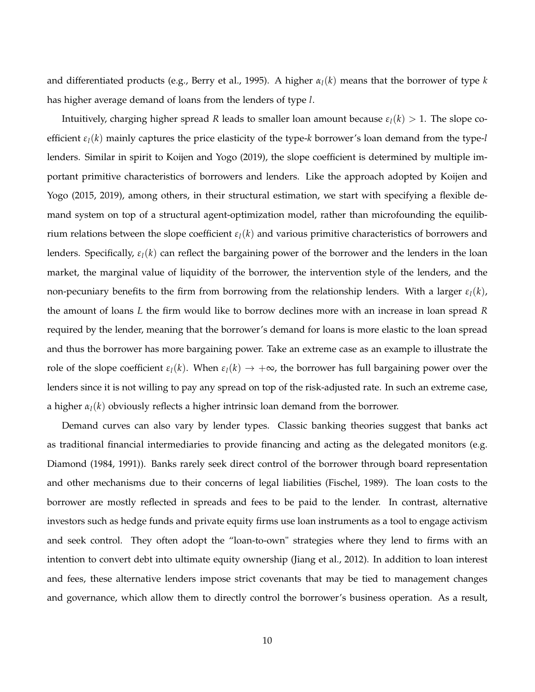and differentiated products (e.g., Berry et al., 1995). A higher *αl*(*k*) means that the borrower of type *k* has higher average demand of loans from the lenders of type *l*.

Intuitively, charging higher spread *R* leads to smaller loan amount because  $\varepsilon_l(k) > 1$ . The slope coefficient *εl*(*k*) mainly captures the price elasticity of the type-*k* borrower's loan demand from the type-*l* lenders. Similar in spirit to Koijen and Yogo (2019), the slope coefficient is determined by multiple important primitive characteristics of borrowers and lenders. Like the approach adopted by Koijen and Yogo (2015, 2019), among others, in their structural estimation, we start with specifying a flexible demand system on top of a structural agent-optimization model, rather than microfounding the equilibrium relations between the slope coefficient *εl*(*k*) and various primitive characteristics of borrowers and lenders. Specifically,  $\varepsilon_l(k)$  can reflect the bargaining power of the borrower and the lenders in the loan market, the marginal value of liquidity of the borrower, the intervention style of the lenders, and the non-pecuniary benefits to the firm from borrowing from the relationship lenders. With a larger  $\varepsilon_l(k)$ , the amount of loans *L* the firm would like to borrow declines more with an increase in loan spread *R* required by the lender, meaning that the borrower's demand for loans is more elastic to the loan spread and thus the borrower has more bargaining power. Take an extreme case as an example to illustrate the role of the slope coefficient  $\varepsilon_l(k)$ . When  $\varepsilon_l(k) \to +\infty$ , the borrower has full bargaining power over the lenders since it is not willing to pay any spread on top of the risk-adjusted rate. In such an extreme case, a higher  $\alpha_l(k)$  obviously reflects a higher intrinsic loan demand from the borrower.

Demand curves can also vary by lender types. Classic banking theories suggest that banks act as traditional financial intermediaries to provide financing and acting as the delegated monitors (e.g. Diamond (1984, 1991)). Banks rarely seek direct control of the borrower through board representation and other mechanisms due to their concerns of legal liabilities (Fischel, 1989). The loan costs to the borrower are mostly reflected in spreads and fees to be paid to the lender. In contrast, alternative investors such as hedge funds and private equity firms use loan instruments as a tool to engage activism and seek control. They often adopt the "loan-to-own" strategies where they lend to firms with an intention to convert debt into ultimate equity ownership (Jiang et al., 2012). In addition to loan interest and fees, these alternative lenders impose strict covenants that may be tied to management changes and governance, which allow them to directly control the borrower's business operation. As a result,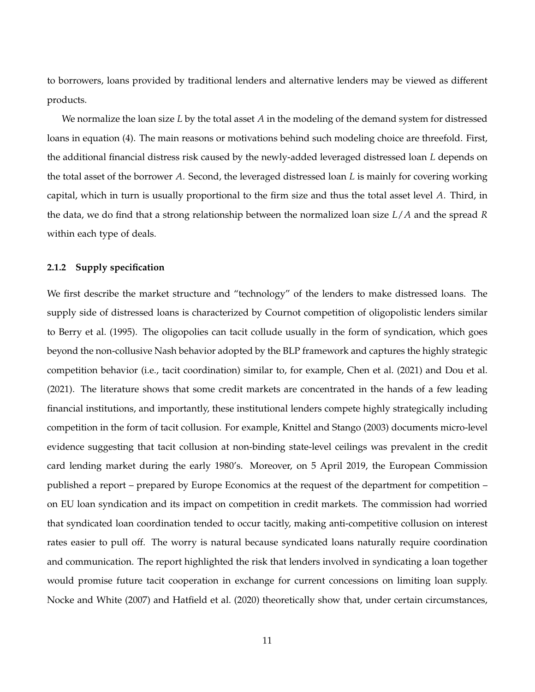to borrowers, loans provided by traditional lenders and alternative lenders may be viewed as different products.

We normalize the loan size *L* by the total asset *A* in the modeling of the demand system for distressed loans in equation (4). The main reasons or motivations behind such modeling choice are threefold. First, the additional financial distress risk caused by the newly-added leveraged distressed loan *L* depends on the total asset of the borrower *A*. Second, the leveraged distressed loan *L* is mainly for covering working capital, which in turn is usually proportional to the firm size and thus the total asset level *A*. Third, in the data, we do find that a strong relationship between the normalized loan size *L*/*A* and the spread *R* within each type of deals.

#### **2.1.2 Supply specification**

We first describe the market structure and "technology" of the lenders to make distressed loans. The supply side of distressed loans is characterized by Cournot competition of oligopolistic lenders similar to Berry et al. (1995). The oligopolies can tacit collude usually in the form of syndication, which goes beyond the non-collusive Nash behavior adopted by the BLP framework and captures the highly strategic competition behavior (i.e., tacit coordination) similar to, for example, Chen et al. (2021) and Dou et al. (2021). The literature shows that some credit markets are concentrated in the hands of a few leading financial institutions, and importantly, these institutional lenders compete highly strategically including competition in the form of tacit collusion. For example, Knittel and Stango (2003) documents micro-level evidence suggesting that tacit collusion at non-binding state-level ceilings was prevalent in the credit card lending market during the early 1980's. Moreover, on 5 April 2019, the European Commission published a report – prepared by Europe Economics at the request of the department for competition – on EU loan syndication and its impact on competition in credit markets. The commission had worried that syndicated loan coordination tended to occur tacitly, making anti-competitive collusion on interest rates easier to pull off. The worry is natural because syndicated loans naturally require coordination and communication. The report highlighted the risk that lenders involved in syndicating a loan together would promise future tacit cooperation in exchange for current concessions on limiting loan supply. Nocke and White (2007) and Hatfield et al. (2020) theoretically show that, under certain circumstances,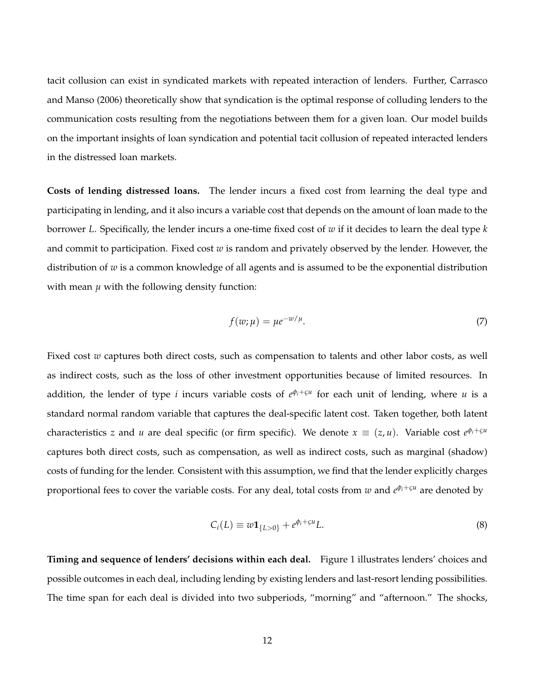tacit collusion can exist in syndicated markets with repeated interaction of lenders. Further, Carrasco and Manso (2006) theoretically show that syndication is the optimal response of colluding lenders to the communication costs resulting from the negotiations between them for a given loan. Our model builds on the important insights of loan syndication and potential tacit collusion of repeated interacted lenders in the distressed loan markets.

**Costs of lending distressed loans.** The lender incurs a fixed cost from learning the deal type and participating in lending, and it also incurs a variable cost that depends on the amount of loan made to the borrower *L*. Specifically, the lender incurs a one-time fixed cost of *w* if it decides to learn the deal type *k* and commit to participation. Fixed cost *w* is random and privately observed by the lender. However, the distribution of *w* is a common knowledge of all agents and is assumed to be the exponential distribution with mean  $\mu$  with the following density function:

$$
f(w; \mu) = \mu e^{-w/\mu}.
$$
 (7)

Fixed cost *w* captures both direct costs, such as compensation to talents and other labor costs, as well as indirect costs, such as the loss of other investment opportunities because of limited resources. In addition, the lender of type *i* incurs variable costs of *e φi*+*ςu* for each unit of lending, where *u* is a standard normal random variable that captures the deal-specific latent cost. Taken together, both latent characteristics *z* and *u* are deal specific (or firm specific). We denote  $x \equiv (z, u)$ . Variable cost  $e^{\phi_i + \varsigma u}$ captures both direct costs, such as compensation, as well as indirect costs, such as marginal (shadow) costs of funding for the lender. Consistent with this assumption, we find that the lender explicitly charges proportional fees to cover the variable costs. For any deal, total costs from *w* and *e <sup>φ</sup>i*+*ς<sup>u</sup>* are denoted by

$$
C_i(L) \equiv w \mathbf{1}_{\{L>0\}} + e^{\phi_i + \varsigma u} L. \tag{8}
$$

**Timing and sequence of lenders' decisions within each deal.** Figure 1 illustrates lenders' choices and possible outcomes in each deal, including lending by existing lenders and last-resort lending possibilities. The time span for each deal is divided into two subperiods, "morning" and "afternoon." The shocks,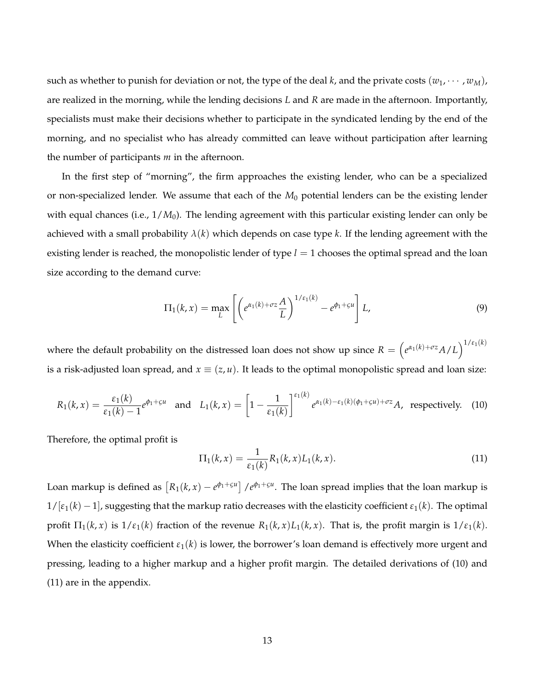such as whether to punish for deviation or not, the type of the deal *k*, and the private costs  $(w_1, \dots, w_M)$ , are realized in the morning, while the lending decisions *L* and *R* are made in the afternoon. Importantly, specialists must make their decisions whether to participate in the syndicated lending by the end of the morning, and no specialist who has already committed can leave without participation after learning the number of participants *m* in the afternoon.

In the first step of "morning", the firm approaches the existing lender, who can be a specialized or non-specialized lender. We assume that each of the *M*<sup>0</sup> potential lenders can be the existing lender with equal chances (i.e.,  $1/M_0$ ). The lending agreement with this particular existing lender can only be achieved with a small probability  $\lambda(k)$  which depends on case type k. If the lending agreement with the existing lender is reached, the monopolistic lender of type *l* = 1 chooses the optimal spread and the loan size according to the demand curve:

$$
\Pi_1(k,x) = \max_{L} \left[ \left( e^{\alpha_1(k) + \sigma z} \frac{A}{L} \right)^{1/\varepsilon_1(k)} - e^{\phi_1 + \varsigma u} \right] L,
$$
\n(9)

where the default probability on the distressed loan does not show up since  $R = \left(e^{\alpha_1(k)+\sigma z}A/L\right)^{1/\epsilon_1(k)}$ is a risk-adjusted loan spread, and  $x \equiv (z, u)$ . It leads to the optimal monopolistic spread and loan size:

$$
R_1(k,x) = \frac{\varepsilon_1(k)}{\varepsilon_1(k) - 1} e^{\phi_1 + \varsigma u} \quad \text{and} \quad L_1(k,x) = \left[1 - \frac{1}{\varepsilon_1(k)}\right]^{\varepsilon_1(k)} e^{\alpha_1(k) - \varepsilon_1(k)(\phi_1 + \varsigma u) + \sigma z} A, \text{ respectively.}
$$
 (10)

Therefore, the optimal profit is

$$
\Pi_1(k,x) = \frac{1}{\varepsilon_1(k)} R_1(k,x) L_1(k,x).
$$
\n(11)

Loan markup is defined as  $[R_1(k, x) - e^{\phi_1 + \varsigma u}]$  / $e^{\phi_1 + \varsigma u}$ . The loan spread implies that the loan markup is  $1/[\varepsilon_1(k)-1]$ , suggesting that the markup ratio decreases with the elasticity coefficient  $\varepsilon_1(k)$ . The optimal profit  $\Pi_1(k, x)$  is  $1/\varepsilon_1(k)$  fraction of the revenue  $R_1(k, x)L_1(k, x)$ . That is, the profit margin is  $1/\varepsilon_1(k)$ . When the elasticity coefficient  $\varepsilon_1(k)$  is lower, the borrower's loan demand is effectively more urgent and pressing, leading to a higher markup and a higher profit margin. The detailed derivations of (10) and (11) are in the appendix.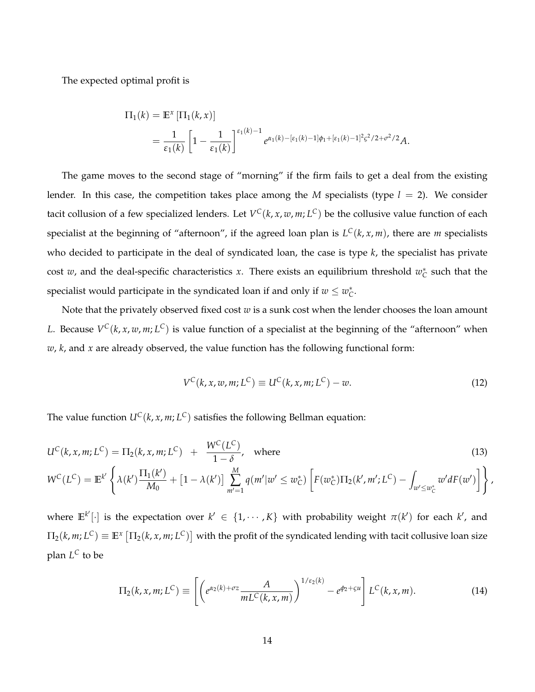The expected optimal profit is

$$
\Pi_1(k) = \mathbb{E}^x [\Pi_1(k, x)]
$$
  
=  $\frac{1}{\varepsilon_1(k)} \left[ 1 - \frac{1}{\varepsilon_1(k)} \right]^{\varepsilon_1(k) - 1} e^{\alpha_1(k) - [\varepsilon_1(k) - 1] \phi_1 + [\varepsilon_1(k) - 1]^2 \varsigma^2 / 2 + \sigma^2 / 2} A.$ 

The game moves to the second stage of "morning" if the firm fails to get a deal from the existing lender. In this case, the competition takes place among the *M* specialists (type  $l = 2$ ). We consider tacit collusion of a few specialized lenders. Let  $V^C(k, x, w, m; L^C)$  be the collusive value function of each specialist at the beginning of "afternoon", if the agreed loan plan is *L <sup>C</sup>*(*k*, *x*, *m*), there are *m* specialists who decided to participate in the deal of syndicated loan, the case is type *k*, the specialist has private cost *w*, and the deal-specific characteristics *x*. There exists an equilibrium threshold  $w_C^*$  such that the specialist would participate in the syndicated loan if and only if  $w \leq w_C^*$ .

Note that the privately observed fixed cost *w* is a sunk cost when the lender chooses the loan amount *L*. Because *V <sup>C</sup>*(*k*, *x*, *w*, *m*; *L <sup>C</sup>*) is value function of a specialist at the beginning of the "afternoon" when *w*, *k*, and *x* are already observed, the value function has the following functional form:

$$
V^{C}(k, x, w, m; L^{C}) \equiv U^{C}(k, x, m; L^{C}) - w.
$$
\n(12)

The value function  $U^C(k, x, m; L^C)$  satisfies the following Bellman equation:

$$
U^{C}(k, x, m; L^{C}) = \Pi_{2}(k, x, m; L^{C}) + \frac{W^{C}(L^{C})}{1 - \delta}, \text{ where}
$$
\n(13)

$$
W^{C}(L^{C}) = \mathbb{E}^{k'}\left\{\lambda(k')\frac{\Pi_{1}(k')}{M_{0}} + \left[1-\lambda(k')\right]\sum_{m'=1}^{M}q(m'|w' \leq w_{C}^{*})\left[F(w_{C}^{*})\Pi_{2}(k',m';L^{C}) - \int_{w' \leq w_{C}^{*}}w'dF(w')\right]\right\},\,
$$

where  $\mathbb{E}^{k'}[\cdot]$  is the expectation over  $k' \in \{1, \cdots, K\}$  with probability weight  $\pi(k')$  for each  $k'$ , and  $\Pi_2(k,m;L^C)\equiv\mathbb{E}^x\left[\Pi_2(k,x,m;L^C)\right]$  with the profit of the syndicated lending with tacit collusive loan size plan *L <sup>C</sup>* to be

$$
\Pi_2(k, x, m; L^C) \equiv \left[ \left( e^{\alpha_2(k) + \sigma z} \frac{A}{m L^C(k, x, m)} \right)^{1/\varepsilon_2(k)} - e^{\phi_2 + \varsigma u} \right] L^C(k, x, m). \tag{14}
$$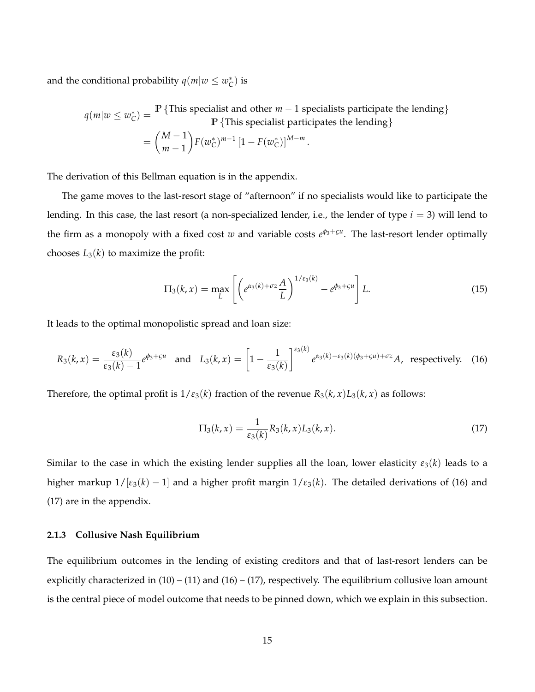and the conditional probability  $q(m|w \leq w_C^*)$  is

$$
q(m|w \le w_C^*) = \frac{\mathbb{P}\{\text{This specialist and other } m-1 \text{ specialists participate the lending}\}}{\mathbb{P}\{\text{This specialist participates the lending}\}} = \binom{M-1}{m-1} F(w_C^*)^{m-1} \left[1 - F(w_C^*)\right]^{M-m}.
$$

The derivation of this Bellman equation is in the appendix.

The game moves to the last-resort stage of "afternoon" if no specialists would like to participate the lending. In this case, the last resort (a non-specialized lender, i.e., the lender of type *i* = 3) will lend to the firm as a monopoly with a fixed cost *w* and variable costs *e φ*3+*ςu* . The last-resort lender optimally chooses  $L_3(k)$  to maximize the profit:

$$
\Pi_3(k,x) = \max_L \left[ \left( e^{\alpha_3(k) + \sigma z} \frac{A}{L} \right)^{1/\varepsilon_3(k)} - e^{\phi_3 + \varsigma u} \right] L. \tag{15}
$$

It leads to the optimal monopolistic spread and loan size:

$$
R_3(k,x) = \frac{\varepsilon_3(k)}{\varepsilon_3(k)-1} e^{\phi_3+\varsigma u} \quad \text{and} \quad L_3(k,x) = \left[1-\frac{1}{\varepsilon_3(k)}\right]^{\varepsilon_3(k)} e^{\alpha_3(k)-\varepsilon_3(k)(\phi_3+\varsigma u)+\sigma z} A, \text{ respectively.}
$$
 (16)

Therefore, the optimal profit is  $1/\varepsilon_3(k)$  fraction of the revenue  $R_3(k, x)L_3(k, x)$  as follows:

$$
\Pi_3(k,x) = \frac{1}{\varepsilon_3(k)} R_3(k,x) L_3(k,x).
$$
 (17)

Similar to the case in which the existing lender supplies all the loan, lower elasticity  $\varepsilon_3(k)$  leads to a higher markup  $1/[\varepsilon_3(k) - 1]$  and a higher profit margin  $1/\varepsilon_3(k)$ . The detailed derivations of (16) and (17) are in the appendix.

#### **2.1.3 Collusive Nash Equilibrium**

The equilibrium outcomes in the lending of existing creditors and that of last-resort lenders can be explicitly characterized in  $(10) - (11)$  and  $(16) - (17)$ , respectively. The equilibrium collusive loan amount is the central piece of model outcome that needs to be pinned down, which we explain in this subsection.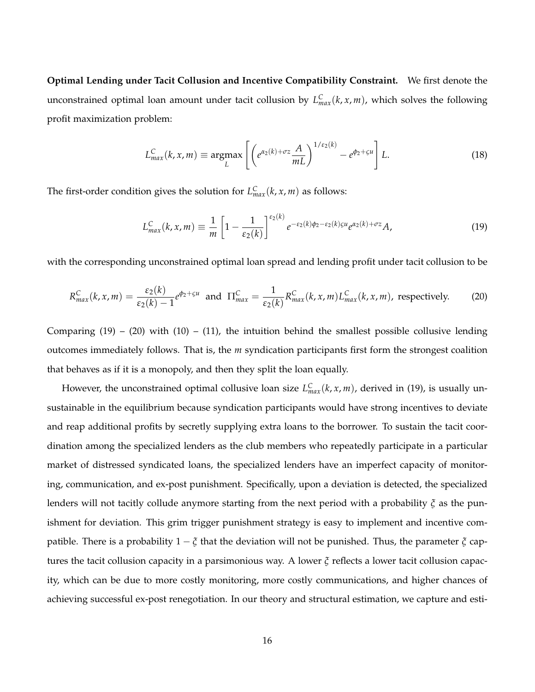**Optimal Lending under Tacit Collusion and Incentive Compatibility Constraint.** We first denote the unconstrained optimal loan amount under tacit collusion by  $L_{max}^C(k, x, m)$ , which solves the following profit maximization problem:

$$
L_{max}^{C}(k, x, m) \equiv \underset{L}{\operatorname{argmax}} \left[ \left( e^{\alpha_2(k) + \sigma z} \frac{A}{mL} \right)^{1/\varepsilon_2(k)} - e^{\phi_2 + \varepsilon u} \right] L. \tag{18}
$$

The first-order condition gives the solution for  $L_{max}^C(k, x, m)$  as follows:

$$
L_{max}^{C}(k, x, m) \equiv \frac{1}{m} \left[ 1 - \frac{1}{\varepsilon_2(k)} \right]^{\varepsilon_2(k)} e^{-\varepsilon_2(k)\phi_2 - \varepsilon_2(k)\phi_2} e^{\alpha_2(k) + \sigma z} A,
$$
\n(19)

with the corresponding unconstrained optimal loan spread and lending profit under tacit collusion to be

$$
R_{max}^C(k, x, m) = \frac{\varepsilon_2(k)}{\varepsilon_2(k) - 1} e^{\phi_2 + \varsigma u} \text{ and } \Pi_{max}^C = \frac{1}{\varepsilon_2(k)} R_{max}^C(k, x, m) L_{max}^C(k, x, m), \text{ respectively.}
$$
 (20)

Comparing  $(19) - (20)$  with  $(10) - (11)$ , the intuition behind the smallest possible collusive lending outcomes immediately follows. That is, the *m* syndication participants first form the strongest coalition that behaves as if it is a monopoly, and then they split the loan equally.

However, the unconstrained optimal collusive loan size  $L_{max}^C(k, x, m)$ , derived in (19), is usually unsustainable in the equilibrium because syndication participants would have strong incentives to deviate and reap additional profits by secretly supplying extra loans to the borrower. To sustain the tacit coordination among the specialized lenders as the club members who repeatedly participate in a particular market of distressed syndicated loans, the specialized lenders have an imperfect capacity of monitoring, communication, and ex-post punishment. Specifically, upon a deviation is detected, the specialized lenders will not tacitly collude anymore starting from the next period with a probability *ξ* as the punishment for deviation. This grim trigger punishment strategy is easy to implement and incentive compatible. There is a probability 1 − *ξ* that the deviation will not be punished. Thus, the parameter *ξ* captures the tacit collusion capacity in a parsimonious way. A lower *ξ* reflects a lower tacit collusion capacity, which can be due to more costly monitoring, more costly communications, and higher chances of achieving successful ex-post renegotiation. In our theory and structural estimation, we capture and esti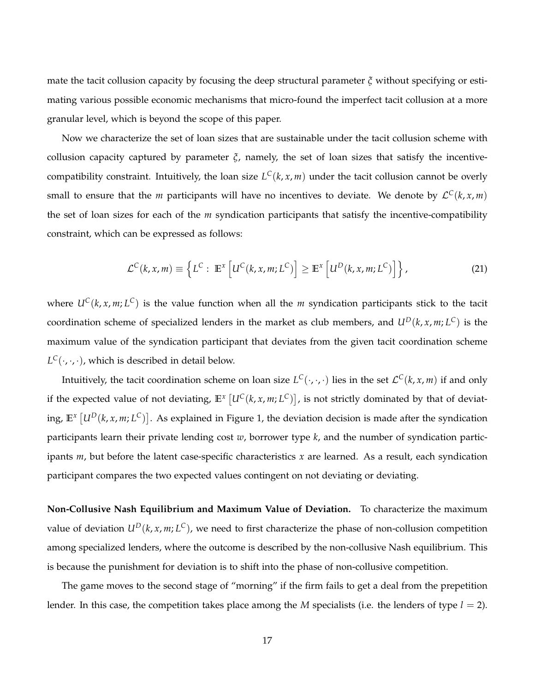mate the tacit collusion capacity by focusing the deep structural parameter *ξ* without specifying or estimating various possible economic mechanisms that micro-found the imperfect tacit collusion at a more granular level, which is beyond the scope of this paper.

Now we characterize the set of loan sizes that are sustainable under the tacit collusion scheme with collusion capacity captured by parameter *ξ*, namely, the set of loan sizes that satisfy the incentivecompatibility constraint. Intuitively, the loan size  $L^C(k, x, m)$  under the tacit collusion cannot be overly small to ensure that the *m* participants will have no incentives to deviate. We denote by  $\mathcal{L}^C(k, x, m)$ the set of loan sizes for each of the *m* syndication participants that satisfy the incentive-compatibility constraint, which can be expressed as follows:

$$
\mathcal{L}^C(k, x, m) \equiv \left\{ L^C : \mathbb{E}^x \left[ U^C(k, x, m; L^C) \right] \ge \mathbb{E}^x \left[ U^D(k, x, m; L^C) \right] \right\},\tag{21}
$$

where *UC*(*k*, *x*, *m*; *L <sup>C</sup>*) is the value function when all the *m* syndication participants stick to the tacit coordination scheme of specialized lenders in the market as club members, and  $U^D(k, x, m; L^C)$  is the maximum value of the syndication participant that deviates from the given tacit coordination scheme  $L^C(\cdot,\cdot,\cdot)$ , which is described in detail below.

Intuitively, the tacit coordination scheme on loan size  $L^C(\cdot,\cdot,\cdot)$  lies in the set  $\mathcal{L}^C(k,x,m)$  if and only if the expected value of not deviating,  $\mathbb{E}^x\left[ U^C(k,x,m;L^C) \right]$ , is not strictly dominated by that of deviating,  $\mathbb{E}^x\left[ U^D(k, x, m; L^C) \right]$ . As explained in Figure 1, the deviation decision is made after the syndication participants learn their private lending cost *w*, borrower type *k*, and the number of syndication participants *m*, but before the latent case-specific characteristics *x* are learned. As a result, each syndication participant compares the two expected values contingent on not deviating or deviating.

**Non-Collusive Nash Equilibrium and Maximum Value of Deviation.** To characterize the maximum value of deviation  $U^D(k, x, m; L^C)$ , we need to first characterize the phase of non-collusion competition among specialized lenders, where the outcome is described by the non-collusive Nash equilibrium. This is because the punishment for deviation is to shift into the phase of non-collusive competition.

The game moves to the second stage of "morning" if the firm fails to get a deal from the prepetition lender. In this case, the competition takes place among the *M* specialists (i.e. the lenders of type *l* = 2).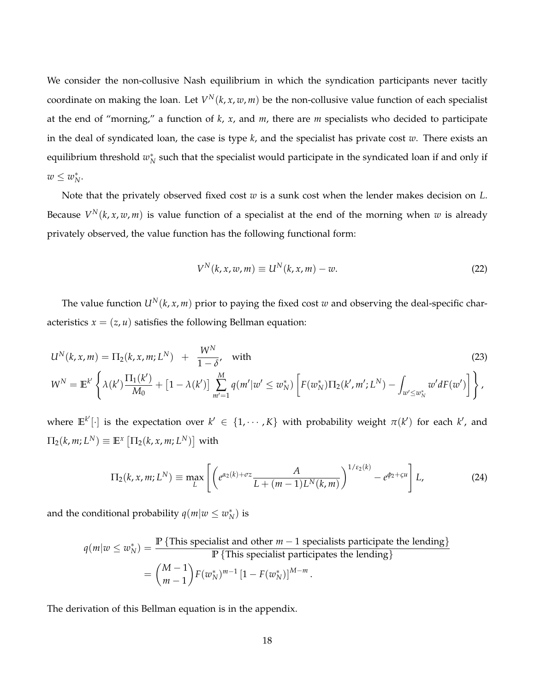We consider the non-collusive Nash equilibrium in which the syndication participants never tacitly coordinate on making the loan. Let  $V^N(k, x, w, m)$  be the non-collusive value function of each specialist at the end of "morning," a function of *k*, *x*, and *m*, there are *m* specialists who decided to participate in the deal of syndicated loan, the case is type *k*, and the specialist has private cost *w*. There exists an equilibrium threshold  $w_N^*$  such that the specialist would participate in the syndicated loan if and only if  $w \leq w_N^*$ .

Note that the privately observed fixed cost *w* is a sunk cost when the lender makes decision on *L*. Because  $V^N(k, x, w, m)$  is value function of a specialist at the end of the morning when  $w$  is already privately observed, the value function has the following functional form:

$$
V^N(k, x, w, m) \equiv U^N(k, x, m) - w.
$$
\n<sup>(22)</sup>

The value function  $U^N(k, x, m)$  prior to paying the fixed cost *w* and observing the deal-specific characteristics  $x = (z, u)$  satisfies the following Bellman equation:

$$
U^{N}(k, x, m) = \Pi_{2}(k, x, m; L^{N}) + \frac{W^{N}}{1 - \delta}, \text{ with}
$$
\n
$$
W^{N} = \mathbb{E}^{k'} \left\{ \lambda(k') \frac{\Pi_{1}(k')}{M_{0}} + \left[1 - \lambda(k')\right] \sum_{m'=1}^{M} q(m'|w' \leq w_{N}^{*}) \left[F(w_{N}^{*}) \Pi_{2}(k', m'; L^{N}) - \int_{w' \leq w_{N}^{*}} w' dF(w')\right] \right\},
$$
\n(23)

where  $\mathbb{E}^{k'}[\cdot]$  is the expectation over  $k' \in \{1, \cdots, K\}$  with probability weight  $\pi(k')$  for each  $k'$ , and  $\Pi_2(k,m;L^N)\equiv\mathbb{E}^x\left[\Pi_2(k,x,m;L^N)\right]$  with

$$
\Pi_2(k, x, m; L^N) \equiv \max_L \left[ \left( e^{\alpha_2(k) + \sigma z} \frac{A}{L + (m-1)L^N(k, m)} \right)^{1/\varepsilon_2(k)} - e^{\phi_2 + \varsigma u} \right] L, \tag{24}
$$

and the conditional probability  $q(m|w \leq w_N^*)$  is

$$
q(m|w \le w_N^*) = \frac{\mathbb{P}\{\text{This specialist and other } m-1 \text{ specialists participate the lending}\}}{\mathbb{P}\{\text{This specialist participates the lending}\}} \\
= {M-1 \choose m-1} F(w_N^*)^{m-1} [1 - F(w_N^*)]^{M-m}.
$$

The derivation of this Bellman equation is in the appendix.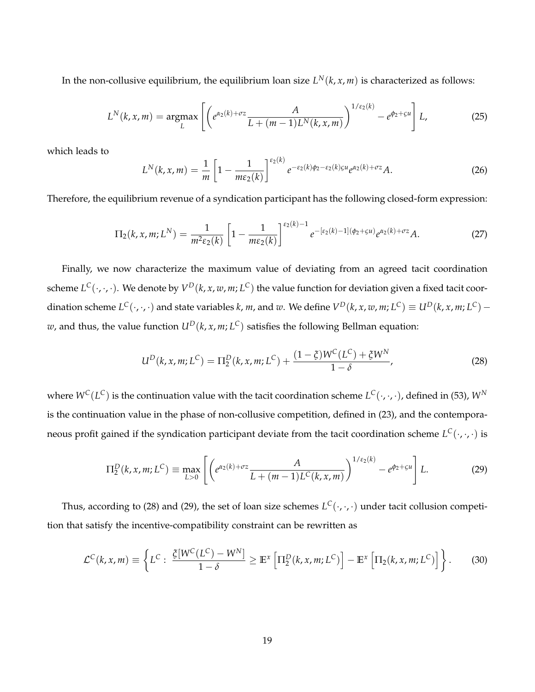In the non-collusive equilibrium, the equilibrium loan size  $L^N(k,x,m)$  is characterized as follows:

$$
L^{N}(k, x, m) = \underset{L}{\operatorname{argmax}} \left[ \left( e^{\alpha_2(k) + \sigma z} \frac{A}{L + (m-1)L^{N}(k, x, m)} \right)^{1/\varepsilon_2(k)} - e^{\phi_2 + \varsigma u} \right] L, \tag{25}
$$

which leads to

$$
L^N(k, x, m) = \frac{1}{m} \left[ 1 - \frac{1}{m \varepsilon_2(k)} \right]^{\varepsilon_2(k)} e^{-\varepsilon_2(k)\phi_2 - \varepsilon_2(k)\phi_2} e^{\alpha_2(k) + \sigma z} A.
$$
 (26)

Therefore, the equilibrium revenue of a syndication participant has the following closed-form expression:

$$
\Pi_2(k, x, m; L^N) = \frac{1}{m^2 \varepsilon_2(k)} \left[ 1 - \frac{1}{m \varepsilon_2(k)} \right]^{\varepsilon_2(k) - 1} e^{-\left[\varepsilon_2(k) - 1\right](\phi_2 + \varsigma u)} e^{\alpha_2(k) + \sigma z} A. \tag{27}
$$

Finally, we now characterize the maximum value of deviating from an agreed tacit coordination scheme  $L^C(\cdot,\cdot,\cdot)$ . We denote by  $V^D(k,x,w,m;L^C)$  the value function for deviation given a fixed tacit coordination scheme  $L^C(\cdot,\cdot,\cdot)$  and state variables  $k$ ,  $m$ , and  $w$ . We define  $V^D(k,x,w,m;L^C)\equiv U^D(k,x,m;L^C)-1$  $w$ , and thus, the value function  $U^D(k,x,m;L^C)$  satisfies the following Bellman equation:

$$
U^{D}(k, x, m; L^{C}) = \Pi_{2}^{D}(k, x, m; L^{C}) + \frac{(1 - \xi)W^{C}(L^{C}) + \xi W^{N}}{1 - \delta},
$$
\n(28)

where  $W^C(L^C)$  is the continuation value with the tacit coordination scheme  $L^C(\cdot,\cdot,\cdot)$ , defined in (53),  $W^N$ is the continuation value in the phase of non-collusive competition, defined in (23), and the contemporaneous profit gained if the syndication participant deviate from the tacit coordination scheme *L <sup>C</sup>*(·, ·, ·) is

$$
\Pi_2^D(k, x, m; L^C) \equiv \max_{L>0} \left[ \left( e^{\alpha_2(k) + \sigma z} \frac{A}{L + (m-1)L^C(k, x, m)} \right)^{1/\varepsilon_2(k)} - e^{\phi_2 + \varsigma u} \right] L. \tag{29}
$$

Thus, according to (28) and (29), the set of loan size schemes  $L^C(\cdot,\cdot,\cdot)$  under tacit collusion competition that satisfy the incentive-compatibility constraint can be rewritten as

$$
\mathcal{L}^C(k,x,m) \equiv \left\{ L^C : \frac{\xi[W^C(L^C) - W^N]}{1 - \delta} \ge \mathbb{E}^x \left[ \Pi_2^D(k,x,m;L^C) \right] - \mathbb{E}^x \left[ \Pi_2(k,x,m;L^C) \right] \right\}.
$$
 (30)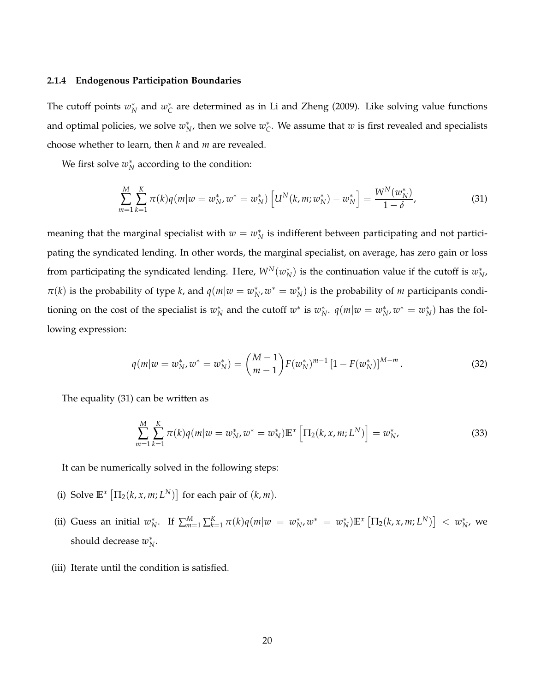#### **2.1.4 Endogenous Participation Boundaries**

The cutoff points  $w_N^*$  and  $w_C^*$  are determined as in Li and Zheng (2009). Like solving value functions and optimal policies, we solve  $w_N^*$ , then we solve  $w_C^*$ . We assume that  $w$  is first revealed and specialists choose whether to learn, then *k* and *m* are revealed.

We first solve  $w_N^*$  according to the condition:

$$
\sum_{m=1}^{M} \sum_{k=1}^{K} \pi(k) q(m|w=w_{N}^{*}, w^{*}=w_{N}^{*}) \left[U^{N}(k, m; w_{N}^{*})-w_{N}^{*}\right]=\frac{W^{N}(w_{N}^{*})}{1-\delta}, \qquad (31)
$$

meaning that the marginal specialist with  $w = w_N^*$  is indifferent between participating and not participating the syndicated lending. In other words, the marginal specialist, on average, has zero gain or loss from participating the syndicated lending. Here,  $W^N(w_N^*)$  is the continuation value if the cutoff is  $w_{N'}^*$  $\pi(k)$  is the probability of type *k*, and  $q(m|w = w_N^*, w^* = w_N^*)$  is the probability of *m* participants conditioning on the cost of the specialist is  $w_N^*$  and the cutoff  $w^*$  is  $w_N^*$ .  $q(m|w=w_N^*, w^* = w_N^*)$  has the following expression:

$$
q(m|w=w_N^*, w^* = w_N^*) = {M-1 \choose m-1} F(w_N^*)^{m-1} [1 - F(w_N^*)]^{M-m}.
$$
 (32)

The equality (31) can be written as

$$
\sum_{m=1}^{M} \sum_{k=1}^{K} \pi(k) q(m|w = w_N^*, w^* = w_N^*) \mathbb{E}^x \left[ \Pi_2(k, x, m; L^N) \right] = w_N^*,
$$
\n(33)

It can be numerically solved in the following steps:

- (i) Solve  $\mathbb{E}^x \left[ \prod_2 (k, x, m; L^N) \right]$  for each pair of  $(k, m)$ .
- (ii) Guess an initial  $w_N^*$ . If  $\sum_{m=1}^M\sum_{k=1}^K \pi(k)q(m|w=w_N^*,w^*=w_N^*)\mathbb{E}^x\left[\Pi_2(k,x,m;L^N)\right] < w_N^*$ , we should decrease  $w_N^*$ .
- (iii) Iterate until the condition is satisfied.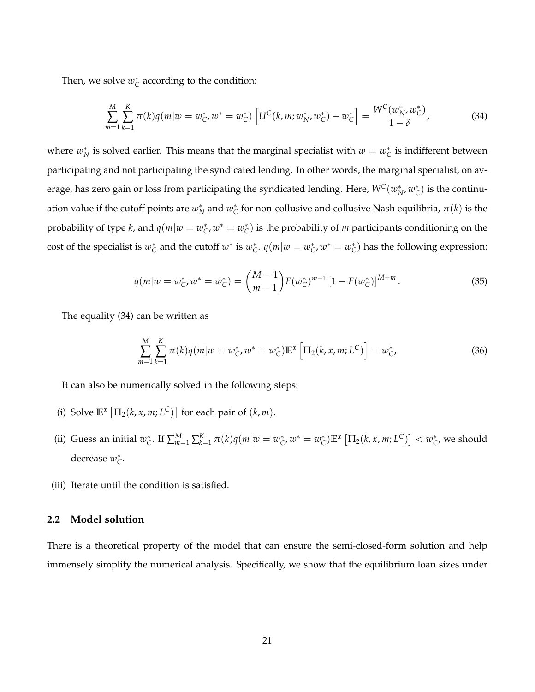Then, we solve  $w_C^*$  according to the condition:

$$
\sum_{m=1}^{M} \sum_{k=1}^{K} \pi(k) q(m|w=w_{C}^{*}, w^{*}=w_{C}^{*}) \left[U^{C}(k, m; w_{N}^{*}, w_{C}^{*})-w_{C}^{*}\right]=\frac{W^{C}(w_{N}^{*}, w_{C}^{*})}{1-\delta}, \qquad (34)
$$

where  $w_N^*$  is solved earlier. This means that the marginal specialist with  $w = w_C^*$  is indifferent between participating and not participating the syndicated lending. In other words, the marginal specialist, on average, has zero gain or loss from participating the syndicated lending. Here,  $W^C(w_N^*,w_{\mathcal{C}}^*)$  is the continuation value if the cutoff points are  $w_N^*$  and  $w_C^*$  for non-collusive and collusive Nash equilibria,  $\pi(k)$  is the probability of type *k*, and  $q(m|w = w_C^*, w^* = w_C^*)$  is the probability of *m* participants conditioning on the cost of the specialist is  $w_C^*$  and the cutoff  $w^*$  is  $w_C^*$ .  $q(m|w=w_C^*, w^* = w_C^*)$  has the following expression:

$$
q(m|w=w_C^*, w^* = w_C^*) = {M-1 \choose m-1} F(w_C^*)^{m-1} [1 - F(w_C^*)]^{M-m}.
$$
\n(35)

The equality (34) can be written as

$$
\sum_{m=1}^{M} \sum_{k=1}^{K} \pi(k) q(m|w=w_{C}^{*}, w^{*}=w_{C}^{*}) \mathbb{E}^{x} \left[\Pi_{2}(k, x, m; L^{C})\right]=w_{C}^{*}, \qquad (36)
$$

It can also be numerically solved in the following steps:

- (i) Solve  $\mathbb{E}^x \left[ \Pi_2(k, x, m; L^C) \right]$  for each pair of  $(k, m)$ .
- (ii) Guess an initial  $w_C^*$ . If  $\sum_{m=1}^M\sum_{k=1}^K \pi(k)q(m|w=w_C^*,w^*=w_C^*)\mathbb{E}^x\left[\Pi_2(k,x,m;L^C)\right]< w_C^*$ , we should decrease *w*<sub>*c*</sub><sup>*\**</sup>.
- (iii) Iterate until the condition is satisfied.

## **2.2 Model solution**

There is a theoretical property of the model that can ensure the semi-closed-form solution and help immensely simplify the numerical analysis. Specifically, we show that the equilibrium loan sizes under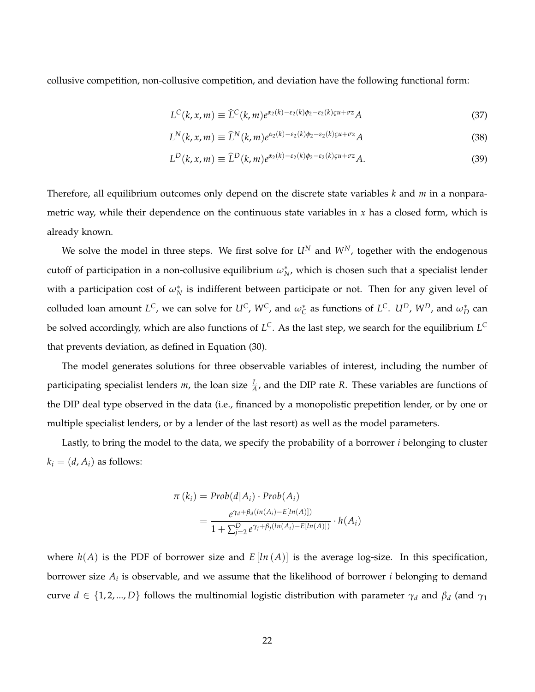collusive competition, non-collusive competition, and deviation have the following functional form:

$$
L^{C}(k, x, m) \equiv \widehat{L}^{C}(k, m) e^{\alpha_2(k) - \varepsilon_2(k)\phi_2 - \varepsilon_2(k)\phi_1 + \sigma z} A
$$
\n(37)

$$
L^N(k, x, m) \equiv \widehat{L}^N(k, m) e^{\alpha_2(k) - \varepsilon_2(k)\phi_2 - \varepsilon_2(k)\varsigma u + \sigma z} A
$$
\n(38)

$$
L^D(k, x, m) \equiv \widehat{L}^D(k, m) e^{\alpha_2(k) - \epsilon_2(k)\phi_2 - \epsilon_2(k)\varrho u + \sigma z} A.
$$
\n(39)

Therefore, all equilibrium outcomes only depend on the discrete state variables *k* and *m* in a nonparametric way, while their dependence on the continuous state variables in  $x$  has a closed form, which is already known.

We solve the model in three steps. We first solve for  $U^N$  and  $W^N$ , together with the endogenous cutoff of participation in a non-collusive equilibrium  $\omega_N^*$ , which is chosen such that a specialist lender with a participation cost of  $\omega_N^*$  is indifferent between participate or not. Then for any given level of colluded loan amount  $L^C$ , we can solve for  $U^C$ ,  $W^C$ , and  $\omega_C^*$  as functions of  $L^C$ .  $U^D$ ,  $W^D$ , and  $\omega_D^*$  can be solved accordingly, which are also functions of *L <sup>C</sup>*. As the last step, we search for the equilibrium *L C* that prevents deviation, as defined in Equation (30).

The model generates solutions for three observable variables of interest, including the number of participating specialist lenders *m*, the loan size  $\frac{L}{A}$ , and the DIP rate *R*. These variables are functions of the DIP deal type observed in the data (i.e., financed by a monopolistic prepetition lender, or by one or multiple specialist lenders, or by a lender of the last resort) as well as the model parameters.

Lastly, to bring the model to the data, we specify the probability of a borrower *i* belonging to cluster  $k_i = (d, A_i)$  as follows:

$$
\pi(k_i) = Prob(d|A_i) \cdot Prob(A_i)
$$
  
= 
$$
\frac{e^{\gamma_d + \beta_d(ln(A_i) - E[ln(A)])}}{1 + \sum_{j=2}^D e^{\gamma_j + \beta_j(ln(A_i) - E[ln(A)])}} \cdot h(A_i)
$$

where  $h(A)$  is the PDF of borrower size and  $E[ln(A)]$  is the average log-size. In this specification, borrower size *A<sup>i</sup>* is observable, and we assume that the likelihood of borrower *i* belonging to demand curve  $d \in \{1, 2, ..., D\}$  follows the multinomial logistic distribution with parameter  $\gamma_d$  and  $\beta_d$  (and  $\gamma_1$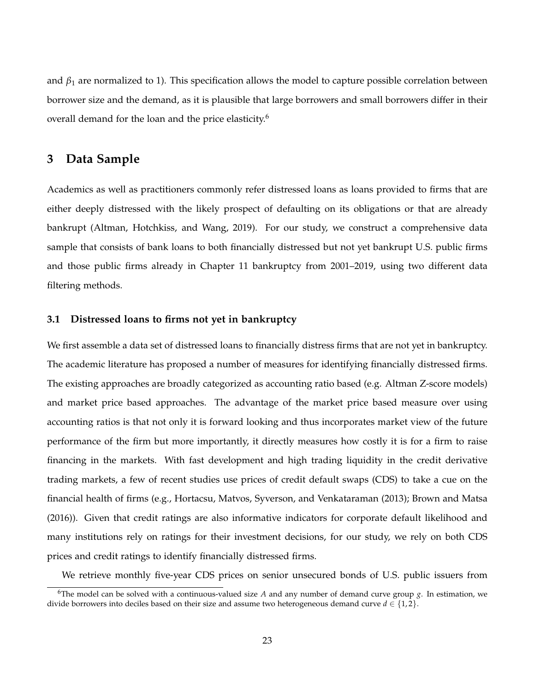and  $\beta_1$  are normalized to 1). This specification allows the model to capture possible correlation between borrower size and the demand, as it is plausible that large borrowers and small borrowers differ in their overall demand for the loan and the price elasticity.<sup>6</sup>

## **3 Data Sample**

Academics as well as practitioners commonly refer distressed loans as loans provided to firms that are either deeply distressed with the likely prospect of defaulting on its obligations or that are already bankrupt (Altman, Hotchkiss, and Wang, 2019). For our study, we construct a comprehensive data sample that consists of bank loans to both financially distressed but not yet bankrupt U.S. public firms and those public firms already in Chapter 11 bankruptcy from 2001–2019, using two different data filtering methods.

### **3.1 Distressed loans to firms not yet in bankruptcy**

We first assemble a data set of distressed loans to financially distress firms that are not yet in bankruptcy. The academic literature has proposed a number of measures for identifying financially distressed firms. The existing approaches are broadly categorized as accounting ratio based (e.g. Altman Z-score models) and market price based approaches. The advantage of the market price based measure over using accounting ratios is that not only it is forward looking and thus incorporates market view of the future performance of the firm but more importantly, it directly measures how costly it is for a firm to raise financing in the markets. With fast development and high trading liquidity in the credit derivative trading markets, a few of recent studies use prices of credit default swaps (CDS) to take a cue on the financial health of firms (e.g., Hortacsu, Matvos, Syverson, and Venkataraman (2013); Brown and Matsa (2016)). Given that credit ratings are also informative indicators for corporate default likelihood and many institutions rely on ratings for their investment decisions, for our study, we rely on both CDS prices and credit ratings to identify financially distressed firms.

We retrieve monthly five-year CDS prices on senior unsecured bonds of U.S. public issuers from

<sup>&</sup>lt;sup>6</sup>The model can be solved with a continuous-valued size A and any number of demand curve group  $g$ . In estimation, we divide borrowers into deciles based on their size and assume two heterogeneous demand curve  $d \in \{1,2\}$ .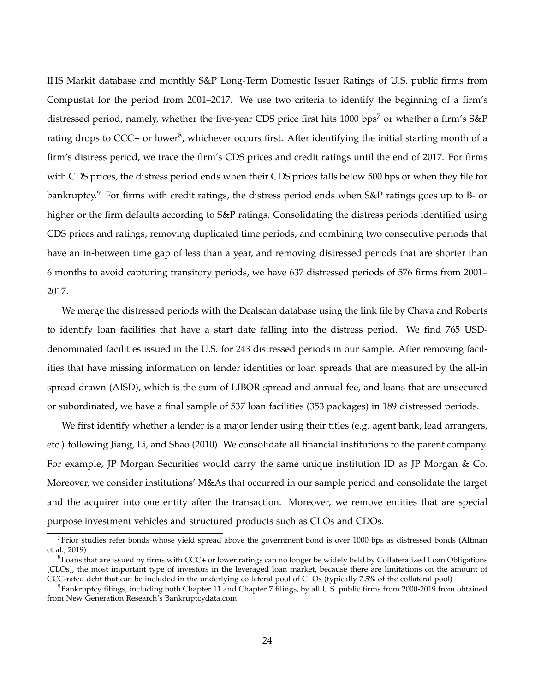IHS Markit database and monthly S&P Long-Term Domestic Issuer Ratings of U.S. public firms from Compustat for the period from 2001–2017. We use two criteria to identify the beginning of a firm's distressed period, namely, whether the five-year CDS price first hits 1000 bps<sup>7</sup> or whether a firm's S&P rating drops to CCC+ or lower<sup>8</sup>, whichever occurs first. After identifying the initial starting month of a firm's distress period, we trace the firm's CDS prices and credit ratings until the end of 2017. For firms with CDS prices, the distress period ends when their CDS prices falls below 500 bps or when they file for bankruptcy.<sup>9</sup> For firms with credit ratings, the distress period ends when S&P ratings goes up to B- or higher or the firm defaults according to S&P ratings. Consolidating the distress periods identified using CDS prices and ratings, removing duplicated time periods, and combining two consecutive periods that have an in-between time gap of less than a year, and removing distressed periods that are shorter than 6 months to avoid capturing transitory periods, we have 637 distressed periods of 576 firms from 2001– 2017.

We merge the distressed periods with the Dealscan database using the link file by Chava and Roberts to identify loan facilities that have a start date falling into the distress period. We find 765 USDdenominated facilities issued in the U.S. for 243 distressed periods in our sample. After removing facilities that have missing information on lender identities or loan spreads that are measured by the all-in spread drawn (AISD), which is the sum of LIBOR spread and annual fee, and loans that are unsecured or subordinated, we have a final sample of 537 loan facilities (353 packages) in 189 distressed periods.

We first identify whether a lender is a major lender using their titles (e.g. agent bank, lead arrangers, etc.) following Jiang, Li, and Shao (2010). We consolidate all financial institutions to the parent company. For example, JP Morgan Securities would carry the same unique institution ID as JP Morgan & Co. Moreover, we consider institutions' M&As that occurred in our sample period and consolidate the target and the acquirer into one entity after the transaction. Moreover, we remove entities that are special purpose investment vehicles and structured products such as CLOs and CDOs.

 $7$ Prior studies refer bonds whose yield spread above the government bond is over 1000 bps as distressed bonds (Altman et al., 2019)

<sup>8</sup>Loans that are issued by firms with CCC+ or lower ratings can no longer be widely held by Collateralized Loan Obligations (CLOs), the most important type of investors in the leveraged loan market, because there are limitations on the amount of CCC-rated debt that can be included in the underlying collateral pool of CLOs (typically 7.5% of the collateral pool)

 $9$ Bankruptcy filings, including both Chapter 11 and Chapter 7 filings, by all U.S. public firms from 2000-2019 from obtained from New Generation Research's Bankruptcydata.com.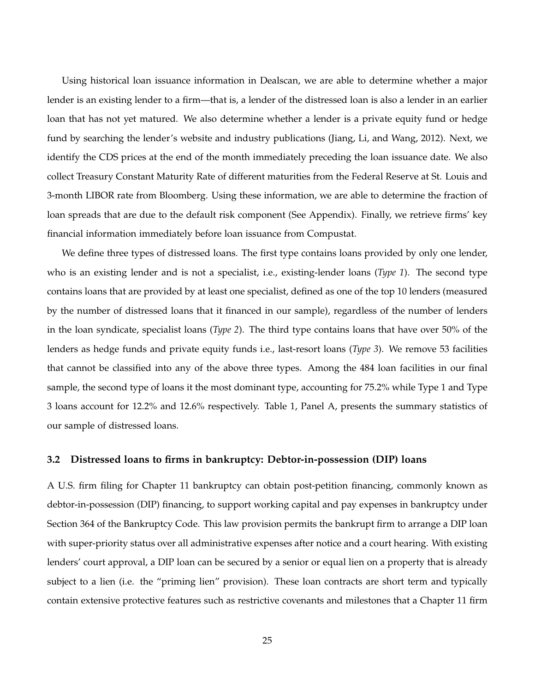Using historical loan issuance information in Dealscan, we are able to determine whether a major lender is an existing lender to a firm—that is, a lender of the distressed loan is also a lender in an earlier loan that has not yet matured. We also determine whether a lender is a private equity fund or hedge fund by searching the lender's website and industry publications (Jiang, Li, and Wang, 2012). Next, we identify the CDS prices at the end of the month immediately preceding the loan issuance date. We also collect Treasury Constant Maturity Rate of different maturities from the Federal Reserve at St. Louis and 3-month LIBOR rate from Bloomberg. Using these information, we are able to determine the fraction of loan spreads that are due to the default risk component (See Appendix). Finally, we retrieve firms' key financial information immediately before loan issuance from Compustat.

We define three types of distressed loans. The first type contains loans provided by only one lender, who is an existing lender and is not a specialist, i.e., existing-lender loans (*Type 1*). The second type contains loans that are provided by at least one specialist, defined as one of the top 10 lenders (measured by the number of distressed loans that it financed in our sample), regardless of the number of lenders in the loan syndicate, specialist loans (*Type 2*). The third type contains loans that have over 50% of the lenders as hedge funds and private equity funds i.e., last-resort loans (*Type 3*). We remove 53 facilities that cannot be classified into any of the above three types. Among the 484 loan facilities in our final sample, the second type of loans it the most dominant type, accounting for 75.2% while Type 1 and Type 3 loans account for 12.2% and 12.6% respectively. Table 1, Panel A, presents the summary statistics of our sample of distressed loans.

#### **3.2 Distressed loans to firms in bankruptcy: Debtor-in-possession (DIP) loans**

A U.S. firm filing for Chapter 11 bankruptcy can obtain post-petition financing, commonly known as debtor-in-possession (DIP) financing, to support working capital and pay expenses in bankruptcy under Section 364 of the Bankruptcy Code. This law provision permits the bankrupt firm to arrange a DIP loan with super-priority status over all administrative expenses after notice and a court hearing. With existing lenders' court approval, a DIP loan can be secured by a senior or equal lien on a property that is already subject to a lien (i.e. the "priming lien" provision). These loan contracts are short term and typically contain extensive protective features such as restrictive covenants and milestones that a Chapter 11 firm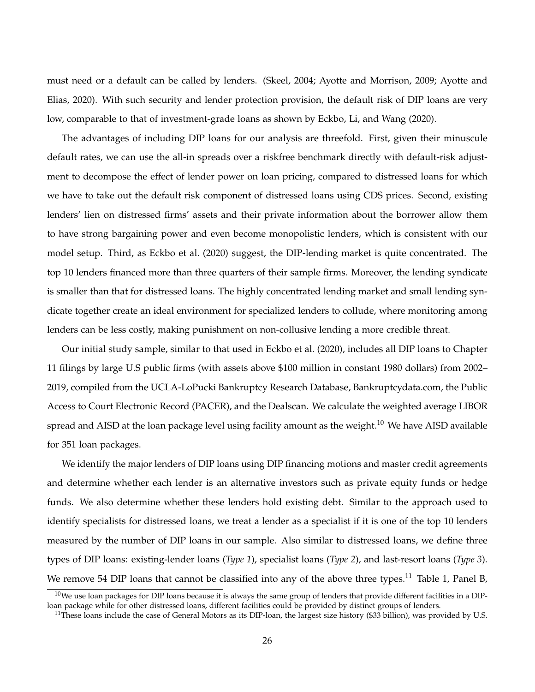must need or a default can be called by lenders. (Skeel, 2004; Ayotte and Morrison, 2009; Ayotte and Elias, 2020). With such security and lender protection provision, the default risk of DIP loans are very low, comparable to that of investment-grade loans as shown by Eckbo, Li, and Wang (2020).

The advantages of including DIP loans for our analysis are threefold. First, given their minuscule default rates, we can use the all-in spreads over a riskfree benchmark directly with default-risk adjustment to decompose the effect of lender power on loan pricing, compared to distressed loans for which we have to take out the default risk component of distressed loans using CDS prices. Second, existing lenders' lien on distressed firms' assets and their private information about the borrower allow them to have strong bargaining power and even become monopolistic lenders, which is consistent with our model setup. Third, as Eckbo et al. (2020) suggest, the DIP-lending market is quite concentrated. The top 10 lenders financed more than three quarters of their sample firms. Moreover, the lending syndicate is smaller than that for distressed loans. The highly concentrated lending market and small lending syndicate together create an ideal environment for specialized lenders to collude, where monitoring among lenders can be less costly, making punishment on non-collusive lending a more credible threat.

Our initial study sample, similar to that used in Eckbo et al. (2020), includes all DIP loans to Chapter 11 filings by large U.S public firms (with assets above \$100 million in constant 1980 dollars) from 2002– 2019, compiled from the UCLA-LoPucki Bankruptcy Research Database, Bankruptcydata.com, the Public Access to Court Electronic Record (PACER), and the Dealscan. We calculate the weighted average LIBOR spread and AISD at the loan package level using facility amount as the weight.<sup>10</sup> We have AISD available for 351 loan packages.

We identify the major lenders of DIP loans using DIP financing motions and master credit agreements and determine whether each lender is an alternative investors such as private equity funds or hedge funds. We also determine whether these lenders hold existing debt. Similar to the approach used to identify specialists for distressed loans, we treat a lender as a specialist if it is one of the top 10 lenders measured by the number of DIP loans in our sample. Also similar to distressed loans, we define three types of DIP loans: existing-lender loans (*Type 1*), specialist loans (*Type 2*), and last-resort loans (*Type 3*). We remove 54 DIP loans that cannot be classified into any of the above three types.<sup>11</sup> Table 1, Panel B,

 $^{10}$ We use loan packages for DIP loans because it is always the same group of lenders that provide different facilities in a DIPloan package while for other distressed loans, different facilities could be provided by distinct groups of lenders.

 $11$ These loans include the case of General Motors as its DIP-loan, the largest size history (\$33 billion), was provided by U.S.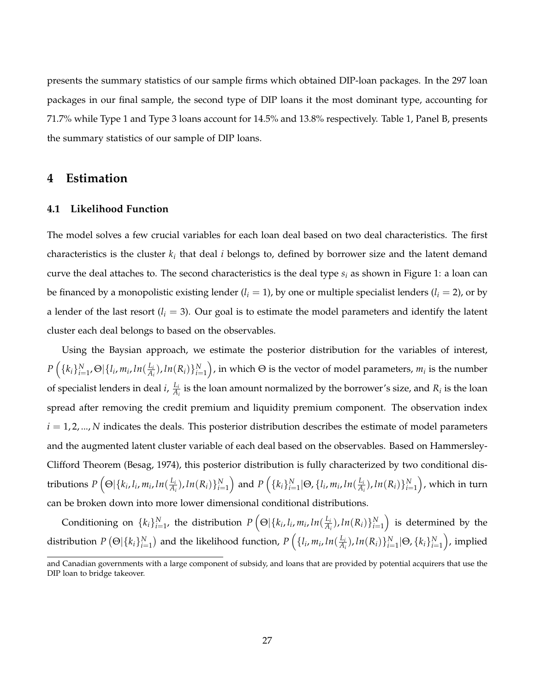presents the summary statistics of our sample firms which obtained DIP-loan packages. In the 297 loan packages in our final sample, the second type of DIP loans it the most dominant type, accounting for 71.7% while Type 1 and Type 3 loans account for 14.5% and 13.8% respectively. Table 1, Panel B, presents the summary statistics of our sample of DIP loans.

# **4 Estimation**

#### **4.1 Likelihood Function**

The model solves a few crucial variables for each loan deal based on two deal characteristics. The first characteristics is the cluster  $k_i$  that deal  $i$  belongs to, defined by borrower size and the latent demand curve the deal attaches to. The second characteristics is the deal type *s<sup>i</sup>* as shown in Figure 1: a loan can be financed by a monopolistic existing lender  $(l_i = 1)$ , by one or multiple specialist lenders  $(l_i = 2)$ , or by a lender of the last resort  $(l_i = 3)$ . Our goal is to estimate the model parameters and identify the latent cluster each deal belongs to based on the observables.

Using the Baysian approach, we estimate the posterior distribution for the variables of interest,  $P\left(\{k_i\}_{i=1}^N, \Theta \vert \{l_i, m_i, ln(\frac{L_i}{A_i})\}\right)$  $\frac{L_i}{A_i}$ ), *ln*( $R_i$ ) $\}_{i=1}^N$ ), in which  $\Theta$  is the vector of model parameters,  $m_i$  is the number of specialist lenders in deal *i*, *Li*  $\frac{L_i}{A_i}$  is the loan amount normalized by the borrower's size, and  $R_i$  is the loan spread after removing the credit premium and liquidity premium component. The observation index  $i = 1, 2, \dots, N$  indicates the deals. This posterior distribution describes the estimate of model parameters and the augmented latent cluster variable of each deal based on the observables. Based on Hammersley-Clifford Theorem (Besag, 1974), this posterior distribution is fully characterized by two conditional distributions  $P\left( \Theta|\{k_i, l_i, m_i, ln(\frac{L_i}{A})\}$  $\frac{L_i}{A_i}$ ),  $ln(R_i)\}_{i=1}^N$  and  $P\left(\{k_i\}_{i=1}^N | \Theta, \{l_i, m_i, ln(\frac{L_i}{A_i})\}_{i=1}^N\right)$  $\left(\frac{L_i}{A_i}\right)$ , ln $(R_i)\}_{i=1}^N\Big)$ , which in turn can be broken down into more lower dimensional conditional distributions.

Conditioning on  $\{k_i\}_{i=1}^N$ , the distribution  $P\left(\Theta|\{k_i,l_i,m_i,l\}\mathbb{1}_{\{A_i\}}\right)$  $\left(\frac{L_i}{A_i}\right)$ ,  $ln(R_i)\}_{i=1}^N\Big)$  is determined by the distribution  $P\left( \Theta | \{k_i\}_{i=1}^N \right)$  and the likelihood function,  $P\left( \{l_i, m_i, ln(\frac{L_i}{A_i}) \}$  $\frac{L_i}{A_i}$ ),  $ln(R_i)$   $\}_{i=1}^N |\Theta, \{k_i\}_{i=1}^N \bigg)$ , implied

and Canadian governments with a large component of subsidy, and loans that are provided by potential acquirers that use the DIP loan to bridge takeover.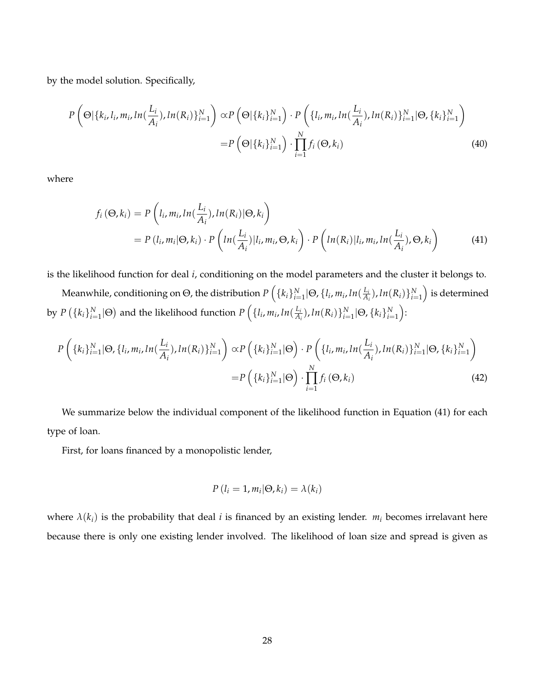by the model solution. Specifically,

$$
P\left(\Theta|\{k_i, l_i, m_i, \ln(\frac{L_i}{A_i}), \ln(R_i)\}_{i=1}^N\right) \propto P\left(\Theta|\{k_i\}_{i=1}^N\right) \cdot P\left(\{l_i, m_i, \ln(\frac{L_i}{A_i}), \ln(R_i)\}_{i=1}^N | \Theta, \{k_i\}_{i=1}^N\right)
$$
\n
$$
= P\left(\Theta|\{k_i\}_{i=1}^N\right) \cdot \prod_{i=1}^N f_i\left(\Theta, k_i\right)
$$
\n(40)

where

$$
f_i(\Theta, k_i) = P\left(l_i, m_i, ln(\frac{L_i}{A_i}), ln(R_i)|\Theta, k_i\right)
$$
  
=  $P(l_i, m_i|\Theta, k_i) \cdot P\left(ln(\frac{L_i}{A_i})|l_i, m_i, \Theta, k_i\right) \cdot P\left(ln(R_i)|l_i, m_i, ln(\frac{L_i}{A_i}), \Theta, k_i\right)$  (41)

is the likelihood function for deal *i*, conditioning on the model parameters and the cluster it belongs to.

 $N$ eanwhile, conditioning on  $\Theta$ , the distribution  $P\left(\{k_i\}_{i=1}^N\vert\Theta, \{l_i, m_i, ln(\frac{L_i}{A_i})\}\right)$  $\frac{L_i}{A_i}$ ),  $ln(R_i)\}_{i=1}^N\Big)$  is determined by  $P\left(\{k_i\}_{i=1}^N|\Theta\right)$  and the likelihood function  $P\left(\{l_i, m_i, ln(\frac{L_i}{A_i})\}\right)$  $\frac{L_i}{A_i}$ ),  $ln(R_i)$   $\big\}^N_{i=1}$   $\big\{\Theta, \{k_i\}^N_{i=1}\big\}$ :

$$
P\left(\{k_i\}_{i=1}^N|\Theta, \{l_i, m_i, \ln(\frac{L_i}{A_i}), \ln(R_i)\}_{i=1}^N\right) \propto P\left(\{k_i\}_{i=1}^N|\Theta\right) \cdot P\left(\{l_i, m_i, \ln(\frac{L_i}{A_i}), \ln(R_i)\}_{i=1}^N|\Theta, \{k_i\}_{i=1}^N\right)
$$
\n
$$
= P\left(\{k_i\}_{i=1}^N|\Theta\right) \cdot \prod_{i=1}^N f_i\left(\Theta, k_i\right) \tag{42}
$$

We summarize below the individual component of the likelihood function in Equation (41) for each type of loan.

First, for loans financed by a monopolistic lender,

$$
P(l_i = 1, m_i | \Theta, k_i) = \lambda(k_i)
$$

where  $\lambda(k_i)$  is the probability that deal *i* is financed by an existing lender.  $m_i$  becomes irrelavant here because there is only one existing lender involved. The likelihood of loan size and spread is given as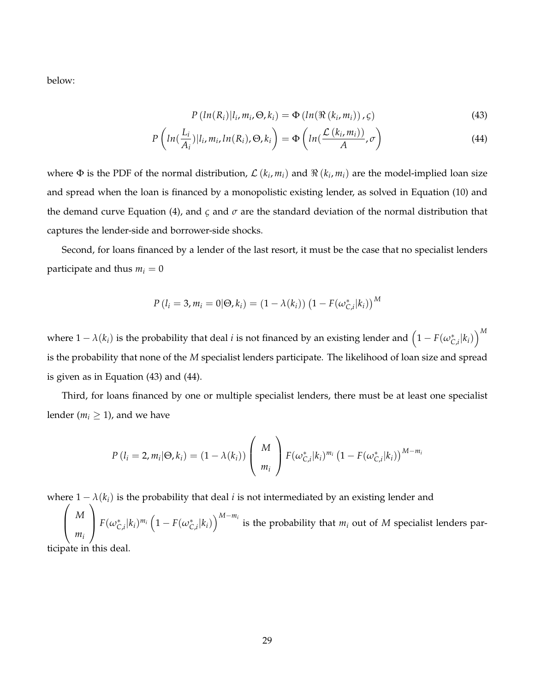below:

$$
P\left(ln(R_i)|l_i, m_i, \Theta, k_i\right) = \Phi\left(ln(\Re\left(k_i, m_i\right)), \varsigma\right) \tag{43}
$$

$$
P\left(ln(\frac{L_i}{A_i})|l_i, m_i, ln(R_i), \Theta, k_i\right) = \Phi\left(ln(\frac{\mathcal{L}\left(k_i, m_i\right)}{A}, \sigma\right)
$$
\n(44)

where  $\Phi$  is the PDF of the normal distribution,  $\mathcal{L}(k_i,m_i)$  and  $\Re(k_i,m_i)$  are the model-implied loan size and spread when the loan is financed by a monopolistic existing lender, as solved in Equation (10) and the demand curve Equation (4), and *ς* and *σ* are the standard deviation of the normal distribution that captures the lender-side and borrower-side shocks.

Second, for loans financed by a lender of the last resort, it must be the case that no specialist lenders participate and thus  $m_i = 0$ 

$$
P(l_i = 3, m_i = 0 | \Theta, k_i) = (1 - \lambda(k_i)) (1 - F(\omega_{C,i}^* | k_i))^{M}
$$

where  $1-\lambda(k_i)$  is the probability that deal  $i$  is not financed by an existing lender and  $\left(1-F(\omega_{C,i}^*[k_i)\right)^M$ is the probability that none of the *M* specialist lenders participate. The likelihood of loan size and spread is given as in Equation (43) and (44).

Third, for loans financed by one or multiple specialist lenders, there must be at least one specialist lender ( $m_i \geq 1$ ), and we have

$$
P(l_i = 2, m_i | \Theta, k_i) = (1 - \lambda(k_i)) \left( \begin{array}{c} M \\ m_i \end{array} \right) F(\omega_{C,i}^* | k_i)^{m_i} (1 - F(\omega_{C,i}^* | k_i))^{M - m_i}
$$

where  $1 - \lambda(k_i)$  is the probability that deal *i* is not intermediated by an existing lender and ere  $1 - \lambda(k_i)$  is the probability that deal *i* is not intermediated by an existing lender and  $\lambda$ 

 $\overline{ }$ *M mi*  $\setminus$  $\int F(\omega_{C,i}^*|k_i)^{m_i} (1-F(\omega_{C,i}^*|k_i))^{M-m_i}$  is the probability that  $m_i$  out of M specialist lenders participate in this deal.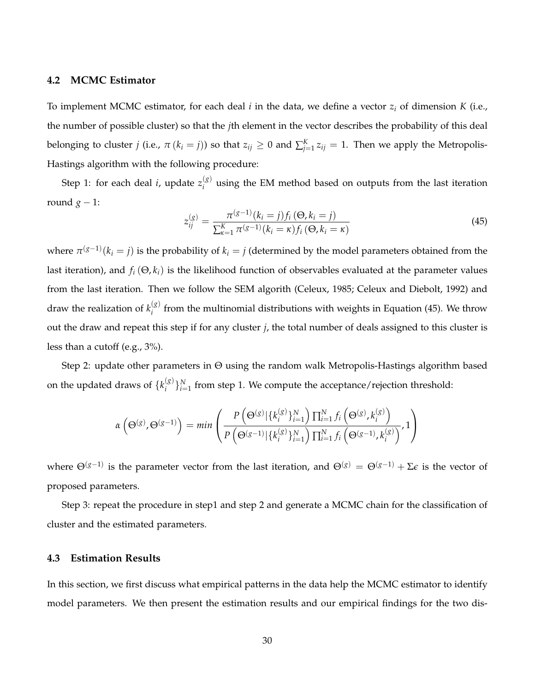#### **4.2 MCMC Estimator**

To implement MCMC estimator, for each deal *i* in the data, we define a vector *z<sup>i</sup>* of dimension *K* (i.e., the number of possible cluster) so that the *j*th element in the vector describes the probability of this deal belonging to cluster *j* (i.e.,  $\pi$  ( $k_i = j$ )) so that  $z_{ij} \geq 0$  and  $\sum_{j=1}^{K} z_{ij} = 1$ . Then we apply the Metropolis-Hastings algorithm with the following procedure:

Step 1: for each deal *i*, update  $z_i^{(g)}$ *i* using the EM method based on outputs from the last iteration round  $g - 1$ :

$$
z_{ij}^{(g)} = \frac{\pi^{(g-1)}(k_i = j) f_i(\Theta, k_i = j)}{\sum_{\kappa=1}^{K} \pi^{(g-1)}(k_i = \kappa) f_i(\Theta, k_i = \kappa)}
$$
(45)

where  $\pi^{(g-1)}(k_i = j)$  is the probability of  $k_i = j$  (determined by the model parameters obtained from the last iteration), and  $f_i(\Theta, k_i)$  is the likelihood function of observables evaluated at the parameter values from the last iteration. Then we follow the SEM algorith (Celeux, 1985; Celeux and Diebolt, 1992) and draw the realization of  $k_i^{(g)}$ *i* from the multinomial distributions with weights in Equation (45). We throw out the draw and repeat this step if for any cluster *j*, the total number of deals assigned to this cluster is less than a cutoff (e.g., 3%).

Step 2: update other parameters in Θ using the random walk Metropolis-Hastings algorithm based on the updated draws of  $\{k_i^{(g)}\}$  $\binom{g}{i}\}_{i=1}^N$  from step 1. We compute the acceptance/rejection threshold:

$$
\alpha\left(\Theta^{(g)},\Theta^{(g-1)}\right) = \min\left(\frac{P\left(\Theta^{(g)}|\{k_i^{(g)}\}_{i=1}^N\right)\prod_{i=1}^N f_i\left(\Theta^{(g)},k_i^{(g)}\right)}{P\left(\Theta^{(g-1)}|\{k_i^{(g)}\}_{i=1}^N\right)\prod_{i=1}^N f_i\left(\Theta^{(g-1)},k_i^{(g)}\right)},1\right)
$$

where  $\Theta^{(g-1)}$  is the parameter vector from the last iteration, and  $\Theta^{(g)}=\Theta^{(g-1)}+\Sigma\epsilon$  is the vector of proposed parameters.

Step 3: repeat the procedure in step1 and step 2 and generate a MCMC chain for the classification of cluster and the estimated parameters.

## **4.3 Estimation Results**

In this section, we first discuss what empirical patterns in the data help the MCMC estimator to identify model parameters. We then present the estimation results and our empirical findings for the two dis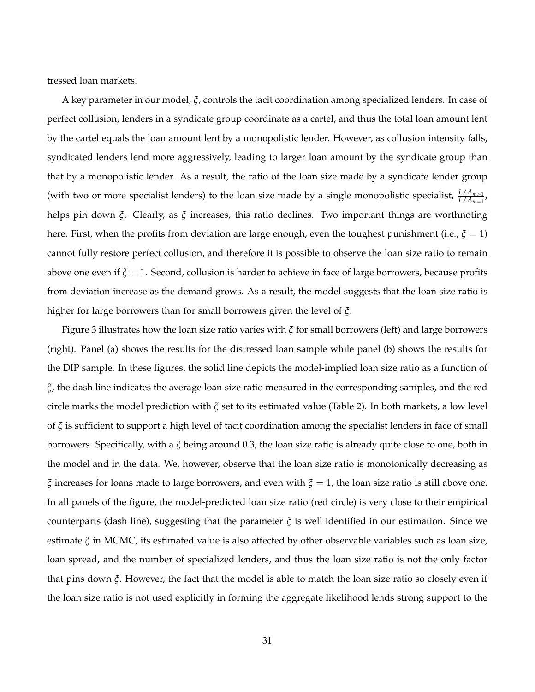tressed loan markets.

A key parameter in our model, *ξ*, controls the tacit coordination among specialized lenders. In case of perfect collusion, lenders in a syndicate group coordinate as a cartel, and thus the total loan amount lent by the cartel equals the loan amount lent by a monopolistic lender. However, as collusion intensity falls, syndicated lenders lend more aggressively, leading to larger loan amount by the syndicate group than that by a monopolistic lender. As a result, the ratio of the loan size made by a syndicate lender group (with two or more specialist lenders) to the loan size made by a single monopolistic specialist,  $\frac{L/A_{m>1}}{L/A_{m=1}}$ , helps pin down *ξ*. Clearly, as *ξ* increases, this ratio declines. Two important things are worthnoting here. First, when the profits from deviation are large enough, even the toughest punishment (i.e.,  $\xi = 1$ ) cannot fully restore perfect collusion, and therefore it is possible to observe the loan size ratio to remain above one even if *ξ* = 1. Second, collusion is harder to achieve in face of large borrowers, because profits from deviation increase as the demand grows. As a result, the model suggests that the loan size ratio is higher for large borrowers than for small borrowers given the level of *ξ*.

Figure 3 illustrates how the loan size ratio varies with *ξ* for small borrowers (left) and large borrowers (right). Panel (a) shows the results for the distressed loan sample while panel (b) shows the results for the DIP sample. In these figures, the solid line depicts the model-implied loan size ratio as a function of *ξ*, the dash line indicates the average loan size ratio measured in the corresponding samples, and the red circle marks the model prediction with *ξ* set to its estimated value (Table 2). In both markets, a low level of *ξ* is sufficient to support a high level of tacit coordination among the specialist lenders in face of small borrowers. Specifically, with a *ξ* being around 0.3, the loan size ratio is already quite close to one, both in the model and in the data. We, however, observe that the loan size ratio is monotonically decreasing as *ξ* increases for loans made to large borrowers, and even with *ξ* = 1, the loan size ratio is still above one. In all panels of the figure, the model-predicted loan size ratio (red circle) is very close to their empirical counterparts (dash line), suggesting that the parameter  $\xi$  is well identified in our estimation. Since we estimate *ξ* in MCMC, its estimated value is also affected by other observable variables such as loan size, loan spread, and the number of specialized lenders, and thus the loan size ratio is not the only factor that pins down *ξ*. However, the fact that the model is able to match the loan size ratio so closely even if the loan size ratio is not used explicitly in forming the aggregate likelihood lends strong support to the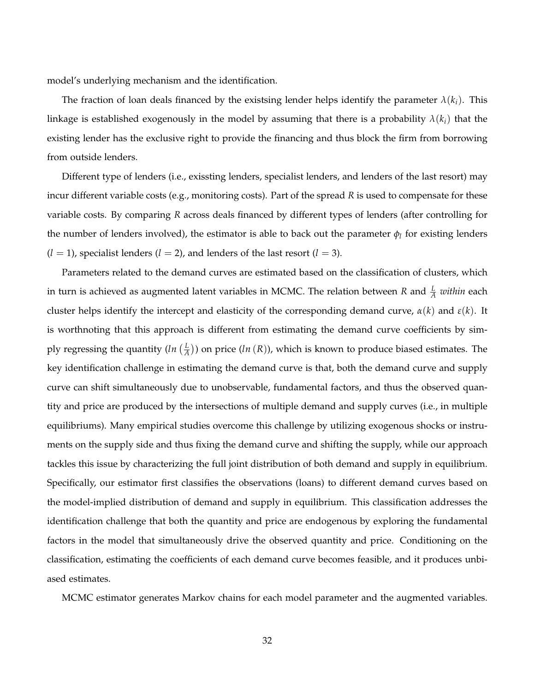model's underlying mechanism and the identification.

The fraction of loan deals financed by the existsing lender helps identify the parameter  $\lambda(k_i)$ . This linkage is established exogenously in the model by assuming that there is a probability  $\lambda(k_i)$  that the existing lender has the exclusive right to provide the financing and thus block the firm from borrowing from outside lenders.

Different type of lenders (i.e., exissting lenders, specialist lenders, and lenders of the last resort) may incur different variable costs (e.g., monitoring costs). Part of the spread *R* is used to compensate for these variable costs. By comparing *R* across deals financed by different types of lenders (after controlling for the number of lenders involved), the estimator is able to back out the parameter  $\phi_l$  for existing lenders  $(l = 1)$ , specialist lenders  $(l = 2)$ , and lenders of the last resort  $(l = 3)$ .

Parameters related to the demand curves are estimated based on the classification of clusters, which in turn is achieved as augmented latent variables in MCMC. The relation between *R* and  $\frac{L}{A}$  *within* each cluster helps identify the intercept and elasticity of the corresponding demand curve, *α*(*k*) and *ε*(*k*). It is worthnoting that this approach is different from estimating the demand curve coefficients by simply regressing the quantity (*ln L*  $\frac{L}{A}$ )) on price (*ln* (*R*)), which is known to produce biased estimates. The key identification challenge in estimating the demand curve is that, both the demand curve and supply curve can shift simultaneously due to unobservable, fundamental factors, and thus the observed quantity and price are produced by the intersections of multiple demand and supply curves (i.e., in multiple equilibriums). Many empirical studies overcome this challenge by utilizing exogenous shocks or instruments on the supply side and thus fixing the demand curve and shifting the supply, while our approach tackles this issue by characterizing the full joint distribution of both demand and supply in equilibrium. Specifically, our estimator first classifies the observations (loans) to different demand curves based on the model-implied distribution of demand and supply in equilibrium. This classification addresses the identification challenge that both the quantity and price are endogenous by exploring the fundamental factors in the model that simultaneously drive the observed quantity and price. Conditioning on the classification, estimating the coefficients of each demand curve becomes feasible, and it produces unbiased estimates.

MCMC estimator generates Markov chains for each model parameter and the augmented variables.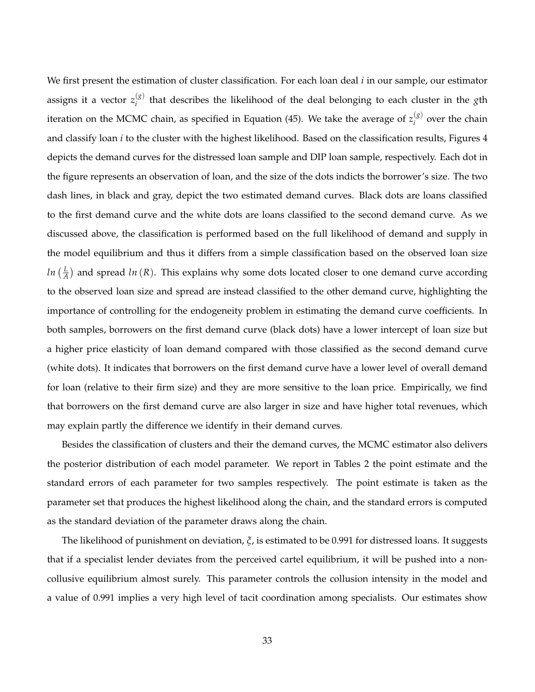We first present the estimation of cluster classification. For each loan deal *i* in our sample, our estimator assigns it a vector  $z_i^{(g)}$ *i* that describes the likelihood of the deal belonging to each cluster in the *g*th iteration on the MCMC chain, as specified in Equation (45). We take the average of  $z_i^{(g)}$  $i$ <sup>( $\delta$ )</sup> over the chain and classify loan *i* to the cluster with the highest likelihood. Based on the classification results, Figures 4 depicts the demand curves for the distressed loan sample and DIP loan sample, respectively. Each dot in the figure represents an observation of loan, and the size of the dots indicts the borrower's size. The two dash lines, in black and gray, depict the two estimated demand curves. Black dots are loans classified to the first demand curve and the white dots are loans classified to the second demand curve. As we discussed above, the classification is performed based on the full likelihood of demand and supply in the model equilibrium and thus it differs from a simple classification based on the observed loan size *ln L*  $\frac{L}{A}$ ) and spread *ln* (*R*). This explains why some dots located closer to one demand curve according to the observed loan size and spread are instead classified to the other demand curve, highlighting the importance of controlling for the endogeneity problem in estimating the demand curve coefficients. In both samples, borrowers on the first demand curve (black dots) have a lower intercept of loan size but a higher price elasticity of loan demand compared with those classified as the second demand curve (white dots). It indicates that borrowers on the first demand curve have a lower level of overall demand for loan (relative to their firm size) and they are more sensitive to the loan price. Empirically, we find that borrowers on the first demand curve are also larger in size and have higher total revenues, which may explain partly the difference we identify in their demand curves.

Besides the classification of clusters and their the demand curves, the MCMC estimator also delivers the posterior distribution of each model parameter. We report in Tables 2 the point estimate and the standard errors of each parameter for two samples respectively. The point estimate is taken as the parameter set that produces the highest likelihood along the chain, and the standard errors is computed as the standard deviation of the parameter draws along the chain.

The likelihood of punishment on deviation, *ξ*, is estimated to be 0.991 for distressed loans. It suggests that if a specialist lender deviates from the perceived cartel equilibrium, it will be pushed into a noncollusive equilibrium almost surely. This parameter controls the collusion intensity in the model and a value of 0.991 implies a very high level of tacit coordination among specialists. Our estimates show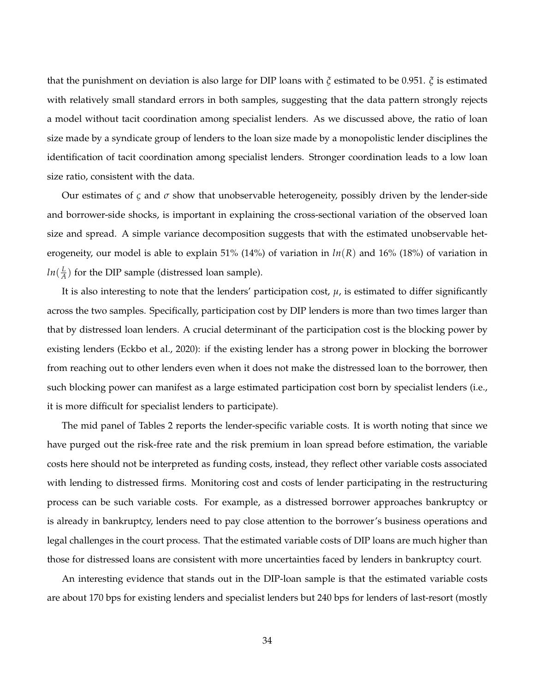that the punishment on deviation is also large for DIP loans with *ξ* estimated to be 0.951. *ξ* is estimated with relatively small standard errors in both samples, suggesting that the data pattern strongly rejects a model without tacit coordination among specialist lenders. As we discussed above, the ratio of loan size made by a syndicate group of lenders to the loan size made by a monopolistic lender disciplines the identification of tacit coordination among specialist lenders. Stronger coordination leads to a low loan size ratio, consistent with the data.

Our estimates of  $\zeta$  and  $\sigma$  show that unobservable heterogeneity, possibly driven by the lender-side and borrower-side shocks, is important in explaining the cross-sectional variation of the observed loan size and spread. A simple variance decomposition suggests that with the estimated unobservable heterogeneity, our model is able to explain 51% (14%) of variation in *ln*(*R*) and 16% (18%) of variation in *ln*( *L*  $\frac{L}{A}$ ) for the DIP sample (distressed loan sample).

It is also interesting to note that the lenders' participation cost,  $\mu$ , is estimated to differ significantly across the two samples. Specifically, participation cost by DIP lenders is more than two times larger than that by distressed loan lenders. A crucial determinant of the participation cost is the blocking power by existing lenders (Eckbo et al., 2020): if the existing lender has a strong power in blocking the borrower from reaching out to other lenders even when it does not make the distressed loan to the borrower, then such blocking power can manifest as a large estimated participation cost born by specialist lenders (i.e., it is more difficult for specialist lenders to participate).

The mid panel of Tables 2 reports the lender-specific variable costs. It is worth noting that since we have purged out the risk-free rate and the risk premium in loan spread before estimation, the variable costs here should not be interpreted as funding costs, instead, they reflect other variable costs associated with lending to distressed firms. Monitoring cost and costs of lender participating in the restructuring process can be such variable costs. For example, as a distressed borrower approaches bankruptcy or is already in bankruptcy, lenders need to pay close attention to the borrower's business operations and legal challenges in the court process. That the estimated variable costs of DIP loans are much higher than those for distressed loans are consistent with more uncertainties faced by lenders in bankruptcy court.

An interesting evidence that stands out in the DIP-loan sample is that the estimated variable costs are about 170 bps for existing lenders and specialist lenders but 240 bps for lenders of last-resort (mostly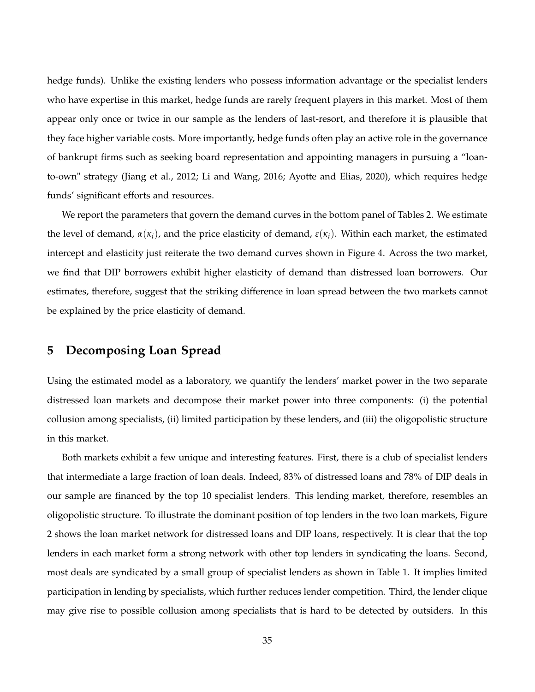hedge funds). Unlike the existing lenders who possess information advantage or the specialist lenders who have expertise in this market, hedge funds are rarely frequent players in this market. Most of them appear only once or twice in our sample as the lenders of last-resort, and therefore it is plausible that they face higher variable costs. More importantly, hedge funds often play an active role in the governance of bankrupt firms such as seeking board representation and appointing managers in pursuing a "loanto-own" strategy (Jiang et al., 2012; Li and Wang, 2016; Ayotte and Elias, 2020), which requires hedge funds' significant efforts and resources.

We report the parameters that govern the demand curves in the bottom panel of Tables 2. We estimate the level of demand,  $α(\kappa_i)$ , and the price elasticity of demand,  $ε(\kappa_i)$ . Within each market, the estimated intercept and elasticity just reiterate the two demand curves shown in Figure 4. Across the two market, we find that DIP borrowers exhibit higher elasticity of demand than distressed loan borrowers. Our estimates, therefore, suggest that the striking difference in loan spread between the two markets cannot be explained by the price elasticity of demand.

# **5 Decomposing Loan Spread**

Using the estimated model as a laboratory, we quantify the lenders' market power in the two separate distressed loan markets and decompose their market power into three components: (i) the potential collusion among specialists, (ii) limited participation by these lenders, and (iii) the oligopolistic structure in this market.

Both markets exhibit a few unique and interesting features. First, there is a club of specialist lenders that intermediate a large fraction of loan deals. Indeed, 83% of distressed loans and 78% of DIP deals in our sample are financed by the top 10 specialist lenders. This lending market, therefore, resembles an oligopolistic structure. To illustrate the dominant position of top lenders in the two loan markets, Figure 2 shows the loan market network for distressed loans and DIP loans, respectively. It is clear that the top lenders in each market form a strong network with other top lenders in syndicating the loans. Second, most deals are syndicated by a small group of specialist lenders as shown in Table 1. It implies limited participation in lending by specialists, which further reduces lender competition. Third, the lender clique may give rise to possible collusion among specialists that is hard to be detected by outsiders. In this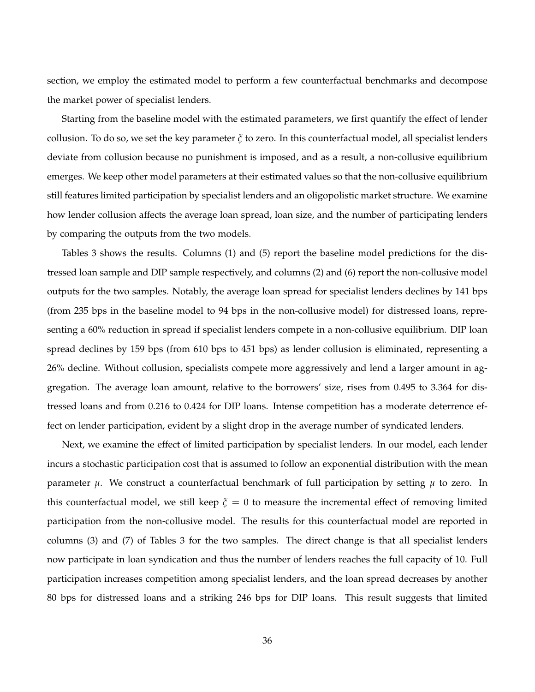section, we employ the estimated model to perform a few counterfactual benchmarks and decompose the market power of specialist lenders.

Starting from the baseline model with the estimated parameters, we first quantify the effect of lender collusion. To do so, we set the key parameter *ξ* to zero. In this counterfactual model, all specialist lenders deviate from collusion because no punishment is imposed, and as a result, a non-collusive equilibrium emerges. We keep other model parameters at their estimated values so that the non-collusive equilibrium still features limited participation by specialist lenders and an oligopolistic market structure. We examine how lender collusion affects the average loan spread, loan size, and the number of participating lenders by comparing the outputs from the two models.

Tables 3 shows the results. Columns (1) and (5) report the baseline model predictions for the distressed loan sample and DIP sample respectively, and columns (2) and (6) report the non-collusive model outputs for the two samples. Notably, the average loan spread for specialist lenders declines by 141 bps (from 235 bps in the baseline model to 94 bps in the non-collusive model) for distressed loans, representing a 60% reduction in spread if specialist lenders compete in a non-collusive equilibrium. DIP loan spread declines by 159 bps (from 610 bps to 451 bps) as lender collusion is eliminated, representing a 26% decline. Without collusion, specialists compete more aggressively and lend a larger amount in aggregation. The average loan amount, relative to the borrowers' size, rises from 0.495 to 3.364 for distressed loans and from 0.216 to 0.424 for DIP loans. Intense competition has a moderate deterrence effect on lender participation, evident by a slight drop in the average number of syndicated lenders.

Next, we examine the effect of limited participation by specialist lenders. In our model, each lender incurs a stochastic participation cost that is assumed to follow an exponential distribution with the mean parameter *µ*. We construct a counterfactual benchmark of full participation by setting *µ* to zero. In this counterfactual model, we still keep  $\xi = 0$  to measure the incremental effect of removing limited participation from the non-collusive model. The results for this counterfactual model are reported in columns (3) and (7) of Tables 3 for the two samples. The direct change is that all specialist lenders now participate in loan syndication and thus the number of lenders reaches the full capacity of 10. Full participation increases competition among specialist lenders, and the loan spread decreases by another 80 bps for distressed loans and a striking 246 bps for DIP loans. This result suggests that limited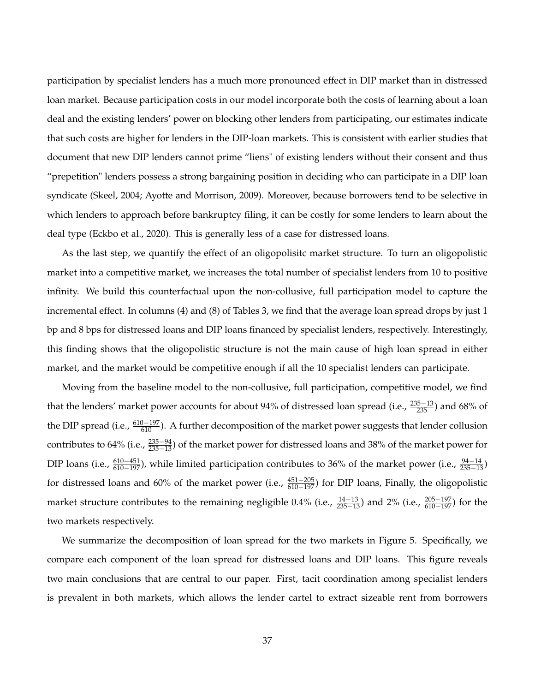participation by specialist lenders has a much more pronounced effect in DIP market than in distressed loan market. Because participation costs in our model incorporate both the costs of learning about a loan deal and the existing lenders' power on blocking other lenders from participating, our estimates indicate that such costs are higher for lenders in the DIP-loan markets. This is consistent with earlier studies that document that new DIP lenders cannot prime "liens" of existing lenders without their consent and thus "prepetition" lenders possess a strong bargaining position in deciding who can participate in a DIP loan syndicate (Skeel, 2004; Ayotte and Morrison, 2009). Moreover, because borrowers tend to be selective in which lenders to approach before bankruptcy filing, it can be costly for some lenders to learn about the deal type (Eckbo et al., 2020). This is generally less of a case for distressed loans.

As the last step, we quantify the effect of an oligopolisitc market structure. To turn an oligopolistic market into a competitive market, we increases the total number of specialist lenders from 10 to positive infinity. We build this counterfactual upon the non-collusive, full participation model to capture the incremental effect. In columns (4) and (8) of Tables 3, we find that the average loan spread drops by just 1 bp and 8 bps for distressed loans and DIP loans financed by specialist lenders, respectively. Interestingly, this finding shows that the oligopolistic structure is not the main cause of high loan spread in either market, and the market would be competitive enough if all the 10 specialist lenders can participate.

Moving from the baseline model to the non-collusive, full participation, competitive model, we find that the lenders' market power accounts for about 94% of distressed loan spread (i.e.,  $\frac{235-13}{235}$ ) and 68% of the DIP spread (i.e.,  $\frac{610-197}{610}$ ). A further decomposition of the market power suggests that lender collusion contributes to 64% (i.e.,  $\frac{235-94}{235-13}$ ) of the market power for distressed loans and 38% of the market power for DIP loans (i.e.,  $\frac{610-451}{610-197}$ ), while limited participation contributes to 36% of the market power (i.e.,  $\frac{94-14}{235-13}$ ) for distressed loans and 60% of the market power (i.e.,  $\frac{451-205}{610-197}$ ) for DIP loans, Finally, the oligopolistic market structure contributes to the remaining negligible 0.4% (i.e.,  $\frac{14-13}{235-13}$ ) and 2% (i.e.,  $\frac{205-197}{610-197}$ ) for the two markets respectively.

We summarize the decomposition of loan spread for the two markets in Figure 5. Specifically, we compare each component of the loan spread for distressed loans and DIP loans. This figure reveals two main conclusions that are central to our paper. First, tacit coordination among specialist lenders is prevalent in both markets, which allows the lender cartel to extract sizeable rent from borrowers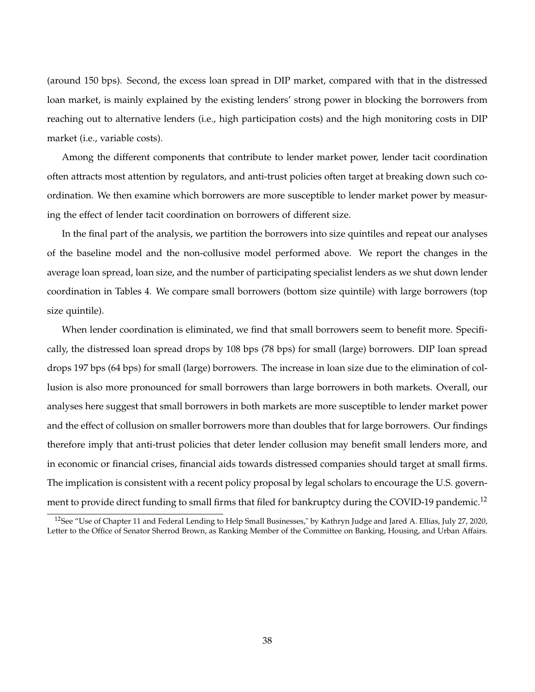(around 150 bps). Second, the excess loan spread in DIP market, compared with that in the distressed loan market, is mainly explained by the existing lenders' strong power in blocking the borrowers from reaching out to alternative lenders (i.e., high participation costs) and the high monitoring costs in DIP market (i.e., variable costs).

Among the different components that contribute to lender market power, lender tacit coordination often attracts most attention by regulators, and anti-trust policies often target at breaking down such coordination. We then examine which borrowers are more susceptible to lender market power by measuring the effect of lender tacit coordination on borrowers of different size.

In the final part of the analysis, we partition the borrowers into size quintiles and repeat our analyses of the baseline model and the non-collusive model performed above. We report the changes in the average loan spread, loan size, and the number of participating specialist lenders as we shut down lender coordination in Tables 4. We compare small borrowers (bottom size quintile) with large borrowers (top size quintile).

When lender coordination is eliminated, we find that small borrowers seem to benefit more. Specifically, the distressed loan spread drops by 108 bps (78 bps) for small (large) borrowers. DIP loan spread drops 197 bps (64 bps) for small (large) borrowers. The increase in loan size due to the elimination of collusion is also more pronounced for small borrowers than large borrowers in both markets. Overall, our analyses here suggest that small borrowers in both markets are more susceptible to lender market power and the effect of collusion on smaller borrowers more than doubles that for large borrowers. Our findings therefore imply that anti-trust policies that deter lender collusion may benefit small lenders more, and in economic or financial crises, financial aids towards distressed companies should target at small firms. The implication is consistent with a recent policy proposal by legal scholars to encourage the U.S. government to provide direct funding to small firms that filed for bankruptcy during the COVID-19 pandemic.<sup>12</sup>

<sup>&</sup>lt;sup>12</sup>See "Use of Chapter 11 and Federal Lending to Help Small Businesses," by Kathryn Judge and Jared A. Ellias, July 27, 2020, Letter to the Office of Senator Sherrod Brown, as Ranking Member of the Committee on Banking, Housing, and Urban Affairs.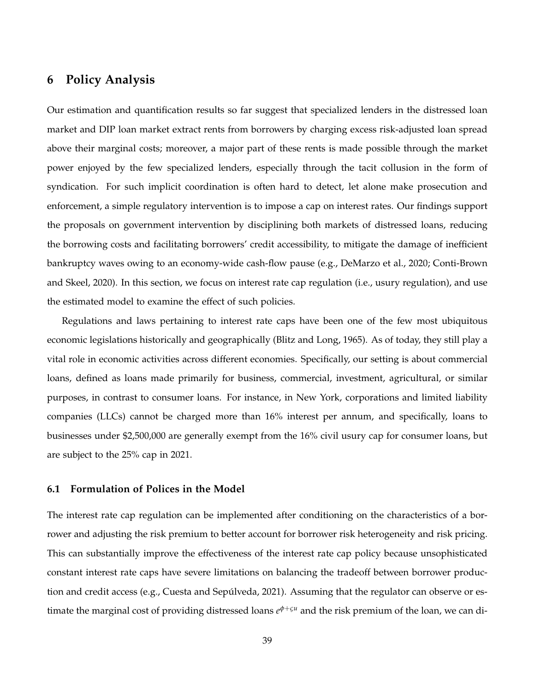# **6 Policy Analysis**

Our estimation and quantification results so far suggest that specialized lenders in the distressed loan market and DIP loan market extract rents from borrowers by charging excess risk-adjusted loan spread above their marginal costs; moreover, a major part of these rents is made possible through the market power enjoyed by the few specialized lenders, especially through the tacit collusion in the form of syndication. For such implicit coordination is often hard to detect, let alone make prosecution and enforcement, a simple regulatory intervention is to impose a cap on interest rates. Our findings support the proposals on government intervention by disciplining both markets of distressed loans, reducing the borrowing costs and facilitating borrowers' credit accessibility, to mitigate the damage of inefficient bankruptcy waves owing to an economy-wide cash-flow pause (e.g., DeMarzo et al., 2020; Conti-Brown and Skeel, 2020). In this section, we focus on interest rate cap regulation (i.e., usury regulation), and use the estimated model to examine the effect of such policies.

Regulations and laws pertaining to interest rate caps have been one of the few most ubiquitous economic legislations historically and geographically (Blitz and Long, 1965). As of today, they still play a vital role in economic activities across different economies. Specifically, our setting is about commercial loans, defined as loans made primarily for business, commercial, investment, agricultural, or similar purposes, in contrast to consumer loans. For instance, in New York, corporations and limited liability companies (LLCs) cannot be charged more than 16% interest per annum, and specifically, loans to businesses under \$2,500,000 are generally exempt from the 16% civil usury cap for consumer loans, but are subject to the 25% cap in 2021.

#### **6.1 Formulation of Polices in the Model**

The interest rate cap regulation can be implemented after conditioning on the characteristics of a borrower and adjusting the risk premium to better account for borrower risk heterogeneity and risk pricing. This can substantially improve the effectiveness of the interest rate cap policy because unsophisticated constant interest rate caps have severe limitations on balancing the tradeoff between borrower production and credit access (e.g., Cuesta and Sepúlveda, 2021). Assuming that the regulator can observe or estimate the marginal cost of providing distressed loans *e <sup>φ</sup>*+*ς<sup>u</sup>* and the risk premium of the loan, we can di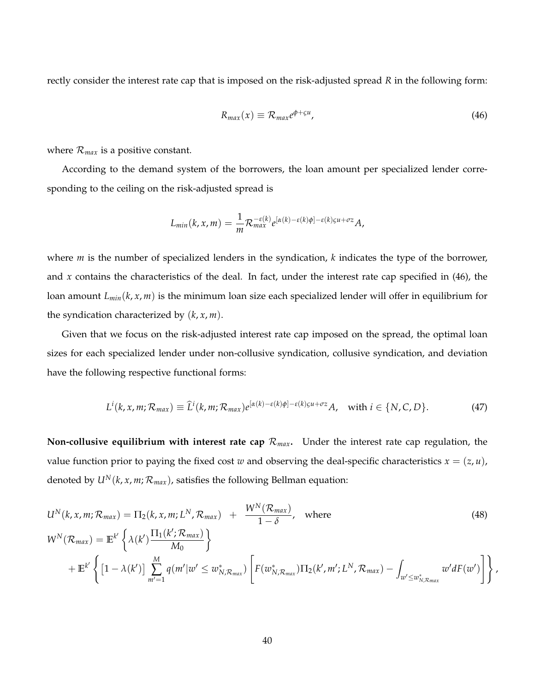rectly consider the interest rate cap that is imposed on the risk-adjusted spread *R* in the following form:

$$
R_{max}(x) \equiv \mathcal{R}_{max} e^{\phi + \varsigma u}, \tag{46}
$$

where  $\mathcal{R}_{max}$  is a positive constant.

According to the demand system of the borrowers, the loan amount per specialized lender corresponding to the ceiling on the risk-adjusted spread is

$$
L_{min}(k, x, m) = \frac{1}{m} \mathcal{R}_{max}^{-\varepsilon(k)} e^{[\alpha(k) - \varepsilon(k)\phi] - \varepsilon(k)\varsigma u + \sigma z} A,
$$

where *m* is the number of specialized lenders in the syndication, *k* indicates the type of the borrower, and *x* contains the characteristics of the deal. In fact, under the interest rate cap specified in (46), the loan amount *Lmin*(*k*, *x*, *m*) is the minimum loan size each specialized lender will offer in equilibrium for the syndication characterized by (*k*, *x*, *m*).

Given that we focus on the risk-adjusted interest rate cap imposed on the spread, the optimal loan sizes for each specialized lender under non-collusive syndication, collusive syndication, and deviation have the following respective functional forms:

$$
L^{i}(k, x, m; \mathcal{R}_{max}) \equiv \widehat{L}^{i}(k, m; \mathcal{R}_{max}) e^{[\alpha(k) - \varepsilon(k)\phi] - \varepsilon(k)\varsigma u + \sigma z} A, \text{ with } i \in \{N, C, D\}. \tag{47}
$$

**Non-collusive equilibrium with interest rate cap**  $\mathcal{R}_{max}$ **.** Under the interest rate cap regulation, the value function prior to paying the fixed cost *w* and observing the deal-specific characteristics  $x = (z, u)$ , denoted by  $U^N(k, x, m; \mathcal{R}_{max})$ , satisfies the following Bellman equation:

$$
U^{N}(k, x, m; \mathcal{R}_{max}) = \Pi_{2}(k, x, m; L^{N}, \mathcal{R}_{max}) + \frac{W^{N}(\mathcal{R}_{max})}{1 - \delta}, \text{ where}
$$
\n
$$
W^{N}(\mathcal{R}_{max}) = \mathbb{E}^{k'} \left\{ \lambda(k') \frac{\Pi_{1}(k'; \mathcal{R}_{max})}{M_{0}} \right\}
$$
\n
$$
+ \mathbb{E}^{k'} \left\{ \left[ 1 - \lambda(k') \right] \sum_{m'=1}^{M} q(m'|w' \leq w_{N,\mathcal{R}_{max}}^{*}) \left[ F(w_{N,\mathcal{R}_{max}}^{*}) \Pi_{2}(k', m'; L^{N}, \mathcal{R}_{max}) - \int_{w' \leq w_{N,\mathcal{R}_{max}}^{*}} w' dF(w') \right] \right\},
$$
\n(48)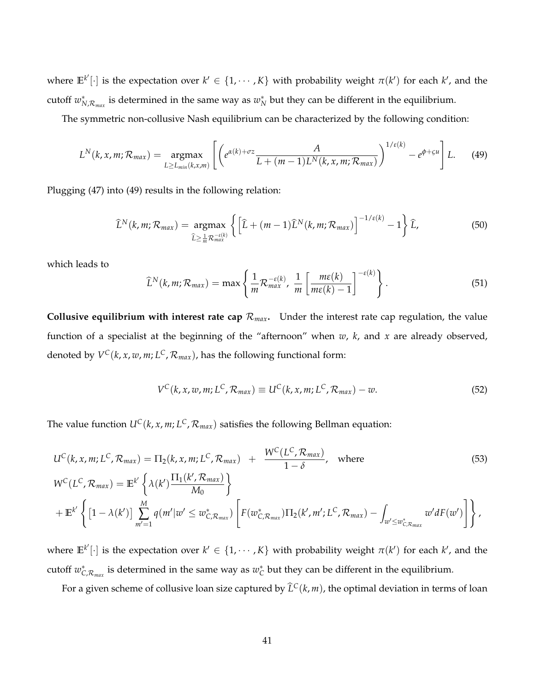where  $\mathbb{E}^{k'}[\cdot]$  is the expectation over  $k' \in \{1, \cdots, K\}$  with probability weight  $\pi(k')$  for each  $k'$ , and the cutoff  $w_{N,\mathcal{R}_{max}}^*$  is determined in the same way as  $w_N^*$  but they can be different in the equilibrium.

The symmetric non-collusive Nash equilibrium can be characterized by the following condition:

$$
L^N(k, x, m; \mathcal{R}_{max}) = \underset{L \ge L_{min}(k, x, m)}{\operatorname{argmax}} \left[ \left( e^{\alpha(k) + \sigma z} \frac{A}{L + (m-1)L^N(k, x, m; \mathcal{R}_{max})} \right)^{1/\varepsilon(k)} - e^{\phi + \varsigma u} \right] L. \tag{49}
$$

Plugging (47) into (49) results in the following relation:

$$
\widehat{L}^{N}(k,m;\mathcal{R}_{max}) = \underset{\widehat{L} \geq \frac{1}{m} \mathcal{R}_{max}^{=\epsilon(k)}}{\operatorname{argmax}} \left\{ \left[ \widehat{L} + (m-1)\widehat{L}^{N}(k,m;\mathcal{R}_{max}) \right]^{-1/\epsilon(k)} - 1 \right\} \widehat{L},\tag{50}
$$

which leads to

$$
\widehat{L}^{N}(k,m;\mathcal{R}_{max}) = \max\left\{\frac{1}{m}\mathcal{R}_{max}^{-\varepsilon(k)},\ \frac{1}{m}\left[\frac{m\varepsilon(k)}{m\varepsilon(k)-1}\right]^{-\varepsilon(k)}\right\}.
$$
\n(51)

**Collusive equilibrium with interest rate cap**  $\mathcal{R}_{max}$ . Under the interest rate cap regulation, the value function of a specialist at the beginning of the "afternoon" when *w*, *k*, and *x* are already observed, denoted by  $V^{\mathsf{C}}(k, x, w, m; L^{\mathsf{C}}, \mathcal{R}_{max})$ , has the following functional form:

$$
V^{C}(k, x, w, m; L^{C}, \mathcal{R}_{max}) \equiv U^{C}(k, x, m; L^{C}, \mathcal{R}_{max}) - w.
$$
\n
$$
(52)
$$

The value function  $U^C(k, x, m; L^C, \mathcal{R}_{max})$  satisfies the following Bellman equation:

$$
U^{C}(k, x, m; L^{C}, \mathcal{R}_{max}) = \Pi_{2}(k, x, m; L^{C}, \mathcal{R}_{max}) + \frac{W^{C}(L^{C}, \mathcal{R}_{max})}{1 - \delta}, \text{ where}
$$
\n
$$
W^{C}(L^{C}, \mathcal{R}_{max}) = \mathbb{E}^{k'} \left\{ \lambda(k') \frac{\Pi_{1}(k', \mathcal{R}_{max})}{M_{0}} \right\}
$$
\n
$$
+ \mathbb{E}^{k'} \left\{ \left[ 1 - \lambda(k') \right] \sum_{m'=1}^{M} q(m'|w' \leq w_{C, \mathcal{R}_{max}}^{*}) \left[ F(w_{C, \mathcal{R}_{max}}^{*}) \Pi_{2}(k', m'; L^{C}, \mathcal{R}_{max}) - \int_{w' \leq w_{C, \mathcal{R}_{max}}^{*}} w' dF(w') \right] \right\},
$$
\n(53)

where  $\mathbb{E}^{k'}[\cdot]$  is the expectation over  $k' \in \{1, \cdots, K\}$  with probability weight  $\pi(k')$  for each  $k'$ , and the cutoff  $w_{C,\mathcal{R}_{max}}^*$  is determined in the same way as  $w_C^*$  but they can be different in the equilibrium.

For a given scheme of collusive loan size captured by  $\widehat{L}^C(k, m)$ , the optimal deviation in terms of loan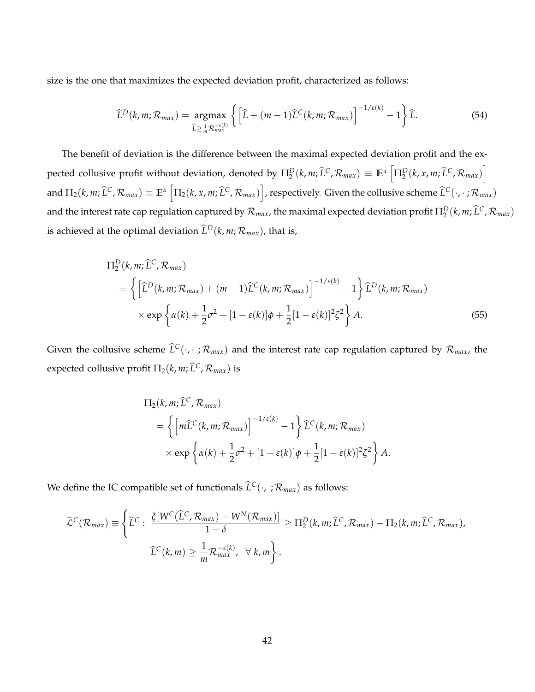size is the one that maximizes the expected deviation profit, characterized as follows:

$$
\widehat{L}^{D}(k,m;\mathcal{R}_{max}) = \underset{\widehat{L} \geq \frac{1}{m} \mathcal{R}_{max}^{=\epsilon(k)}}{\operatorname{argmax}} \left\{ \left[ \widehat{L} + (m-1)\widehat{L}^{C}(k,m;\mathcal{R}_{max}) \right]^{-1/\epsilon(k)} - 1 \right\} \widehat{L}.
$$
\n(54)

The benefit of deviation is the difference between the maximal expected deviation profit and the expected collusive profit without deviation, denoted by  $\Pi_2^D(k,m;\widehat{L}^C,\mathcal{R}_{max}) \equiv \mathbb{E}^x\left[\Pi_2^D(k,x,m;\widehat{L}^C,\mathcal{R}_{max})\right]$ and  $\Pi_2(k,m;\widehat{L}^C,\mathcal{R}_{max})\equiv\mathbb{E}^x\left[\Pi_2(k,x,m;\widehat{L}^C,\mathcal{R}_{max})\right]$ , respectively. Given the collusive scheme  $\widehat{L}^C(\cdot,\cdot\,;\mathcal{R}_{max})$ and the interest rate cap regulation captured by  $\mathcal{R}_{max}$ , the maximal expected deviation profit  $\Pi^D_2(k,m;\widehat{L}^C,\mathcal{R}_{max})$ is achieved at the optimal deviation  $\widehat{L}^D(k, m; \mathcal{R}_{max})$ , that is,

$$
\Pi_2^D(k, m; \hat{L}^C, \mathcal{R}_{max})
$$
\n
$$
= \left\{ \left[ \hat{L}^D(k, m; \mathcal{R}_{max}) + (m - 1)\hat{L}^C(k, m; \mathcal{R}_{max}) \right]^{-1/\varepsilon(k)} - 1 \right\} \hat{L}^D(k, m; \mathcal{R}_{max})
$$
\n
$$
\times \exp \left\{ \alpha(k) + \frac{1}{2}\sigma^2 + [1 - \varepsilon(k)]\phi + \frac{1}{2}[1 - \varepsilon(k)]^2 \zeta^2 \right\} A.
$$
\n(55)

Given the collusive scheme  $\hat{L}^C(\cdot, \cdot; \mathcal{R}_{max})$  and the interest rate cap regulation captured by  $\mathcal{R}_{max}$ , the expected collusive profit  $\Pi_2(k, m; \widehat{L}^C, \mathcal{R}_{max})$  is

$$
\Pi_2(k, m; \widehat{L}^C, \mathcal{R}_{max})
$$
\n
$$
= \left\{ \left[ m\widehat{L}^C(k, m; \mathcal{R}_{max}) \right]^{-1/\varepsilon(k)} - 1 \right\} \widehat{L}^C(k, m; \mathcal{R}_{max})
$$
\n
$$
\times \exp \left\{ \alpha(k) + \frac{1}{2} \sigma^2 + [1 - \varepsilon(k)] \phi + \frac{1}{2} [1 - \varepsilon(k)]^2 \zeta^2 \right\} A.
$$

We define the IC compatible set of functionals  $\hat{L}^C(\cdot, ; \mathcal{R}_{max})$  as follows:

$$
\widehat{\mathcal{L}}^{C}(\mathcal{R}_{max}) \equiv \left\{ \widehat{L}^{C} : \frac{\xi[W^{C}(\widehat{L}^{C}, \mathcal{R}_{max}) - W^{N}(\mathcal{R}_{max})]}{1 - \delta} \geq \Pi_{2}^{D}(k, m; \widehat{L}^{C}, \mathcal{R}_{max}) - \Pi_{2}(k, m; \widehat{L}^{C}, \mathcal{R}_{max}), \newline \widehat{L}^{C}(k, m) \geq \frac{1}{m} \mathcal{R}_{max}^{-\varepsilon(k)}, \forall k, m \right\}.
$$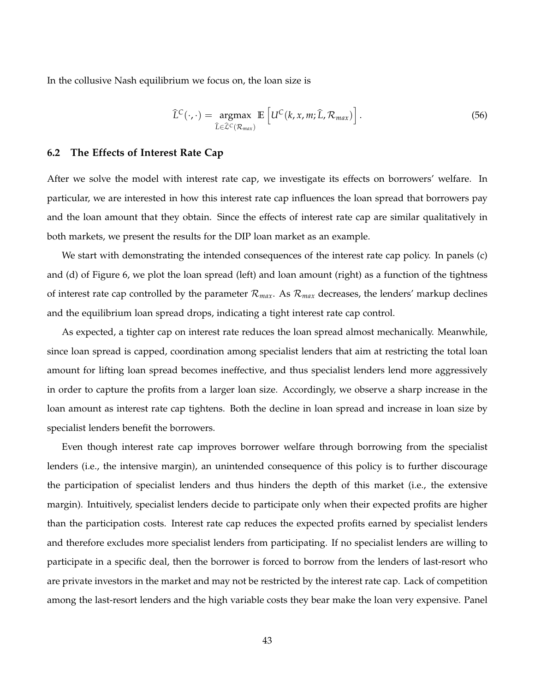In the collusive Nash equilibrium we focus on, the loan size is

$$
\widehat{L}^{C}(\cdot,\cdot)=\underset{\widehat{L}\in\widehat{\mathcal{L}}^{C}(\mathcal{R}_{max})}{\arg\max}\mathbb{E}\left[U^{C}(k,x,m;\widehat{L},\mathcal{R}_{max})\right].
$$
\n(56)

#### **6.2 The Effects of Interest Rate Cap**

After we solve the model with interest rate cap, we investigate its effects on borrowers' welfare. In particular, we are interested in how this interest rate cap influences the loan spread that borrowers pay and the loan amount that they obtain. Since the effects of interest rate cap are similar qualitatively in both markets, we present the results for the DIP loan market as an example.

We start with demonstrating the intended consequences of the interest rate cap policy. In panels (c) and (d) of Figure 6, we plot the loan spread (left) and loan amount (right) as a function of the tightness of interest rate cap controlled by the parameter  $\mathcal{R}_{max}$ . As  $\mathcal{R}_{max}$  decreases, the lenders' markup declines and the equilibrium loan spread drops, indicating a tight interest rate cap control.

As expected, a tighter cap on interest rate reduces the loan spread almost mechanically. Meanwhile, since loan spread is capped, coordination among specialist lenders that aim at restricting the total loan amount for lifting loan spread becomes ineffective, and thus specialist lenders lend more aggressively in order to capture the profits from a larger loan size. Accordingly, we observe a sharp increase in the loan amount as interest rate cap tightens. Both the decline in loan spread and increase in loan size by specialist lenders benefit the borrowers.

Even though interest rate cap improves borrower welfare through borrowing from the specialist lenders (i.e., the intensive margin), an unintended consequence of this policy is to further discourage the participation of specialist lenders and thus hinders the depth of this market (i.e., the extensive margin). Intuitively, specialist lenders decide to participate only when their expected profits are higher than the participation costs. Interest rate cap reduces the expected profits earned by specialist lenders and therefore excludes more specialist lenders from participating. If no specialist lenders are willing to participate in a specific deal, then the borrower is forced to borrow from the lenders of last-resort who are private investors in the market and may not be restricted by the interest rate cap. Lack of competition among the last-resort lenders and the high variable costs they bear make the loan very expensive. Panel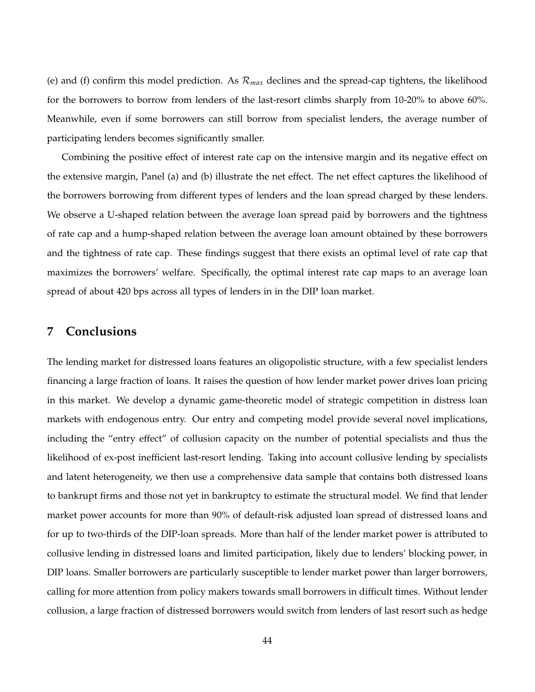(e) and (f) confirm this model prediction. As R*max* declines and the spread-cap tightens, the likelihood for the borrowers to borrow from lenders of the last-resort climbs sharply from 10-20% to above 60%. Meanwhile, even if some borrowers can still borrow from specialist lenders, the average number of participating lenders becomes significantly smaller.

Combining the positive effect of interest rate cap on the intensive margin and its negative effect on the extensive margin, Panel (a) and (b) illustrate the net effect. The net effect captures the likelihood of the borrowers borrowing from different types of lenders and the loan spread charged by these lenders. We observe a U-shaped relation between the average loan spread paid by borrowers and the tightness of rate cap and a hump-shaped relation between the average loan amount obtained by these borrowers and the tightness of rate cap. These findings suggest that there exists an optimal level of rate cap that maximizes the borrowers' welfare. Specifically, the optimal interest rate cap maps to an average loan spread of about 420 bps across all types of lenders in in the DIP loan market.

# **7 Conclusions**

The lending market for distressed loans features an oligopolistic structure, with a few specialist lenders financing a large fraction of loans. It raises the question of how lender market power drives loan pricing in this market. We develop a dynamic game-theoretic model of strategic competition in distress loan markets with endogenous entry. Our entry and competing model provide several novel implications, including the "entry effect" of collusion capacity on the number of potential specialists and thus the likelihood of ex-post inefficient last-resort lending. Taking into account collusive lending by specialists and latent heterogeneity, we then use a comprehensive data sample that contains both distressed loans to bankrupt firms and those not yet in bankruptcy to estimate the structural model. We find that lender market power accounts for more than 90% of default-risk adjusted loan spread of distressed loans and for up to two-thirds of the DIP-loan spreads. More than half of the lender market power is attributed to collusive lending in distressed loans and limited participation, likely due to lenders' blocking power, in DIP loans. Smaller borrowers are particularly susceptible to lender market power than larger borrowers, calling for more attention from policy makers towards small borrowers in difficult times. Without lender collusion, a large fraction of distressed borrowers would switch from lenders of last resort such as hedge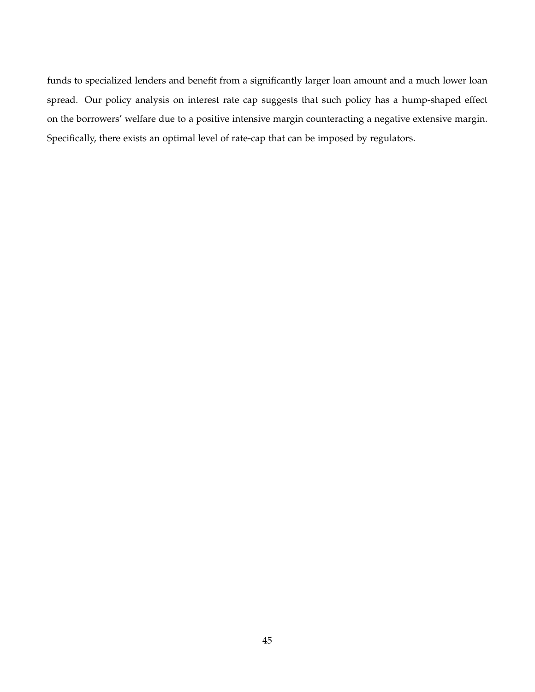funds to specialized lenders and benefit from a significantly larger loan amount and a much lower loan spread. Our policy analysis on interest rate cap suggests that such policy has a hump-shaped effect on the borrowers' welfare due to a positive intensive margin counteracting a negative extensive margin. Specifically, there exists an optimal level of rate-cap that can be imposed by regulators.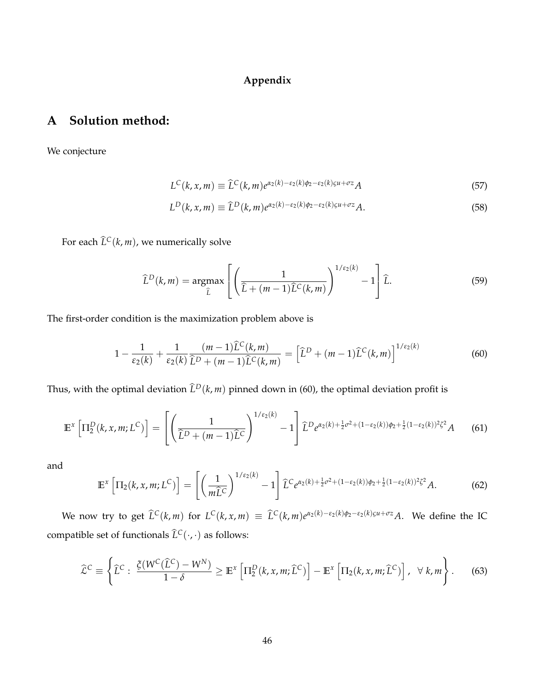# **Appendix**

# **A Solution method:**

We conjecture

$$
L^{C}(k, x, m) \equiv \widehat{L}^{C}(k, m) e^{\alpha_2(k) - \varepsilon_2(k)\phi_2 - \varepsilon_2(k)\varrho u + \sigma z} A
$$
\n(57)

$$
L^D(k, x, m) \equiv \widehat{L}^D(k, m) e^{\alpha_2(k) - \epsilon_2(k)\phi_2 - \epsilon_2(k)\varrho u + \sigma z} A.
$$
\n
$$
(58)
$$

For each  $\hat{L}^C(k, m)$ , we numerically solve

$$
\widehat{L}^{D}(k,m) = \underset{\widehat{L}}{\operatorname{argmax}} \left[ \left( \frac{1}{\widehat{L} + (m-1)\widehat{L}^{C}(k,m)} \right)^{1/\varepsilon_{2}(k)} - 1 \right] \widehat{L}.
$$
 (59)

The first-order condition is the maximization problem above is

$$
1 - \frac{1}{\varepsilon_2(k)} + \frac{1}{\varepsilon_2(k)} \frac{(m-1)\widehat{L}^C(k,m)}{\widehat{L}^D + (m-1)\widehat{L}^C(k,m)} = \left[\widehat{L}^D + (m-1)\widehat{L}^C(k,m)\right]^{1/\varepsilon_2(k)}\tag{60}
$$

Thus, with the optimal deviation  $\hat{L}^D(k,m)$  pinned down in (60), the optimal deviation profit is

$$
\mathbb{E}^{x}\left[\Pi_{2}^{D}(k,x,m;L^{C})\right] = \left[\left(\frac{1}{\hat{L}^{D}+(m-1)\hat{L}^{C}}\right)^{1/\epsilon_{2}(k)}-1\right]\hat{L}^{D}e^{\alpha_{2}(k)+\frac{1}{2}\sigma^{2}+(1-\epsilon_{2}(k))\phi_{2}+\frac{1}{2}(1-\epsilon_{2}(k))^{2}\zeta^{2}}A\qquad(61)
$$

and

$$
\mathbb{E}^{x}\left[\Pi_{2}(k,x,m;L^{C})\right] = \left[\left(\frac{1}{m\widehat{L}^{C}}\right)^{1/\varepsilon_{2}(k)} - 1\right] \widehat{L}^{C}e^{\alpha_{2}(k) + \frac{1}{2}\sigma^{2} + (1-\varepsilon_{2}(k))\phi_{2} + \frac{1}{2}(1-\varepsilon_{2}(k))^{2}\zeta^{2}}A. \tag{62}
$$

We now try to get  $\hat{L}^C(k,m)$  for  $L^C(k,x,m) \equiv \hat{L}^C(k,m)e^{\alpha_2(k)-\epsilon_2(k)\phi_2-\epsilon_2(k)\phi_1+\sigma z}A$ . We define the IC compatible set of functionals  $\hat{L}^C(\cdot,\cdot)$  as follows:

$$
\widehat{\mathcal{L}}^C \equiv \left\{ \widehat{L}^C : \frac{\xi(W^C(\widehat{L}^C) - W^N)}{1 - \delta} \ge \mathbb{E}^x \left[ \Pi_2^D(k, x, m; \widehat{L}^C) \right] - \mathbb{E}^x \left[ \Pi_2(k, x, m; \widehat{L}^C) \right], \ \ \forall \ k, m \right\}.
$$
 (63)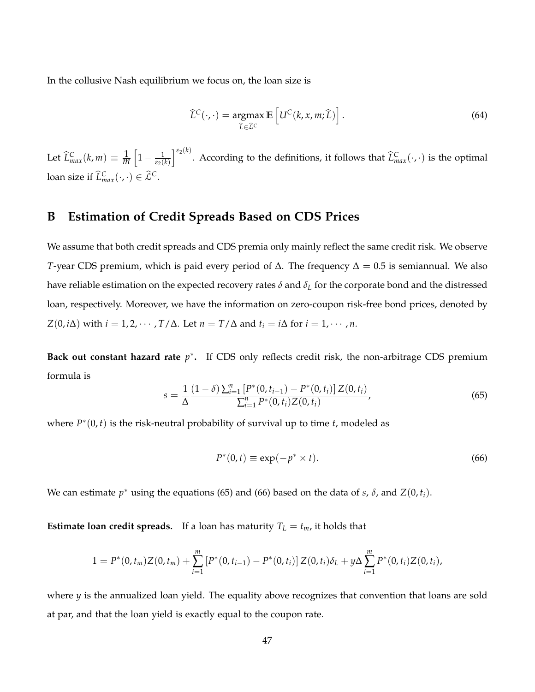In the collusive Nash equilibrium we focus on, the loan size is

$$
\widehat{L}^{C}(\cdot,\cdot) = \underset{\widehat{L}\in\widehat{\mathcal{L}}^{C}}{\operatorname{argmax}} \mathbb{E}\left[U^{C}(k,x,m;\widehat{L})\right].
$$
\n(64)

Let  $\widehat{L}_{max}^C(k, m) \equiv \frac{1}{m}$  $\left[1-\frac{1}{\epsilon_2(k)}\right]$  $\int_{0}^{\epsilon_2(k)}$ . According to the definitions, it follows that  $\widehat{L}^C_{max}(\cdot,\cdot)$  is the optimal loan size if  $\widehat{L}_{max}^C(\cdot, \cdot) \in \widehat{\mathcal{L}}^C$ .

# **B Estimation of Credit Spreads Based on CDS Prices**

We assume that both credit spreads and CDS premia only mainly reflect the same credit risk. We observe *T*-year CDS premium, which is paid every period of  $\Delta$ . The frequency  $\Delta = 0.5$  is semiannual. We also have reliable estimation on the expected recovery rates *δ* and *δ<sup>L</sup>* for the corporate bond and the distressed loan, respectively. Moreover, we have the information on zero-coupon risk-free bond prices, denoted by *Z*(0, *i*∆) with *i* = 1, 2, · · · , *T*/∆. Let *n* = *T*/∆ and *t*<sub>*i*</sub> = *i*∆ for *i* = 1, · · · , *n*.

**Back out constant hazard rate**  $p^*$ . If CDS only reflects credit risk, the non-arbitrage CDS premium formula is

$$
s = \frac{1}{\Delta} \frac{(1-\delta) \sum_{i=1}^{n} [P^*(0, t_{i-1}) - P^*(0, t_i)] Z(0, t_i)}{\sum_{i=1}^{n} P^*(0, t_i) Z(0, t_i)},
$$
(65)

where  $P^*(0, t)$  is the risk-neutral probability of survival up to time  $t$ , modeled as

$$
P^*(0,t) \equiv \exp(-p^* \times t). \tag{66}
$$

We can estimate  $p^*$  using the equations (65) and (66) based on the data of *s*,  $\delta$ , and  $Z(0, t_i)$ .

**Estimate loan credit spreads.** If a loan has maturity  $T_L = t_m$ , it holds that

$$
1 = P^*(0,t_m)Z(0,t_m) + \sum_{i=1}^m [P^*(0,t_{i-1}) - P^*(0,t_i)]Z(0,t_i)\delta_L + y\Delta \sum_{i=1}^m P^*(0,t_i)Z(0,t_i),
$$

where *y* is the annualized loan yield. The equality above recognizes that convention that loans are sold at par, and that the loan yield is exactly equal to the coupon rate.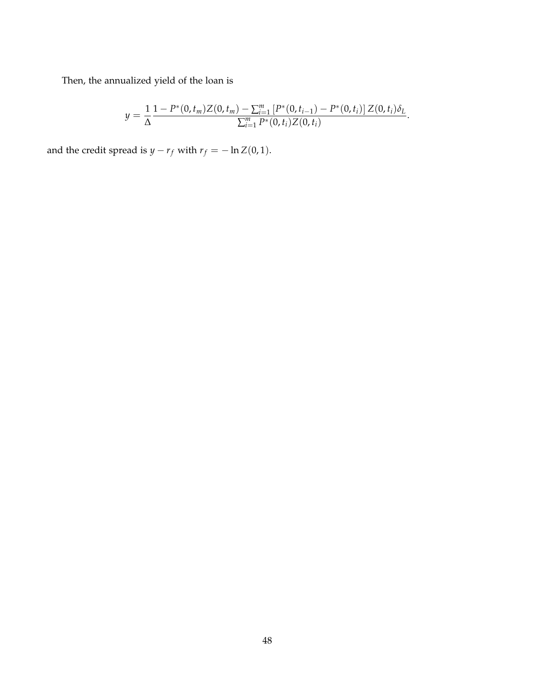Then, the annualized yield of the loan is

$$
y = \frac{1}{\Delta} \frac{1 - P^*(0, t_m) Z(0, t_m) - \sum_{i=1}^m [P^*(0, t_{i-1}) - P^*(0, t_i)] Z(0, t_i) \delta_L}{\sum_{i=1}^m P^*(0, t_i) Z(0, t_i)}.
$$

and the credit spread is *y* − *r*<sub>*f*</sub> with *r*<sub>*f*</sub> = − ln *Z*(0, 1).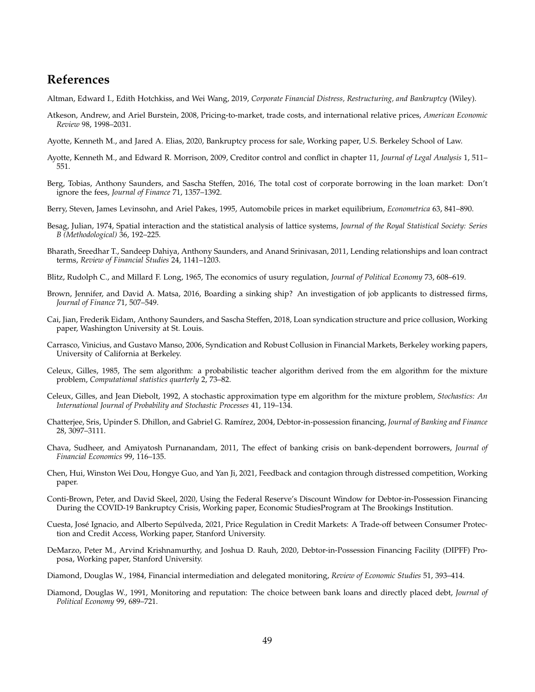# **References**

- Altman, Edward I., Edith Hotchkiss, and Wei Wang, 2019, *Corporate Financial Distress, Restructuring, and Bankruptcy* (Wiley).
- Atkeson, Andrew, and Ariel Burstein, 2008, Pricing-to-market, trade costs, and international relative prices, *American Economic Review* 98, 1998–2031.
- Ayotte, Kenneth M., and Jared A. Elias, 2020, Bankruptcy process for sale, Working paper, U.S. Berkeley School of Law.
- Ayotte, Kenneth M., and Edward R. Morrison, 2009, Creditor control and conflict in chapter 11, *Journal of Legal Analysis* 1, 511– 551.
- Berg, Tobias, Anthony Saunders, and Sascha Steffen, 2016, The total cost of corporate borrowing in the loan market: Don't ignore the fees, *Journal of Finance* 71, 1357–1392.
- Berry, Steven, James Levinsohn, and Ariel Pakes, 1995, Automobile prices in market equilibrium, *Econometrica* 63, 841–890.
- Besag, Julian, 1974, Spatial interaction and the statistical analysis of lattice systems, *Journal of the Royal Statistical Society: Series B (Methodological)* 36, 192–225.
- Bharath, Sreedhar T., Sandeep Dahiya, Anthony Saunders, and Anand Srinivasan, 2011, Lending relationships and loan contract terms, *Review of Financial Studies* 24, 1141–1203.
- Blitz, Rudolph C., and Millard F. Long, 1965, The economics of usury regulation, *Journal of Political Economy* 73, 608–619.
- Brown, Jennifer, and David A. Matsa, 2016, Boarding a sinking ship? An investigation of job applicants to distressed firms, *Journal of Finance* 71, 507–549.
- Cai, Jian, Frederik Eidam, Anthony Saunders, and Sascha Steffen, 2018, Loan syndication structure and price collusion, Working paper, Washington University at St. Louis.
- Carrasco, Vinicius, and Gustavo Manso, 2006, Syndication and Robust Collusion in Financial Markets, Berkeley working papers, University of California at Berkeley.
- Celeux, Gilles, 1985, The sem algorithm: a probabilistic teacher algorithm derived from the em algorithm for the mixture problem, *Computational statistics quarterly* 2, 73–82.
- Celeux, Gilles, and Jean Diebolt, 1992, A stochastic approximation type em algorithm for the mixture problem, *Stochastics: An International Journal of Probability and Stochastic Processes* 41, 119–134.
- Chatterjee, Sris, Upinder S. Dhillon, and Gabriel G. Ramírez, 2004, Debtor-in-possession financing, *Journal of Banking and Finance* 28, 3097–3111.
- Chava, Sudheer, and Amiyatosh Purnanandam, 2011, The effect of banking crisis on bank-dependent borrowers, *Journal of Financial Economics* 99, 116–135.
- Chen, Hui, Winston Wei Dou, Hongye Guo, and Yan Ji, 2021, Feedback and contagion through distressed competition, Working paper.
- Conti-Brown, Peter, and David Skeel, 2020, Using the Federal Reserve's Discount Window for Debtor-in-Possession Financing During the COVID-19 Bankruptcy Crisis, Working paper, Economic StudiesProgram at The Brookings Institution.
- Cuesta, José Ignacio, and Alberto Sepúlveda, 2021, Price Regulation in Credit Markets: A Trade-off between Consumer Protection and Credit Access, Working paper, Stanford University.
- DeMarzo, Peter M., Arvind Krishnamurthy, and Joshua D. Rauh, 2020, Debtor-in-Possession Financing Facility (DIPFF) Proposa, Working paper, Stanford University.
- Diamond, Douglas W., 1984, Financial intermediation and delegated monitoring, *Review of Economic Studies* 51, 393–414.
- Diamond, Douglas W., 1991, Monitoring and reputation: The choice between bank loans and directly placed debt, *Journal of Political Economy* 99, 689–721.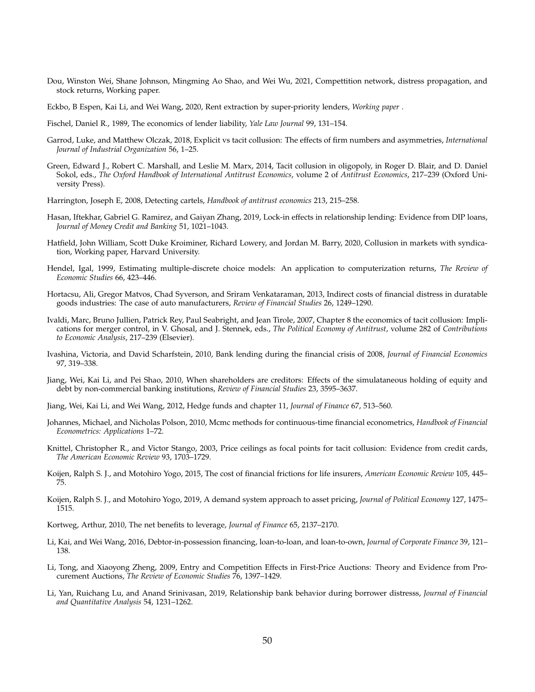- Dou, Winston Wei, Shane Johnson, Mingming Ao Shao, and Wei Wu, 2021, Compettition network, distress propagation, and stock returns, Working paper.
- Eckbo, B Espen, Kai Li, and Wei Wang, 2020, Rent extraction by super-priority lenders, *Working paper* .
- Fischel, Daniel R., 1989, The economics of lender liability, *Yale Law Journal* 99, 131–154.
- Garrod, Luke, and Matthew Olczak, 2018, Explicit vs tacit collusion: The effects of firm numbers and asymmetries, *International Journal of Industrial Organization* 56, 1–25.
- Green, Edward J., Robert C. Marshall, and Leslie M. Marx, 2014, Tacit collusion in oligopoly, in Roger D. Blair, and D. Daniel Sokol, eds., *The Oxford Handbook of International Antitrust Economics*, volume 2 of *Antitrust Economics*, 217–239 (Oxford University Press).
- Harrington, Joseph E, 2008, Detecting cartels, *Handbook of antitrust economics* 213, 215–258.
- Hasan, Iftekhar, Gabriel G. Ramirez, and Gaiyan Zhang, 2019, Lock-in effects in relationship lending: Evidence from DIP loans, *Journal of Money Credit and Banking* 51, 1021–1043.
- Hatfield, John William, Scott Duke Kroiminer, Richard Lowery, and Jordan M. Barry, 2020, Collusion in markets with syndication, Working paper, Harvard University.
- Hendel, Igal, 1999, Estimating multiple-discrete choice models: An application to computerization returns, *The Review of Economic Studies* 66, 423–446.
- Hortacsu, Ali, Gregor Matvos, Chad Syverson, and Sriram Venkataraman, 2013, Indirect costs of financial distress in duratable goods industries: The case of auto manufacturers, *Review of Financial Studies* 26, 1249–1290.
- Ivaldi, Marc, Bruno Jullien, Patrick Rey, Paul Seabright, and Jean Tirole, 2007, Chapter 8 the economics of tacit collusion: Implications for merger control, in V. Ghosal, and J. Stennek, eds., *The Political Economy of Antitrust*, volume 282 of *Contributions to Economic Analysis*, 217–239 (Elsevier).
- Ivashina, Victoria, and David Scharfstein, 2010, Bank lending during the financial crisis of 2008, *Journal of Financial Economics* 97, 319–338.
- Jiang, Wei, Kai Li, and Pei Shao, 2010, When shareholders are creditors: Effects of the simulataneous holding of equity and debt by non-commercial banking institutions, *Review of Financial Studies* 23, 3595–3637.
- Jiang, Wei, Kai Li, and Wei Wang, 2012, Hedge funds and chapter 11, *Journal of Finance* 67, 513–560.
- Johannes, Michael, and Nicholas Polson, 2010, Mcmc methods for continuous-time financial econometrics, *Handbook of Financial Econometrics: Applications* 1–72.
- Knittel, Christopher R., and Victor Stango, 2003, Price ceilings as focal points for tacit collusion: Evidence from credit cards, *The American Economic Review* 93, 1703–1729.
- Koijen, Ralph S. J., and Motohiro Yogo, 2015, The cost of financial frictions for life insurers, *American Economic Review* 105, 445– 75.
- Koijen, Ralph S. J., and Motohiro Yogo, 2019, A demand system approach to asset pricing, *Journal of Political Economy* 127, 1475– 1515.
- Kortweg, Arthur, 2010, The net benefits to leverage, *Journal of Finance* 65, 2137–2170.
- Li, Kai, and Wei Wang, 2016, Debtor-in-possession financing, loan-to-loan, and loan-to-own, *Journal of Corporate Finance* 39, 121– 138.
- Li, Tong, and Xiaoyong Zheng, 2009, Entry and Competition Effects in First-Price Auctions: Theory and Evidence from Procurement Auctions, *The Review of Economic Studies* 76, 1397–1429.
- Li, Yan, Ruichang Lu, and Anand Srinivasan, 2019, Relationship bank behavior during borrower distresss, *Journal of Financial and Quantitative Analysis* 54, 1231–1262.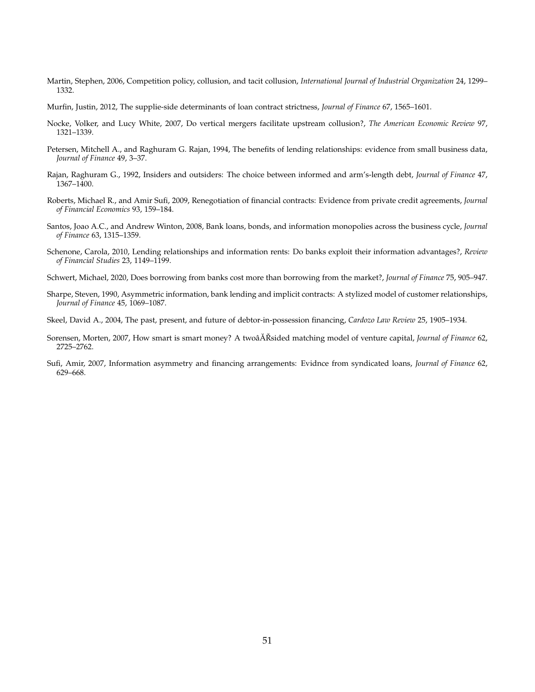- Martin, Stephen, 2006, Competition policy, collusion, and tacit collusion, *International Journal of Industrial Organization* 24, 1299– 1332.
- Murfin, Justin, 2012, The supplie-side determinants of loan contract strictness, *Journal of Finance* 67, 1565–1601.
- Nocke, Volker, and Lucy White, 2007, Do vertical mergers facilitate upstream collusion?, *The American Economic Review* 97, 1321–1339.
- Petersen, Mitchell A., and Raghuram G. Rajan, 1994, The benefits of lending relationships: evidence from small business data, *Journal of Finance* 49, 3–37.
- Rajan, Raghuram G., 1992, Insiders and outsiders: The choice between informed and arm's-length debt, *Journal of Finance* 47, 1367–1400.
- Roberts, Michael R., and Amir Sufi, 2009, Renegotiation of financial contracts: Evidence from private credit agreements, *Journal of Financial Economics* 93, 159–184.
- Santos, Joao A.C., and Andrew Winton, 2008, Bank loans, bonds, and information monopolies across the business cycle, *Journal of Finance* 63, 1315–1359.
- Schenone, Carola, 2010, Lending relationships and information rents: Do banks exploit their information advantages?, *Review of Financial Studies* 23, 1149–1199.
- Schwert, Michael, 2020, Does borrowing from banks cost more than borrowing from the market?, *Journal of Finance* 75, 905–947.
- Sharpe, Steven, 1990, Asymmetric information, bank lending and implicit contracts: A stylized model of customer relationships, *Journal of Finance* 45, 1069–1087.
- Skeel, David A., 2004, The past, present, and future of debtor-in-possession financing, *Cardozo Law Review* 25, 1905–1934.
- Sorensen, Morten, 2007, How smart is smart money? A twoâ $\AA$ Rsided matching model of venture capital, *Journal of Finance* 62, 2725–2762.
- Sufi, Amir, 2007, Information asymmetry and financing arrangements: Evidnce from syndicated loans, *Journal of Finance* 62, 629–668.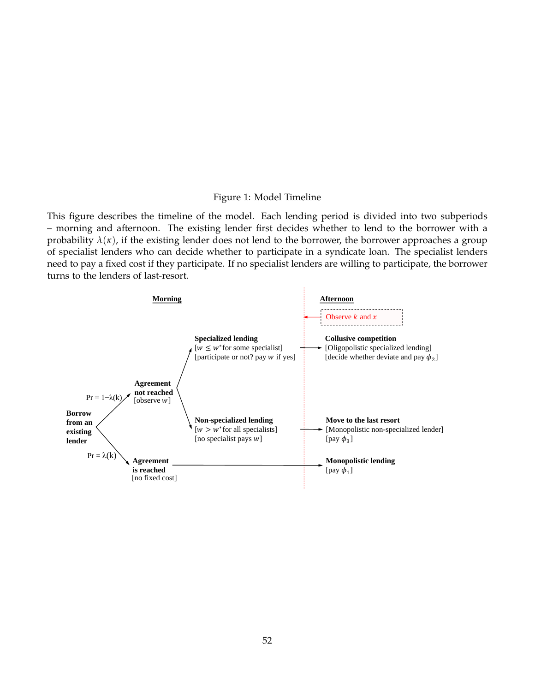#### Figure 1: Model Timeline

This figure describes the timeline of the model. Each lending period is divided into two subperiods – morning and afternoon. The existing lender first decides whether to lend to the borrower with a probability  $\lambda(\kappa)$ , if the existing lender does not lend to the borrower, the borrower approaches a group of specialist lenders who can decide whether to participate in a syndicate loan. The specialist lenders need to pay a fixed cost if they participate. If no specialist lenders are willing to participate, the borrower turns to the lenders of last-resort.

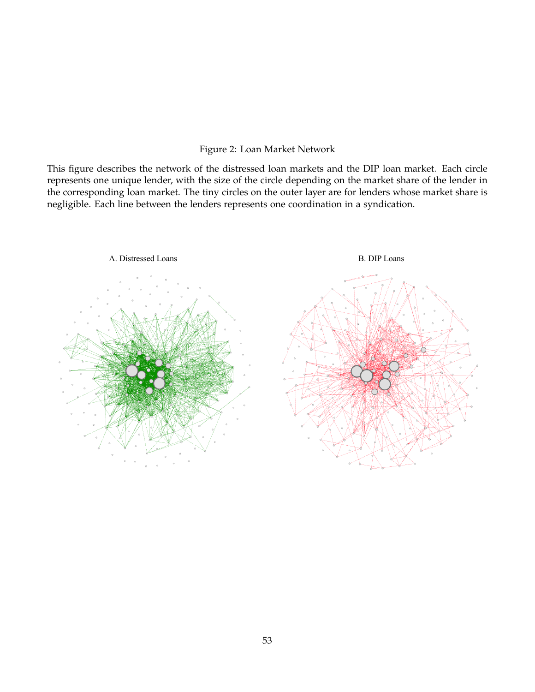## Figure 2: Loan Market Network

This figure describes the network of the distressed loan markets and the DIP loan market. Each circle represents one unique lender, with the size of the circle depending on the market share of the lender in the corresponding loan market. The tiny circles on the outer layer are for lenders whose market share is negligible. Each line between the lenders represents one coordination in a syndication.

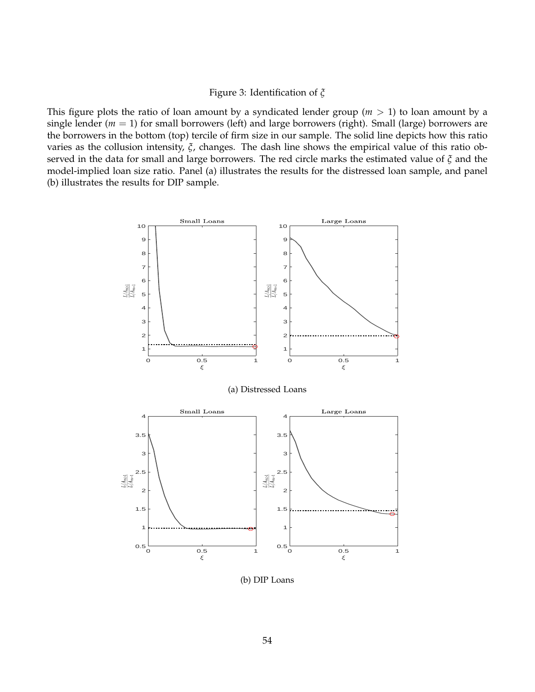## Figure 3: Identification of *ξ*

This figure plots the ratio of loan amount by a syndicated lender group ( $m > 1$ ) to loan amount by a single lender ( $m = 1$ ) for small borrowers (left) and large borrowers (right). Small (large) borrowers are the borrowers in the bottom (top) tercile of firm size in our sample. The solid line depicts how this ratio varies as the collusion intensity, *ξ*, changes. The dash line shows the empirical value of this ratio observed in the data for small and large borrowers. The red circle marks the estimated value of *ξ* and the model-implied loan size ratio. Panel (a) illustrates the results for the distressed loan sample, and panel (b) illustrates the results for DIP sample.



(b) DIP Loans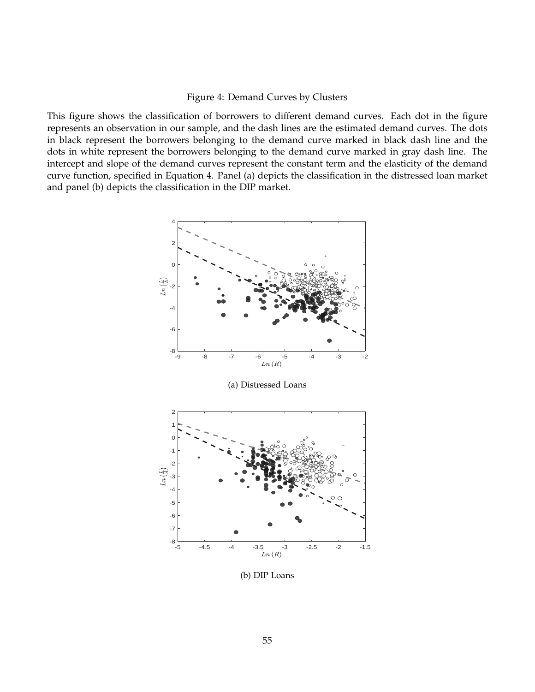## Figure 4: Demand Curves by Clusters

This figure shows the classification of borrowers to different demand curves. Each dot in the figure represents an observation in our sample, and the dash lines are the estimated demand curves. The dots in black represent the borrowers belonging to the demand curve marked in black dash line and the dots in white represent the borrowers belonging to the demand curve marked in gray dash line. The intercept and slope of the demand curves represent the constant term and the elasticity of the demand curve function, specified in Equation 4. Panel (a) depicts the classification in the distressed loan market and panel (b) depicts the classification in the DIP market.



(b) DIP Loans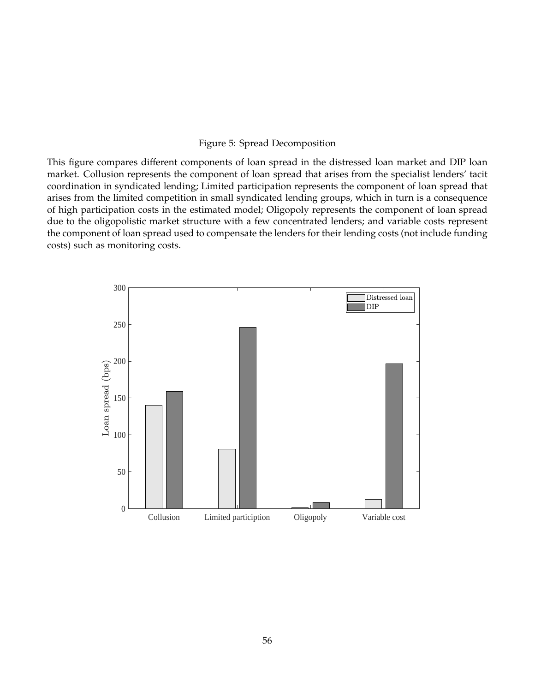#### Figure 5: Spread Decomposition

This figure compares different components of loan spread in the distressed loan market and DIP loan market. Collusion represents the component of loan spread that arises from the specialist lenders' tacit coordination in syndicated lending; Limited participation represents the component of loan spread that arises from the limited competition in small syndicated lending groups, which in turn is a consequence of high participation costs in the estimated model; Oligopoly represents the component of loan spread due to the oligopolistic market structure with a few concentrated lenders; and variable costs represent the component of loan spread used to compensate the lenders for their lending costs (not include funding costs) such as monitoring costs.

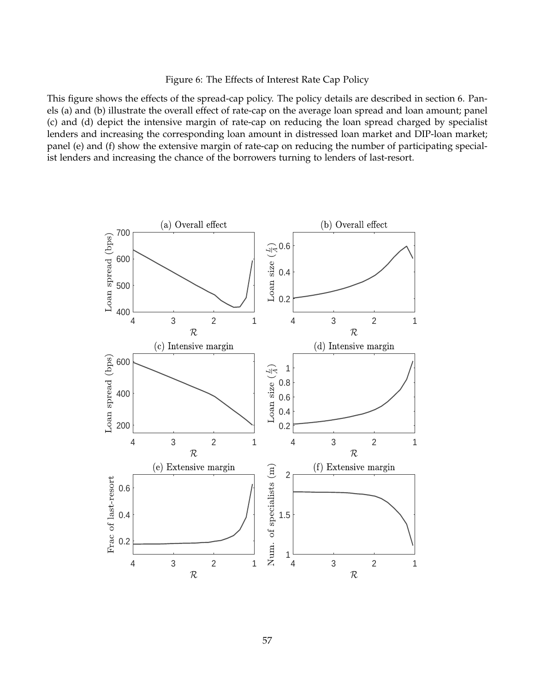## Figure 6: The Effects of Interest Rate Cap Policy

This figure shows the effects of the spread-cap policy. The policy details are described in section 6. Panels (a) and (b) illustrate the overall effect of rate-cap on the average loan spread and loan amount; panel (c) and (d) depict the intensive margin of rate-cap on reducing the loan spread charged by specialist lenders and increasing the corresponding loan amount in distressed loan market and DIP-loan market; panel (e) and (f) show the extensive margin of rate-cap on reducing the number of participating specialist lenders and increasing the chance of the borrowers turning to lenders of last-resort.

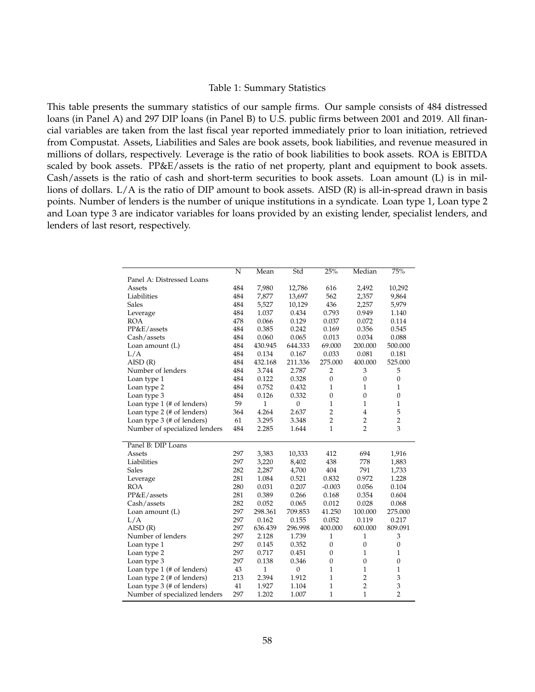#### Table 1: Summary Statistics

This table presents the summary statistics of our sample firms. Our sample consists of 484 distressed loans (in Panel A) and 297 DIP loans (in Panel B) to U.S. public firms between 2001 and 2019. All financial variables are taken from the last fiscal year reported immediately prior to loan initiation, retrieved from Compustat. Assets, Liabilities and Sales are book assets, book liabilities, and revenue measured in millions of dollars, respectively. Leverage is the ratio of book liabilities to book assets. ROA is EBITDA scaled by book assets. PP&E/assets is the ratio of net property, plant and equipment to book assets. Cash/assets is the ratio of cash and short-term securities to book assets. Loan amount (L) is in millions of dollars. L/A is the ratio of DIP amount to book assets. AISD (R) is all-in-spread drawn in basis points. Number of lenders is the number of unique institutions in a syndicate. Loan type 1, Loan type 2 and Loan type 3 are indicator variables for loans provided by an existing lender, specialist lenders, and lenders of last resort, respectively.

|                               | N   | Mean         | Std              | 25%            | Median         | 75%              |
|-------------------------------|-----|--------------|------------------|----------------|----------------|------------------|
| Panel A: Distressed Loans     |     |              |                  |                |                |                  |
| Assets                        | 484 | 7,980        | 12,786           | 616            | 2,492          | 10,292           |
| Liabilities                   | 484 | 7,877        | 13,697           | 562            | 2,357          | 9,864            |
| Sales                         | 484 | 5,527        | 10,129           | 436            | 2,257          | 5,979            |
| Leverage                      | 484 | 1.037        | 0.434            | 0.793          | 0.949          | 1.140            |
| <b>ROA</b>                    | 478 | 0.066        | 0.129            | 0.037          | 0.072          | 0.114            |
| PP&E/assets                   | 484 | 0.385        | 0.242            | 0.169          | 0.356          | 0.545            |
| Cash/assets                   | 484 | 0.060        | 0.065            | 0.013          | 0.034          | 0.088            |
| Loan amount (L)               | 484 | 430.945      | 644.333          | 69.000         | 200.000        | 500.000          |
| L/A                           | 484 | 0.134        | 0.167            | 0.033          | 0.081          | 0.181            |
| AISD(R)                       | 484 | 432.168      | 211.336          | 275.000        | 400.000        | 525.000          |
| Number of lenders             | 484 | 3.744        | 2.787            | $\overline{2}$ | 3              | 5                |
| Loan type 1                   | 484 | 0.122        | 0.328            | $\overline{0}$ | $\mathbf{0}$   | $\boldsymbol{0}$ |
| Loan type 2                   | 484 | 0.752        | 0.432            | $\mathbf{1}$   | 1              | $\mathbf{1}$     |
| Loan type 3                   | 484 | 0.126        | 0.332            | $\overline{0}$ | $\mathbf{0}$   | $\boldsymbol{0}$ |
| Loan type $1$ (# of lenders)  | 59  | $\mathbf{1}$ | $\boldsymbol{0}$ | $\mathbf{1}$   | $\mathbf{1}$   | $\mathbf{1}$     |
| Loan type 2 (# of lenders)    | 364 | 4.264        | 2.637            | $\overline{2}$ | $\overline{4}$ | 5                |
| Loan type 3 (# of lenders)    | 61  | 3.295        | 3.348            | $\overline{2}$ | $\overline{c}$ | $\overline{c}$   |
| Number of specialized lenders | 484 | 2.285        | 1.644            | $\mathbf{1}$   | $\overline{2}$ | 3                |
|                               |     |              |                  |                |                |                  |
| Panel B: DIP Loans            |     |              |                  |                |                |                  |
| Assets                        | 297 | 3,383        | 10,333           | 412            | 694            | 1,916            |
| Liabilities                   | 297 | 3,220        | 8,402            | 438            | 778            | 1,883            |
| <b>Sales</b>                  | 282 | 2,287        | 4,700            | 404            | 791            | 1,733            |
| Leverage                      | 281 | 1.084        | 0.521            | 0.832          | 0.972          | 1.228            |
| <b>ROA</b>                    | 280 | 0.031        | 0.207            | $-0.003$       | 0.056          | 0.104            |
| PP&E/assets                   | 281 | 0.389        | 0.266            | 0.168          | 0.354          | 0.604            |
| Cash/assets                   | 282 | 0.052        | 0.065            | 0.012          | 0.028          | 0.068            |
| Loan amount (L)               | 297 | 298.361      | 709.853          | 41.250         | 100.000        | 275.000          |
| L/A                           | 297 | 0.162        | 0.155            | 0.052          | 0.119          | 0.217            |
| AISD(R)                       | 297 | 636.439      | 296.998          | 400.000        | 600.000        | 809.091          |
| Number of lenders             | 297 | 2.128        | 1.739            | $\mathbf{1}$   | $\mathbf{1}$   | 3                |
| Loan type 1                   | 297 | 0.145        | 0.352            | $\mathbf{0}$   | $\mathbf{0}$   | $\boldsymbol{0}$ |
| Loan type 2                   | 297 | 0.717        | 0.451            | $\overline{0}$ | $\mathbf{1}$   | $\mathbf{1}$     |
| Loan type 3                   | 297 | 0.138        | 0.346            | $\overline{0}$ | $\mathbf{0}$   | $\overline{0}$   |
| Loan type $1$ (# of lenders)  | 43  | $\mathbf{1}$ | $\boldsymbol{0}$ | $\mathbf{1}$   | $\mathbf{1}$   | $\mathbf{1}$     |
| Loan type 2 (# of lenders)    | 213 | 2.394        | 1.912            | $\mathbf{1}$   | $\overline{c}$ | 3                |
| Loan type 3 (# of lenders)    | 41  | 1.927        | 1.104            | $\mathbf{1}$   | $\overline{2}$ | 3                |
| Number of specialized lenders | 297 | 1.202        | 1.007            | $\mathbf{1}$   | $\mathbf{1}$   | $\overline{2}$   |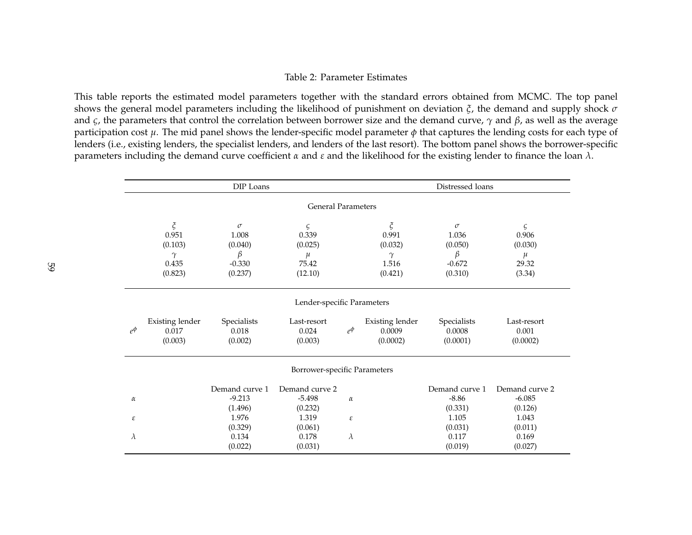#### Table 2: Parameter Estimates

This table reports the estimated model parameters together with the standard errors obtained from MCMC. The top panel shows the general model parameters including the likelihood of punishment on deviation *ξ*, the demand and supply shock *<sup>σ</sup>* and *<sup>ς</sup>*, the parameters that control the correlation between borrower size and the demand curve, *<sup>γ</sup>* and *β*, as well as the average participation cost *µ*. The mid pane<sup>l</sup> shows the lender-specific model parameter *φ* that captures the lending costs for each type of lenders (i.e., existing lenders, the specialist lenders, and lenders of the last resort). The bottom panel shows the borrower-specificparameters including the demand curve coefficient *<sup>α</sup>* and *<sup>ε</sup>* and the likelihood for the existing lender to finance the loan *<sup>λ</sup>*.

|            | DIP Loans                                                   |                                                          |                                                    |                |                                                             | Distressed loans                                         |                                                   |  |  |  |
|------------|-------------------------------------------------------------|----------------------------------------------------------|----------------------------------------------------|----------------|-------------------------------------------------------------|----------------------------------------------------------|---------------------------------------------------|--|--|--|
|            | <b>General Parameters</b>                                   |                                                          |                                                    |                |                                                             |                                                          |                                                   |  |  |  |
|            | $\zeta$<br>0.951<br>(0.103)<br>$\gamma$<br>0.435<br>(0.823) | $\sigma$<br>1.008<br>(0.040)<br>β<br>$-0.330$<br>(0.237) | ς<br>0.339<br>(0.025)<br>$\mu$<br>75.42<br>(12.10) |                | $\zeta$<br>0.991<br>(0.032)<br>$\gamma$<br>1.516<br>(0.421) | $\sigma$<br>1.036<br>(0.050)<br>β<br>$-0.672$<br>(0.310) | ς<br>0.906<br>(0.030)<br>$\mu$<br>29.32<br>(3.34) |  |  |  |
|            | Lender-specific Parameters                                  |                                                          |                                                    |                |                                                             |                                                          |                                                   |  |  |  |
| $e^{\phi}$ | <b>Existing lender</b><br>0.017<br>(0.003)                  | Specialists<br>0.018<br>(0.002)                          | Last-resort<br>0.024<br>(0.003)                    | $e^{\phi}$     | Existing lender<br>0.0009<br>(0.0002)                       | Specialists<br>0.0008<br>(0.0001)                        | Last-resort<br>0.001<br>(0.0002)                  |  |  |  |
|            | Borrower-specific Parameters                                |                                                          |                                                    |                |                                                             |                                                          |                                                   |  |  |  |
| $\alpha$   |                                                             | Demand curve 1<br>$-9.213$<br>(1.496)                    | Demand curve 2<br>$-5.498$<br>(0.232)              | $\alpha$       |                                                             | Demand curve 1<br>$-8.86$<br>(0.331)                     | Demand curve 2<br>$-6.085$<br>(0.126)             |  |  |  |
| ε<br>λ     |                                                             | 1.976<br>(0.329)<br>0.134<br>(0.022)                     | 1.319<br>(0.061)<br>0.178<br>(0.031)               | ε<br>$\lambda$ |                                                             | 1.105<br>(0.031)<br>0.117<br>(0.019)                     | 1.043<br>(0.011)<br>0.169<br>(0.027)              |  |  |  |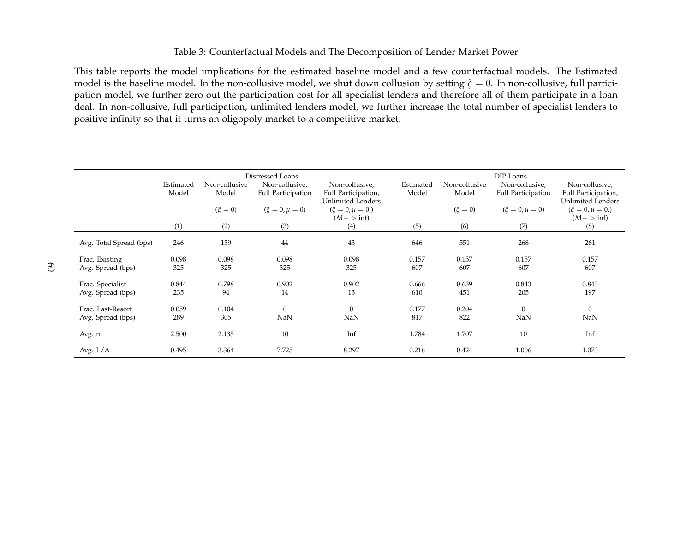## Table 3: Counterfactual Models and The Decomposition of Lender Market Power

This table reports the model implications for the estimated baseline model and <sup>a</sup> few counterfactual models. The Estimated model is the baseline model. In the non-collusive model, we shut down collusion by setting*ξ*= 0. In non-collusive, full partici- pation model, we further zero out the participation cost for all specialist lenders and therefore all of them participate in <sup>a</sup> loan deal. In non-collusive, full participation, unlimited lenders model, we further increase the total number of specialist lenders topositive infinity so that it turns an oligopoly market to <sup>a</sup> competitive market.

|                         | Distressed Loans |               |                      |                                          |           | DIP Loans     |                      |                                          |  |
|-------------------------|------------------|---------------|----------------------|------------------------------------------|-----------|---------------|----------------------|------------------------------------------|--|
|                         | Estimated        | Non-collusive | Non-collusive,       | Non-collusive,                           | Estimated | Non-collusive | Non-collusive,       | Non-collusive,                           |  |
|                         | Model            | Model         | Full Participation   | Full Participation,<br>Unlimited Lenders | Model     | Model         | Full Participation   | Full Participation,<br>Unlimited Lenders |  |
|                         |                  | $(\xi = 0)$   | $(\xi = 0, \mu = 0)$ | $(\xi = 0, \mu = 0)$                     |           | $(\xi = 0)$   | $(\xi = 0, \mu = 0)$ | $(\xi = 0, \mu = 0)$                     |  |
|                         |                  |               |                      | $(M - \gt inf)$                          |           |               |                      | $(M - \gt inf)$                          |  |
|                         | (1)              | (2)           | (3)                  | (4)                                      | (5)       | (6)           | (7)                  | (8)                                      |  |
| Avg. Total Spread (bps) | 246              | 139           | 44                   | 43                                       | 646       | 551           | 268                  | 261                                      |  |
| Frac. Existing          | 0.098            | 0.098         | 0.098                | 0.098                                    | 0.157     | 0.157         | 0.157                | 0.157                                    |  |
| Avg. Spread (bps)       | 325              | 325           | 325                  | 325                                      | 607       | 607           | 607                  | 607                                      |  |
| Frac. Specialist        | 0.844            | 0.798         | 0.902                | 0.902                                    | 0.666     | 0.639         | 0.843                | 0.843                                    |  |
| Avg. Spread (bps)       | 235              | 94            | 14                   | 13                                       | 610       | 451           | 205                  | 197                                      |  |
| Frac. Last-Resort       | 0.059            | 0.104         | $\mathbf{0}$         | $\theta$                                 | 0.177     | 0.204         | $\mathbf{0}$         | $\overline{0}$                           |  |
| Avg. Spread (bps)       | 289              | 305           | NaN                  | NaN                                      | 817       | 822           | NaN                  | NaN                                      |  |
| Avg. m                  | 2.500            | 2.135         | 10                   | Inf                                      | 1.784     | 1.707         | 10                   | Inf                                      |  |
| Avg. $L/A$              | 0.495            | 3.364         | 7.725                | 8.297                                    | 0.216     | 0.424         | 1.006                | 1.073                                    |  |